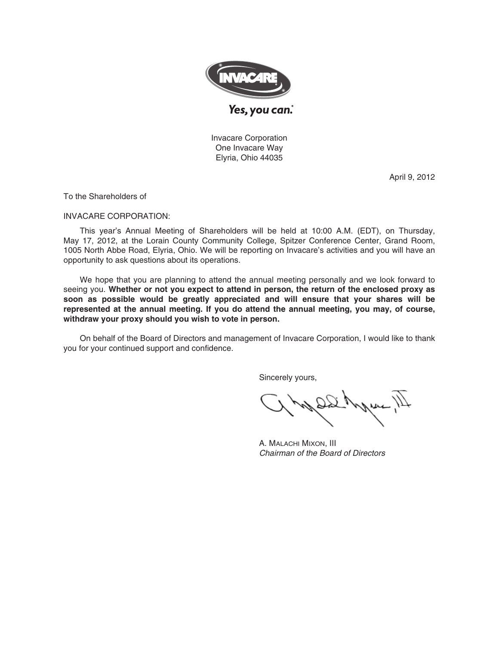

Invacare Corporation One Invacare Way Elyria, Ohio 44035

April 9, 2012

To the Shareholders of

### INVACARE CORPORATION:

This year's Annual Meeting of Shareholders will be held at 10:00 A.M. (EDT), on Thursday, May 17, 2012, at the Lorain County Community College, Spitzer Conference Center, Grand Room, 1005 North Abbe Road, Elyria, Ohio. We will be reporting on Invacare's activities and you will have an opportunity to ask questions about its operations.

We hope that you are planning to attend the annual meeting personally and we look forward to seeing you. **Whether or not you expect to attend in person, the return of the enclosed proxy as soon as possible would be greatly appreciated and will ensure that your shares will be represented at the annual meeting. If you do attend the annual meeting, you may, of course, withdraw your proxy should you wish to vote in person.**

On behalf of the Board of Directors and management of Invacare Corporation, I would like to thank you for your continued support and confidence.

Sincerely yours,

A. MALACHI MIXON, III Chairman of the Board of Directors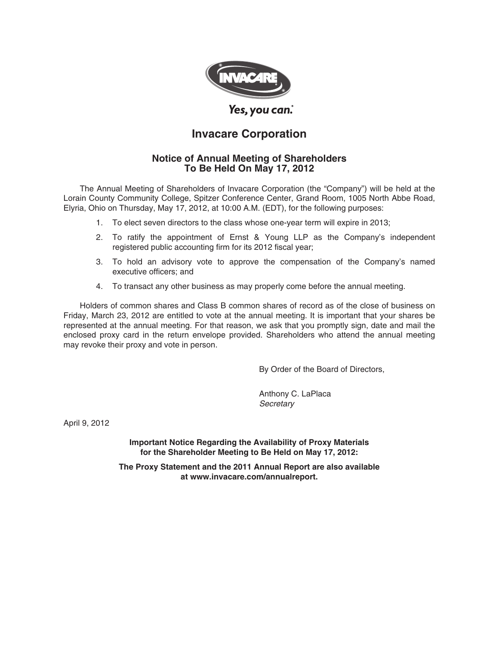

# **Invacare Corporation**

## **Notice of Annual Meeting of Shareholders To Be Held On May 17, 2012**

The Annual Meeting of Shareholders of Invacare Corporation (the "Company") will be held at the Lorain County Community College, Spitzer Conference Center, Grand Room, 1005 North Abbe Road, Elyria, Ohio on Thursday, May 17, 2012, at 10:00 A.M. (EDT), for the following purposes:

- 1. To elect seven directors to the class whose one-year term will expire in 2013;
- 2. To ratify the appointment of Ernst & Young LLP as the Company's independent registered public accounting firm for its 2012 fiscal year;
- 3. To hold an advisory vote to approve the compensation of the Company's named executive officers; and
- 4. To transact any other business as may properly come before the annual meeting.

Holders of common shares and Class B common shares of record as of the close of business on Friday, March 23, 2012 are entitled to vote at the annual meeting. It is important that your shares be represented at the annual meeting. For that reason, we ask that you promptly sign, date and mail the enclosed proxy card in the return envelope provided. Shareholders who attend the annual meeting may revoke their proxy and vote in person.

By Order of the Board of Directors,

Anthony C. LaPlaca **Secretary** 

April 9, 2012

**Important Notice Regarding the Availability of Proxy Materials for the Shareholder Meeting to Be Held on May 17, 2012:**

**The Proxy Statement and the 2011 Annual Report are also available at www.invacare.com/annualreport.**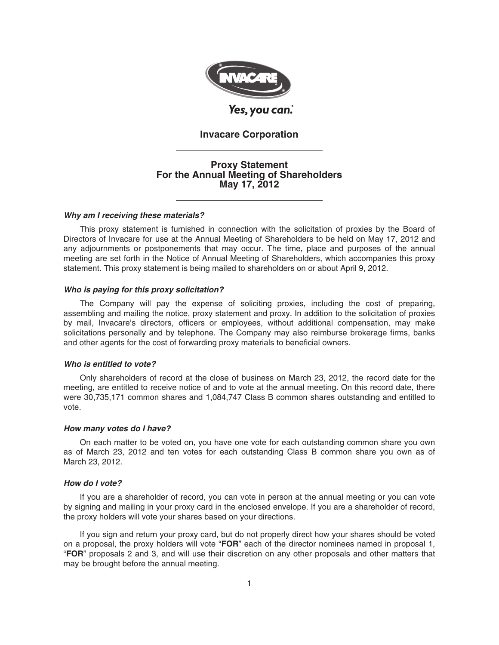

## **Invacare Corporation**

## **Proxy Statement For the Annual Meeting of Shareholders May 17, 2012**

### *Why am I receiving these materials?*

This proxy statement is furnished in connection with the solicitation of proxies by the Board of Directors of Invacare for use at the Annual Meeting of Shareholders to be held on May 17, 2012 and any adjournments or postponements that may occur. The time, place and purposes of the annual meeting are set forth in the Notice of Annual Meeting of Shareholders, which accompanies this proxy statement. This proxy statement is being mailed to shareholders on or about April 9, 2012.

#### *Who is paying for this proxy solicitation?*

The Company will pay the expense of soliciting proxies, including the cost of preparing, assembling and mailing the notice, proxy statement and proxy. In addition to the solicitation of proxies by mail, Invacare's directors, officers or employees, without additional compensation, may make solicitations personally and by telephone. The Company may also reimburse brokerage firms, banks and other agents for the cost of forwarding proxy materials to beneficial owners.

#### *Who is entitled to vote?*

Only shareholders of record at the close of business on March 23, 2012, the record date for the meeting, are entitled to receive notice of and to vote at the annual meeting. On this record date, there were 30,735,171 common shares and 1,084,747 Class B common shares outstanding and entitled to vote.

#### *How many votes do I have?*

On each matter to be voted on, you have one vote for each outstanding common share you own as of March 23, 2012 and ten votes for each outstanding Class B common share you own as of March 23, 2012.

### *How do I vote?*

If you are a shareholder of record, you can vote in person at the annual meeting or you can vote by signing and mailing in your proxy card in the enclosed envelope. If you are a shareholder of record, the proxy holders will vote your shares based on your directions.

If you sign and return your proxy card, but do not properly direct how your shares should be voted on a proposal, the proxy holders will vote "**FOR**" each of the director nominees named in proposal 1, "**FOR**" proposals 2 and 3, and will use their discretion on any other proposals and other matters that may be brought before the annual meeting.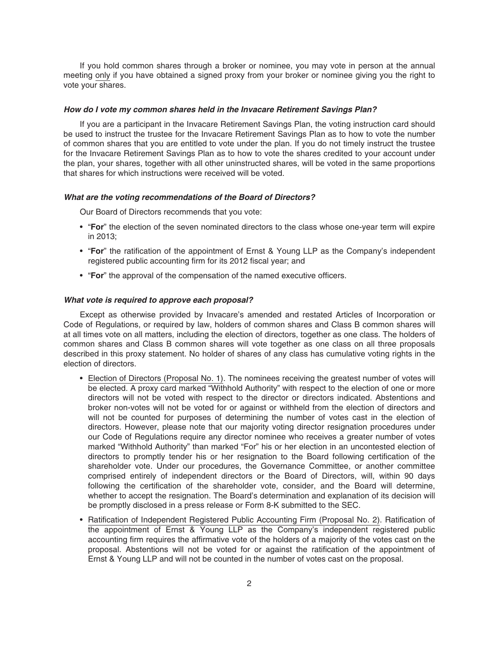If you hold common shares through a broker or nominee, you may vote in person at the annual meeting only if you have obtained a signed proxy from your broker or nominee giving you the right to vote your shares.

#### *How do I vote my common shares held in the Invacare Retirement Savings Plan?*

If you are a participant in the Invacare Retirement Savings Plan, the voting instruction card should be used to instruct the trustee for the Invacare Retirement Savings Plan as to how to vote the number of common shares that you are entitled to vote under the plan. If you do not timely instruct the trustee for the Invacare Retirement Savings Plan as to how to vote the shares credited to your account under the plan, your shares, together with all other uninstructed shares, will be voted in the same proportions that shares for which instructions were received will be voted.

### *What are the voting recommendations of the Board of Directors?*

Our Board of Directors recommends that you vote:

- "**For**" the election of the seven nominated directors to the class whose one-year term will expire in 2013;
- "**For**" the ratification of the appointment of Ernst & Young LLP as the Company's independent registered public accounting firm for its 2012 fiscal year; and
- "**For**" the approval of the compensation of the named executive officers.

### *What vote is required to approve each proposal?*

Except as otherwise provided by Invacare's amended and restated Articles of Incorporation or Code of Regulations, or required by law, holders of common shares and Class B common shares will at all times vote on all matters, including the election of directors, together as one class. The holders of common shares and Class B common shares will vote together as one class on all three proposals described in this proxy statement. No holder of shares of any class has cumulative voting rights in the election of directors.

- Election of Directors (Proposal No. 1). The nominees receiving the greatest number of votes will be elected. A proxy card marked "Withhold Authority" with respect to the election of one or more directors will not be voted with respect to the director or directors indicated. Abstentions and broker non-votes will not be voted for or against or withheld from the election of directors and will not be counted for purposes of determining the number of votes cast in the election of directors. However, please note that our majority voting director resignation procedures under our Code of Regulations require any director nominee who receives a greater number of votes marked "Withhold Authority" than marked "For" his or her election in an uncontested election of directors to promptly tender his or her resignation to the Board following certification of the shareholder vote. Under our procedures, the Governance Committee, or another committee comprised entirely of independent directors or the Board of Directors, will, within 90 days following the certification of the shareholder vote, consider, and the Board will determine, whether to accept the resignation. The Board's determination and explanation of its decision will be promptly disclosed in a press release or Form 8-K submitted to the SEC.
- Ratification of Independent Registered Public Accounting Firm (Proposal No. 2). Ratification of the appointment of Ernst & Young LLP as the Company's independent registered public accounting firm requires the affirmative vote of the holders of a majority of the votes cast on the proposal. Abstentions will not be voted for or against the ratification of the appointment of Ernst & Young LLP and will not be counted in the number of votes cast on the proposal.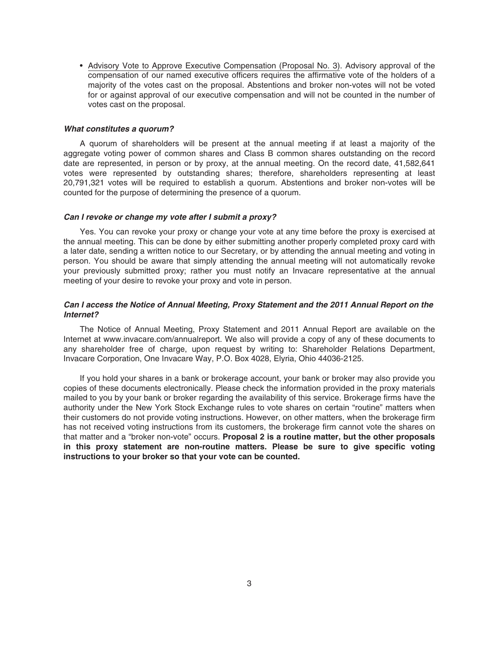• Advisory Vote to Approve Executive Compensation (Proposal No. 3). Advisory approval of the compensation of our named executive officers requires the affirmative vote of the holders of a majority of the votes cast on the proposal. Abstentions and broker non-votes will not be voted for or against approval of our executive compensation and will not be counted in the number of votes cast on the proposal.

#### *What constitutes a quorum?*

A quorum of shareholders will be present at the annual meeting if at least a majority of the aggregate voting power of common shares and Class B common shares outstanding on the record date are represented, in person or by proxy, at the annual meeting. On the record date, 41,582,641 votes were represented by outstanding shares; therefore, shareholders representing at least 20,791,321 votes will be required to establish a quorum. Abstentions and broker non-votes will be counted for the purpose of determining the presence of a quorum.

#### *Can I revoke or change my vote after I submit a proxy?*

Yes. You can revoke your proxy or change your vote at any time before the proxy is exercised at the annual meeting. This can be done by either submitting another properly completed proxy card with a later date, sending a written notice to our Secretary, or by attending the annual meeting and voting in person. You should be aware that simply attending the annual meeting will not automatically revoke your previously submitted proxy; rather you must notify an Invacare representative at the annual meeting of your desire to revoke your proxy and vote in person.

### *Can I access the Notice of Annual Meeting, Proxy Statement and the 2011 Annual Report on the Internet?*

The Notice of Annual Meeting, Proxy Statement and 2011 Annual Report are available on the Internet at www.invacare.com/annualreport. We also will provide a copy of any of these documents to any shareholder free of charge, upon request by writing to: Shareholder Relations Department, Invacare Corporation, One Invacare Way, P.O. Box 4028, Elyria, Ohio 44036-2125.

If you hold your shares in a bank or brokerage account, your bank or broker may also provide you copies of these documents electronically. Please check the information provided in the proxy materials mailed to you by your bank or broker regarding the availability of this service. Brokerage firms have the authority under the New York Stock Exchange rules to vote shares on certain "routine" matters when their customers do not provide voting instructions. However, on other matters, when the brokerage firm has not received voting instructions from its customers, the brokerage firm cannot vote the shares on that matter and a "broker non-vote" occurs. **Proposal 2 is a routine matter, but the other proposals in this proxy statement are non-routine matters. Please be sure to give specific voting instructions to your broker so that your vote can be counted.**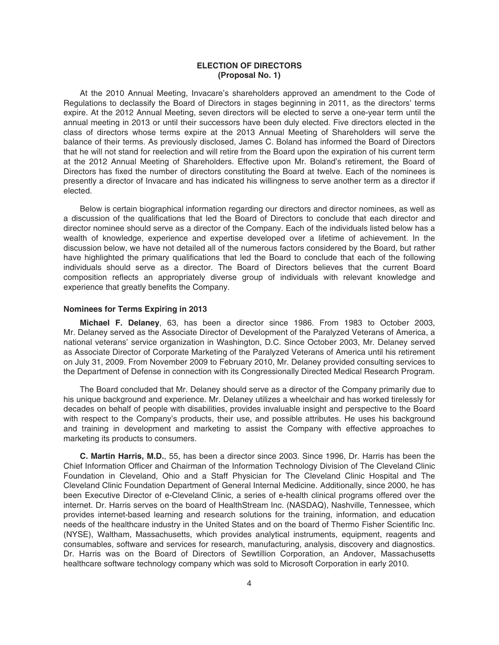### **ELECTION OF DIRECTORS (Proposal No. 1)**

At the 2010 Annual Meeting, Invacare's shareholders approved an amendment to the Code of Regulations to declassify the Board of Directors in stages beginning in 2011, as the directors' terms expire. At the 2012 Annual Meeting, seven directors will be elected to serve a one-year term until the annual meeting in 2013 or until their successors have been duly elected. Five directors elected in the class of directors whose terms expire at the 2013 Annual Meeting of Shareholders will serve the balance of their terms. As previously disclosed, James C. Boland has informed the Board of Directors that he will not stand for reelection and will retire from the Board upon the expiration of his current term at the 2012 Annual Meeting of Shareholders. Effective upon Mr. Boland's retirement, the Board of Directors has fixed the number of directors constituting the Board at twelve. Each of the nominees is presently a director of Invacare and has indicated his willingness to serve another term as a director if elected.

Below is certain biographical information regarding our directors and director nominees, as well as a discussion of the qualifications that led the Board of Directors to conclude that each director and director nominee should serve as a director of the Company. Each of the individuals listed below has a wealth of knowledge, experience and expertise developed over a lifetime of achievement. In the discussion below, we have not detailed all of the numerous factors considered by the Board, but rather have highlighted the primary qualifications that led the Board to conclude that each of the following individuals should serve as a director. The Board of Directors believes that the current Board composition reflects an appropriately diverse group of individuals with relevant knowledge and experience that greatly benefits the Company.

### **Nominees for Terms Expiring in 2013**

**Michael F. Delaney**, 63, has been a director since 1986. From 1983 to October 2003, Mr. Delaney served as the Associate Director of Development of the Paralyzed Veterans of America, a national veterans' service organization in Washington, D.C. Since October 2003, Mr. Delaney served as Associate Director of Corporate Marketing of the Paralyzed Veterans of America until his retirement on July 31, 2009. From November 2009 to February 2010, Mr. Delaney provided consulting services to the Department of Defense in connection with its Congressionally Directed Medical Research Program.

The Board concluded that Mr. Delaney should serve as a director of the Company primarily due to his unique background and experience. Mr. Delaney utilizes a wheelchair and has worked tirelessly for decades on behalf of people with disabilities, provides invaluable insight and perspective to the Board with respect to the Company's products, their use, and possible attributes. He uses his background and training in development and marketing to assist the Company with effective approaches to marketing its products to consumers.

**C. Martin Harris, M.D.**, 55, has been a director since 2003. Since 1996, Dr. Harris has been the Chief Information Officer and Chairman of the Information Technology Division of The Cleveland Clinic Foundation in Cleveland, Ohio and a Staff Physician for The Cleveland Clinic Hospital and The Cleveland Clinic Foundation Department of General Internal Medicine. Additionally, since 2000, he has been Executive Director of e-Cleveland Clinic, a series of e-health clinical programs offered over the internet. Dr. Harris serves on the board of HealthStream Inc. (NASDAQ), Nashville, Tennessee, which provides internet-based learning and research solutions for the training, information, and education needs of the healthcare industry in the United States and on the board of Thermo Fisher Scientific Inc. (NYSE), Waltham, Massachusetts, which provides analytical instruments, equipment, reagents and consumables, software and services for research, manufacturing, analysis, discovery and diagnostics. Dr. Harris was on the Board of Directors of Sewtillion Corporation, an Andover, Massachusetts healthcare software technology company which was sold to Microsoft Corporation in early 2010.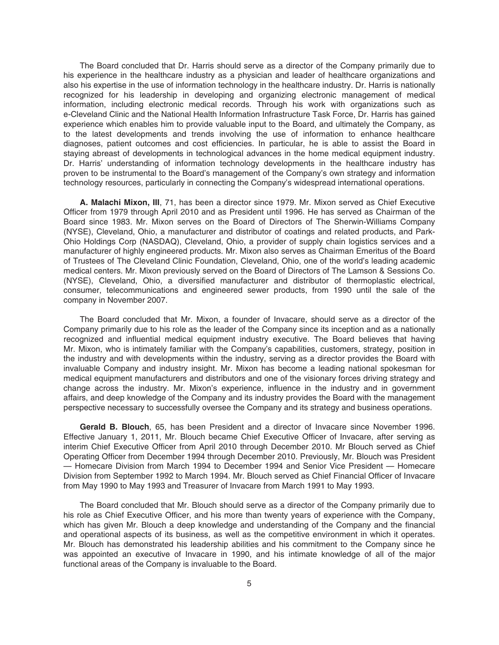The Board concluded that Dr. Harris should serve as a director of the Company primarily due to his experience in the healthcare industry as a physician and leader of healthcare organizations and also his expertise in the use of information technology in the healthcare industry. Dr. Harris is nationally recognized for his leadership in developing and organizing electronic management of medical information, including electronic medical records. Through his work with organizations such as e-Cleveland Clinic and the National Health Information Infrastructure Task Force, Dr. Harris has gained experience which enables him to provide valuable input to the Board, and ultimately the Company, as to the latest developments and trends involving the use of information to enhance healthcare diagnoses, patient outcomes and cost efficiencies. In particular, he is able to assist the Board in staying abreast of developments in technological advances in the home medical equipment industry. Dr. Harris' understanding of information technology developments in the healthcare industry has proven to be instrumental to the Board's management of the Company's own strategy and information technology resources, particularly in connecting the Company's widespread international operations.

**A. Malachi Mixon, III**, 71, has been a director since 1979. Mr. Mixon served as Chief Executive Officer from 1979 through April 2010 and as President until 1996. He has served as Chairman of the Board since 1983. Mr. Mixon serves on the Board of Directors of The Sherwin-Williams Company (NYSE), Cleveland, Ohio, a manufacturer and distributor of coatings and related products, and Park-Ohio Holdings Corp (NASDAQ), Cleveland, Ohio, a provider of supply chain logistics services and a manufacturer of highly engineered products. Mr. Mixon also serves as Chairman Emeritus of the Board of Trustees of The Cleveland Clinic Foundation, Cleveland, Ohio, one of the world's leading academic medical centers. Mr. Mixon previously served on the Board of Directors of The Lamson & Sessions Co. (NYSE), Cleveland, Ohio, a diversified manufacturer and distributor of thermoplastic electrical, consumer, telecommunications and engineered sewer products, from 1990 until the sale of the company in November 2007.

The Board concluded that Mr. Mixon, a founder of Invacare, should serve as a director of the Company primarily due to his role as the leader of the Company since its inception and as a nationally recognized and influential medical equipment industry executive. The Board believes that having Mr. Mixon, who is intimately familiar with the Company's capabilities, customers, strategy, position in the industry and with developments within the industry, serving as a director provides the Board with invaluable Company and industry insight. Mr. Mixon has become a leading national spokesman for medical equipment manufacturers and distributors and one of the visionary forces driving strategy and change across the industry. Mr. Mixon's experience, influence in the industry and in government affairs, and deep knowledge of the Company and its industry provides the Board with the management perspective necessary to successfully oversee the Company and its strategy and business operations.

**Gerald B. Blouch**, 65, has been President and a director of Invacare since November 1996. Effective January 1, 2011, Mr. Blouch became Chief Executive Officer of Invacare, after serving as interim Chief Executive Officer from April 2010 through December 2010. Mr Blouch served as Chief Operating Officer from December 1994 through December 2010. Previously, Mr. Blouch was President — Homecare Division from March 1994 to December 1994 and Senior Vice President — Homecare Division from September 1992 to March 1994. Mr. Blouch served as Chief Financial Officer of Invacare from May 1990 to May 1993 and Treasurer of Invacare from March 1991 to May 1993.

The Board concluded that Mr. Blouch should serve as a director of the Company primarily due to his role as Chief Executive Officer, and his more than twenty years of experience with the Company, which has given Mr. Blouch a deep knowledge and understanding of the Company and the financial and operational aspects of its business, as well as the competitive environment in which it operates. Mr. Blouch has demonstrated his leadership abilities and his commitment to the Company since he was appointed an executive of Invacare in 1990, and his intimate knowledge of all of the major functional areas of the Company is invaluable to the Board.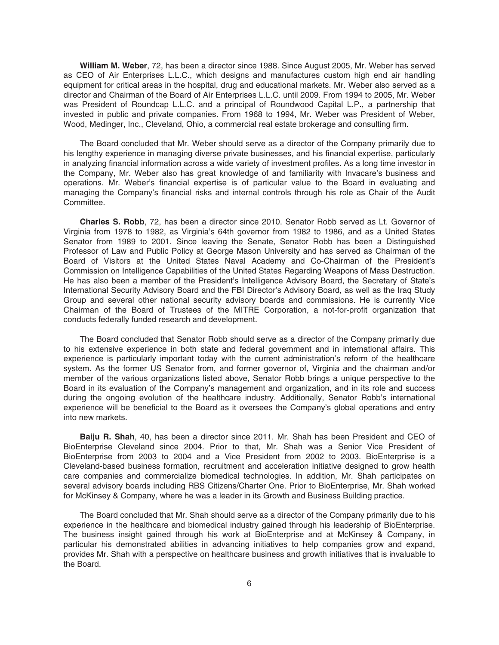**William M. Weber**, 72, has been a director since 1988. Since August 2005, Mr. Weber has served as CEO of Air Enterprises L.L.C., which designs and manufactures custom high end air handling equipment for critical areas in the hospital, drug and educational markets. Mr. Weber also served as a director and Chairman of the Board of Air Enterprises L.L.C. until 2009. From 1994 to 2005, Mr. Weber was President of Roundcap L.L.C. and a principal of Roundwood Capital L.P., a partnership that invested in public and private companies. From 1968 to 1994, Mr. Weber was President of Weber, Wood, Medinger, Inc., Cleveland, Ohio, a commercial real estate brokerage and consulting firm.

The Board concluded that Mr. Weber should serve as a director of the Company primarily due to his lengthy experience in managing diverse private businesses, and his financial expertise, particularly in analyzing financial information across a wide variety of investment profiles. As a long time investor in the Company, Mr. Weber also has great knowledge of and familiarity with Invacare's business and operations. Mr. Weber's financial expertise is of particular value to the Board in evaluating and managing the Company's financial risks and internal controls through his role as Chair of the Audit Committee.

**Charles S. Robb**, 72, has been a director since 2010. Senator Robb served as Lt. Governor of Virginia from 1978 to 1982, as Virginia's 64th governor from 1982 to 1986, and as a United States Senator from 1989 to 2001. Since leaving the Senate, Senator Robb has been a Distinguished Professor of Law and Public Policy at George Mason University and has served as Chairman of the Board of Visitors at the United States Naval Academy and Co-Chairman of the President's Commission on Intelligence Capabilities of the United States Regarding Weapons of Mass Destruction. He has also been a member of the President's Intelligence Advisory Board, the Secretary of State's International Security Advisory Board and the FBI Director's Advisory Board, as well as the Iraq Study Group and several other national security advisory boards and commissions. He is currently Vice Chairman of the Board of Trustees of the MITRE Corporation, a not-for-profit organization that conducts federally funded research and development.

The Board concluded that Senator Robb should serve as a director of the Company primarily due to his extensive experience in both state and federal government and in international affairs. This experience is particularly important today with the current administration's reform of the healthcare system. As the former US Senator from, and former governor of, Virginia and the chairman and/or member of the various organizations listed above, Senator Robb brings a unique perspective to the Board in its evaluation of the Company's management and organization, and in its role and success during the ongoing evolution of the healthcare industry. Additionally, Senator Robb's international experience will be beneficial to the Board as it oversees the Company's global operations and entry into new markets.

**Baiju R. Shah**, 40, has been a director since 2011. Mr. Shah has been President and CEO of BioEnterprise Cleveland since 2004. Prior to that, Mr. Shah was a Senior Vice President of BioEnterprise from 2003 to 2004 and a Vice President from 2002 to 2003. BioEnterprise is a Cleveland-based business formation, recruitment and acceleration initiative designed to grow health care companies and commercialize biomedical technologies. In addition, Mr. Shah participates on several advisory boards including RBS Citizens/Charter One. Prior to BioEnterprise, Mr. Shah worked for McKinsey & Company, where he was a leader in its Growth and Business Building practice.

The Board concluded that Mr. Shah should serve as a director of the Company primarily due to his experience in the healthcare and biomedical industry gained through his leadership of BioEnterprise. The business insight gained through his work at BioEnterprise and at McKinsey & Company, in particular his demonstrated abilities in advancing initiatives to help companies grow and expand, provides Mr. Shah with a perspective on healthcare business and growth initiatives that is invaluable to the Board.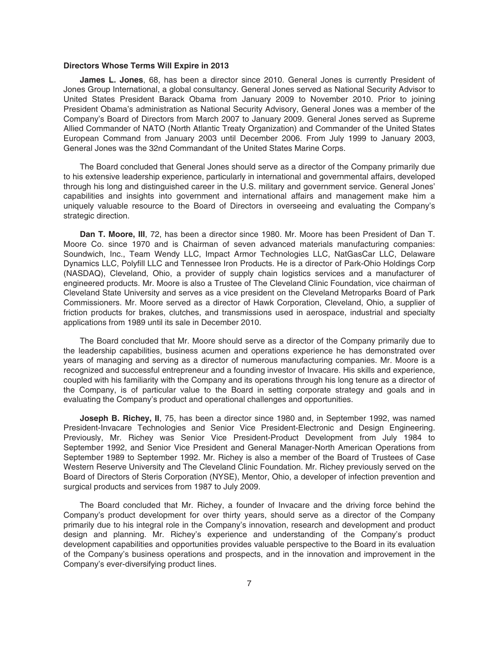#### **Directors Whose Terms Will Expire in 2013**

**James L. Jones**, 68, has been a director since 2010. General Jones is currently President of Jones Group International, a global consultancy. General Jones served as National Security Advisor to United States President Barack Obama from January 2009 to November 2010. Prior to joining President Obama's administration as National Security Advisory, General Jones was a member of the Company's Board of Directors from March 2007 to January 2009. General Jones served as Supreme Allied Commander of NATO (North Atlantic Treaty Organization) and Commander of the United States European Command from January 2003 until December 2006. From July 1999 to January 2003, General Jones was the 32nd Commandant of the United States Marine Corps.

The Board concluded that General Jones should serve as a director of the Company primarily due to his extensive leadership experience, particularly in international and governmental affairs, developed through his long and distinguished career in the U.S. military and government service. General Jones' capabilities and insights into government and international affairs and management make him a uniquely valuable resource to the Board of Directors in overseeing and evaluating the Company's strategic direction.

**Dan T. Moore, III**, 72, has been a director since 1980. Mr. Moore has been President of Dan T. Moore Co. since 1970 and is Chairman of seven advanced materials manufacturing companies: Soundwich, Inc., Team Wendy LLC, Impact Armor Technologies LLC, NatGasCar LLC, Delaware Dynamics LLC, Polyfill LLC and Tennessee Iron Products. He is a director of Park-Ohio Holdings Corp (NASDAQ), Cleveland, Ohio, a provider of supply chain logistics services and a manufacturer of engineered products. Mr. Moore is also a Trustee of The Cleveland Clinic Foundation, vice chairman of Cleveland State University and serves as a vice president on the Cleveland Metroparks Board of Park Commissioners. Mr. Moore served as a director of Hawk Corporation, Cleveland, Ohio, a supplier of friction products for brakes, clutches, and transmissions used in aerospace, industrial and specialty applications from 1989 until its sale in December 2010.

The Board concluded that Mr. Moore should serve as a director of the Company primarily due to the leadership capabilities, business acumen and operations experience he has demonstrated over years of managing and serving as a director of numerous manufacturing companies. Mr. Moore is a recognized and successful entrepreneur and a founding investor of Invacare. His skills and experience, coupled with his familiarity with the Company and its operations through his long tenure as a director of the Company, is of particular value to the Board in setting corporate strategy and goals and in evaluating the Company's product and operational challenges and opportunities.

**Joseph B. Richey, II, 75, has been a director since 1980 and, in September 1992, was named** President-Invacare Technologies and Senior Vice President-Electronic and Design Engineering. Previously, Mr. Richey was Senior Vice President-Product Development from July 1984 to September 1992, and Senior Vice President and General Manager-North American Operations from September 1989 to September 1992. Mr. Richey is also a member of the Board of Trustees of Case Western Reserve University and The Cleveland Clinic Foundation. Mr. Richey previously served on the Board of Directors of Steris Corporation (NYSE), Mentor, Ohio, a developer of infection prevention and surgical products and services from 1987 to July 2009.

The Board concluded that Mr. Richey, a founder of Invacare and the driving force behind the Company's product development for over thirty years, should serve as a director of the Company primarily due to his integral role in the Company's innovation, research and development and product design and planning. Mr. Richey's experience and understanding of the Company's product development capabilities and opportunities provides valuable perspective to the Board in its evaluation of the Company's business operations and prospects, and in the innovation and improvement in the Company's ever-diversifying product lines.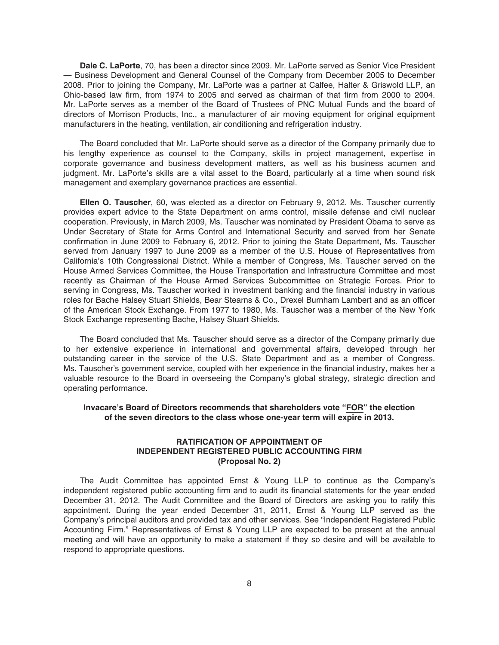**Dale C. LaPorte**, 70, has been a director since 2009. Mr. LaPorte served as Senior Vice President — Business Development and General Counsel of the Company from December 2005 to December 2008. Prior to joining the Company, Mr. LaPorte was a partner at Calfee, Halter & Griswold LLP, an Ohio-based law firm, from 1974 to 2005 and served as chairman of that firm from 2000 to 2004. Mr. LaPorte serves as a member of the Board of Trustees of PNC Mutual Funds and the board of directors of Morrison Products, Inc., a manufacturer of air moving equipment for original equipment manufacturers in the heating, ventilation, air conditioning and refrigeration industry.

The Board concluded that Mr. LaPorte should serve as a director of the Company primarily due to his lengthy experience as counsel to the Company, skills in project management, expertise in corporate governance and business development matters, as well as his business acumen and judgment. Mr. LaPorte's skills are a vital asset to the Board, particularly at a time when sound risk management and exemplary governance practices are essential.

**Ellen O. Tauscher**, 60, was elected as a director on February 9, 2012. Ms. Tauscher currently provides expert advice to the State Department on arms control, missile defense and civil nuclear cooperation. Previously, in March 2009, Ms. Tauscher was nominated by President Obama to serve as Under Secretary of State for Arms Control and International Security and served from her Senate confirmation in June 2009 to February 6, 2012. Prior to joining the State Department, Ms. Tauscher served from January 1997 to June 2009 as a member of the U.S. House of Representatives from California's 10th Congressional District. While a member of Congress, Ms. Tauscher served on the House Armed Services Committee, the House Transportation and Infrastructure Committee and most recently as Chairman of the House Armed Services Subcommittee on Strategic Forces. Prior to serving in Congress, Ms. Tauscher worked in investment banking and the financial industry in various roles for Bache Halsey Stuart Shields, Bear Stearns & Co., Drexel Burnham Lambert and as an officer of the American Stock Exchange. From 1977 to 1980, Ms. Tauscher was a member of the New York Stock Exchange representing Bache, Halsey Stuart Shields.

The Board concluded that Ms. Tauscher should serve as a director of the Company primarily due to her extensive experience in international and governmental affairs, developed through her outstanding career in the service of the U.S. State Department and as a member of Congress. Ms. Tauscher's government service, coupled with her experience in the financial industry, makes her a valuable resource to the Board in overseeing the Company's global strategy, strategic direction and operating performance.

### **Invacare's Board of Directors recommends that shareholders vote "FOR" the election of the seven directors to the class whose one-year term will expire in 2013.**

### **RATIFICATION OF APPOINTMENT OF INDEPENDENT REGISTERED PUBLIC ACCOUNTING FIRM (Proposal No. 2)**

The Audit Committee has appointed Ernst & Young LLP to continue as the Company's independent registered public accounting firm and to audit its financial statements for the year ended December 31, 2012. The Audit Committee and the Board of Directors are asking you to ratify this appointment. During the year ended December 31, 2011, Ernst & Young LLP served as the Company's principal auditors and provided tax and other services. See "Independent Registered Public Accounting Firm." Representatives of Ernst & Young LLP are expected to be present at the annual meeting and will have an opportunity to make a statement if they so desire and will be available to respond to appropriate questions.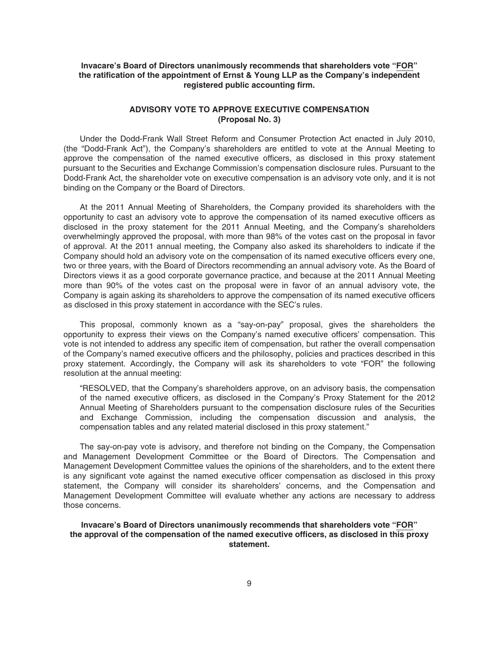## **Invacare's Board of Directors unanimously recommends that shareholders vote "FOR" the ratification of the appointment of Ernst & Young LLP as the Company's independent registered public accounting firm.**

## **ADVISORY VOTE TO APPROVE EXECUTIVE COMPENSATION (Proposal No. 3)**

Under the Dodd-Frank Wall Street Reform and Consumer Protection Act enacted in July 2010, (the "Dodd-Frank Act"), the Company's shareholders are entitled to vote at the Annual Meeting to approve the compensation of the named executive officers, as disclosed in this proxy statement pursuant to the Securities and Exchange Commission's compensation disclosure rules. Pursuant to the Dodd-Frank Act, the shareholder vote on executive compensation is an advisory vote only, and it is not binding on the Company or the Board of Directors.

At the 2011 Annual Meeting of Shareholders, the Company provided its shareholders with the opportunity to cast an advisory vote to approve the compensation of its named executive officers as disclosed in the proxy statement for the 2011 Annual Meeting, and the Company's shareholders overwhelmingly approved the proposal, with more than 98% of the votes cast on the proposal in favor of approval. At the 2011 annual meeting, the Company also asked its shareholders to indicate if the Company should hold an advisory vote on the compensation of its named executive officers every one, two or three years, with the Board of Directors recommending an annual advisory vote. As the Board of Directors views it as a good corporate governance practice, and because at the 2011 Annual Meeting more than 90% of the votes cast on the proposal were in favor of an annual advisory vote, the Company is again asking its shareholders to approve the compensation of its named executive officers as disclosed in this proxy statement in accordance with the SEC's rules.

This proposal, commonly known as a "say-on-pay" proposal, gives the shareholders the opportunity to express their views on the Company's named executive officers' compensation. This vote is not intended to address any specific item of compensation, but rather the overall compensation of the Company's named executive officers and the philosophy, policies and practices described in this proxy statement. Accordingly, the Company will ask its shareholders to vote "FOR" the following resolution at the annual meeting:

"RESOLVED, that the Company's shareholders approve, on an advisory basis, the compensation of the named executive officers, as disclosed in the Company's Proxy Statement for the 2012 Annual Meeting of Shareholders pursuant to the compensation disclosure rules of the Securities and Exchange Commission, including the compensation discussion and analysis, the compensation tables and any related material disclosed in this proxy statement."

The say-on-pay vote is advisory, and therefore not binding on the Company, the Compensation and Management Development Committee or the Board of Directors. The Compensation and Management Development Committee values the opinions of the shareholders, and to the extent there is any significant vote against the named executive officer compensation as disclosed in this proxy statement, the Company will consider its shareholders' concerns, and the Compensation and Management Development Committee will evaluate whether any actions are necessary to address those concerns.

### **Invacare's Board of Directors unanimously recommends that shareholders vote "FOR" the approval of the compensation of the named executive officers, as disclosed in this proxy statement.**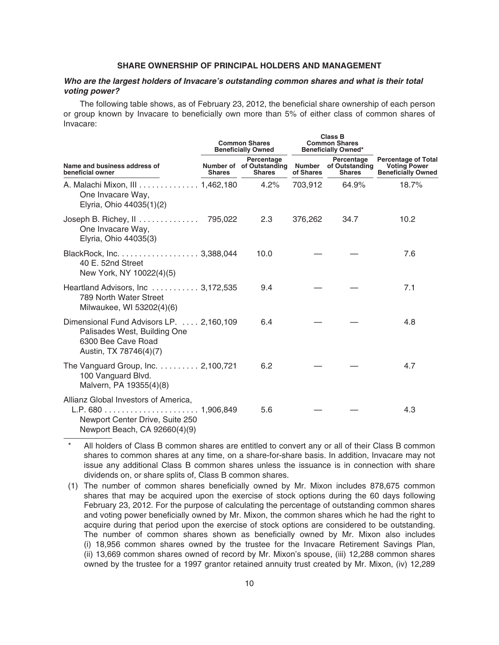### **SHARE OWNERSHIP OF PRINCIPAL HOLDERS AND MANAGEMENT**

### *Who are the largest holders of Invacare's outstanding common shares and what is their total voting power?*

The following table shows, as of February 23, 2012, the beneficial share ownership of each person or group known by Invacare to beneficially own more than 5% of either class of common shares of Invacare:

|                                                                                                                          |               | <b>Common Shares</b><br><b>Beneficially Owned</b>       |                     | <b>Class B</b><br><b>Common Shares</b><br><b>Beneficially Owned*</b> | <b>Percentage of Total</b><br><b>Voting Power</b><br><b>Beneficially Owned</b> |  |
|--------------------------------------------------------------------------------------------------------------------------|---------------|---------------------------------------------------------|---------------------|----------------------------------------------------------------------|--------------------------------------------------------------------------------|--|
| Name and business address of<br>beneficial owner                                                                         | <b>Shares</b> | Percentage<br>Number of of Outstanding<br><b>Shares</b> | Number<br>of Shares | Percentage<br>of Outstanding<br><b>Shares</b>                        |                                                                                |  |
| A. Malachi Mixon, III 1,462,180 4.2%<br>One Invacare Way,<br>Elyria, Ohio 44035(1)(2)                                    |               |                                                         | 703,912             | 64.9%                                                                | 18.7%                                                                          |  |
| Joseph B. Richey, II 795,022<br>One Invacare Way,<br>Elyria, Ohio 44035(3)                                               |               | 2.3                                                     | 376,262             | 34.7                                                                 | 10.2                                                                           |  |
| BlackRock, Inc. 3,388,044<br>40 E. 52nd Street<br>New York, NY 10022(4)(5)                                               |               | 10.0                                                    |                     |                                                                      | 7.6                                                                            |  |
| Heartland Advisors, Inc  3,172,535<br>789 North Water Street<br>Milwaukee, WI 53202(4)(6)                                |               | 9.4                                                     |                     |                                                                      | 7.1                                                                            |  |
| Dimensional Fund Advisors LP.  2,160,109<br>Palisades West, Building One<br>6300 Bee Cave Road<br>Austin, TX 78746(4)(7) |               | 6.4                                                     |                     |                                                                      | 4.8                                                                            |  |
| The Vanguard Group, Inc. 2,100,721<br>100 Vanguard Blvd.<br>Malvern, PA 19355(4)(8)                                      |               | 6.2                                                     |                     |                                                                      | 4.7                                                                            |  |
| Allianz Global Investors of America,<br>Newport Center Drive, Suite 250<br>Newport Beach, CA 92660(4)(9)                 |               | 5.6                                                     |                     |                                                                      | 4.3                                                                            |  |

All holders of Class B common shares are entitled to convert any or all of their Class B common shares to common shares at any time, on a share-for-share basis. In addition, Invacare may not issue any additional Class B common shares unless the issuance is in connection with share dividends on, or share splits of, Class B common shares.

(1) The number of common shares beneficially owned by Mr. Mixon includes 878,675 common shares that may be acquired upon the exercise of stock options during the 60 days following February 23, 2012. For the purpose of calculating the percentage of outstanding common shares and voting power beneficially owned by Mr. Mixon, the common shares which he had the right to acquire during that period upon the exercise of stock options are considered to be outstanding. The number of common shares shown as beneficially owned by Mr. Mixon also includes (i) 18,956 common shares owned by the trustee for the Invacare Retirement Savings Plan, (ii) 13,669 common shares owned of record by Mr. Mixon's spouse, (iii) 12,288 common shares owned by the trustee for a 1997 grantor retained annuity trust created by Mr. Mixon, (iv) 12,289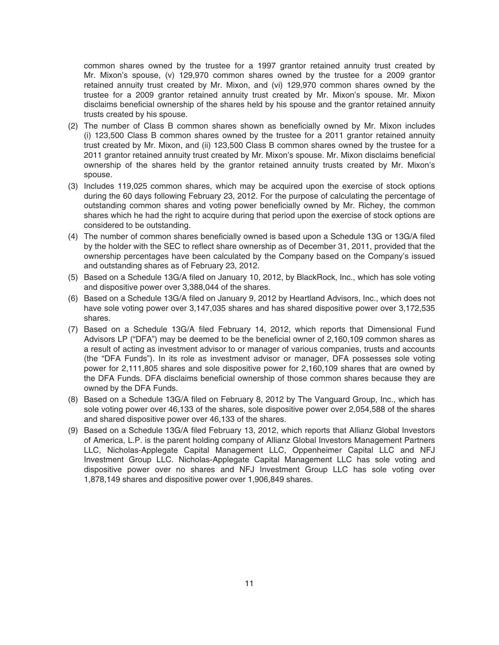common shares owned by the trustee for a 1997 grantor retained annuity trust created by Mr. Mixon's spouse, (v) 129,970 common shares owned by the trustee for a 2009 grantor retained annuity trust created by Mr. Mixon, and (vi) 129,970 common shares owned by the trustee for a 2009 grantor retained annuity trust created by Mr. Mixon's spouse. Mr. Mixon disclaims beneficial ownership of the shares held by his spouse and the grantor retained annuity trusts created by his spouse.

- (2) The number of Class B common shares shown as beneficially owned by Mr. Mixon includes (i) 123,500 Class B common shares owned by the trustee for a 2011 grantor retained annuity trust created by Mr. Mixon, and (ii) 123,500 Class B common shares owned by the trustee for a 2011 grantor retained annuity trust created by Mr. Mixon's spouse. Mr. Mixon disclaims beneficial ownership of the shares held by the grantor retained annuity trusts created by Mr. Mixon's spouse.
- (3) Includes 119,025 common shares, which may be acquired upon the exercise of stock options during the 60 days following February 23, 2012. For the purpose of calculating the percentage of outstanding common shares and voting power beneficially owned by Mr. Richey, the common shares which he had the right to acquire during that period upon the exercise of stock options are considered to be outstanding.
- (4) The number of common shares beneficially owned is based upon a Schedule 13G or 13G/A filed by the holder with the SEC to reflect share ownership as of December 31, 2011, provided that the ownership percentages have been calculated by the Company based on the Company's issued and outstanding shares as of February 23, 2012.
- (5) Based on a Schedule 13G/A filed on January 10, 2012, by BlackRock, Inc., which has sole voting and dispositive power over 3,388,044 of the shares.
- (6) Based on a Schedule 13G/A filed on January 9, 2012 by Heartland Advisors, Inc., which does not have sole voting power over 3,147,035 shares and has shared dispositive power over 3,172,535 shares.
- (7) Based on a Schedule 13G/A filed February 14, 2012, which reports that Dimensional Fund Advisors LP ("DFA") may be deemed to be the beneficial owner of 2,160,109 common shares as a result of acting as investment advisor to or manager of various companies, trusts and accounts (the "DFA Funds"). In its role as investment advisor or manager, DFA possesses sole voting power for 2,111,805 shares and sole dispositive power for 2,160,109 shares that are owned by the DFA Funds. DFA disclaims beneficial ownership of those common shares because they are owned by the DFA Funds.
- (8) Based on a Schedule 13G/A filed on February 8, 2012 by The Vanguard Group, Inc., which has sole voting power over 46,133 of the shares, sole dispositive power over 2,054,588 of the shares and shared dispositive power over 46,133 of the shares.
- (9) Based on a Schedule 13G/A filed February 13, 2012, which reports that Allianz Global Investors of America, L.P. is the parent holding company of Allianz Global Investors Management Partners LLC, Nicholas-Applegate Capital Management LLC, Oppenheimer Capital LLC and NFJ Investment Group LLC. Nicholas-Applegate Capital Management LLC has sole voting and dispositive power over no shares and NFJ Investment Group LLC has sole voting over 1,878,149 shares and dispositive power over 1,906,849 shares.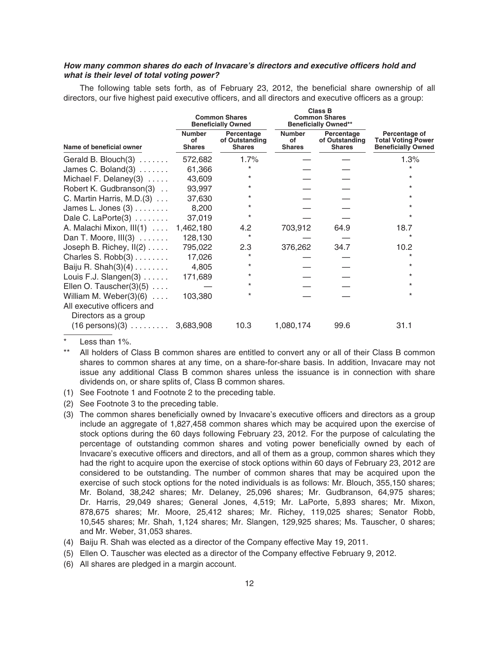## *How many common shares do each of Invacare's directors and executive officers hold and what is their level of total voting power?*

The following table sets forth, as of February 23, 2012, the beneficial share ownership of all directors, our five highest paid executive officers, and all directors and executive officers as a group:

|                                                                                     |                                      | <b>Common Shares</b><br><b>Beneficially Owned</b> |                                      | <b>Class B</b><br><b>Common Shares</b><br><b>Beneficially Owned**</b> | Percentage of<br><b>Total Voting Power</b><br><b>Beneficially Owned</b> |  |
|-------------------------------------------------------------------------------------|--------------------------------------|---------------------------------------------------|--------------------------------------|-----------------------------------------------------------------------|-------------------------------------------------------------------------|--|
| Name of beneficial owner                                                            | <b>Number</b><br>οf<br><b>Shares</b> | Percentage<br>of Outstanding<br><b>Shares</b>     | <b>Number</b><br>οf<br><b>Shares</b> | Percentage<br>of Outstanding<br><b>Shares</b>                         |                                                                         |  |
| Gerald B. Blouch $(3)$                                                              | 572,682                              | 1.7%                                              |                                      |                                                                       | 1.3%                                                                    |  |
| James C. Boland $(3)$                                                               | 61,366                               |                                                   |                                      |                                                                       | $\star$                                                                 |  |
| Michael F. Delaney $(3)$                                                            | 43,609                               | $\ast$                                            |                                      |                                                                       | $\ast$                                                                  |  |
| Robert K. Gudbranson(3)                                                             | 93,997                               | $^\star$                                          |                                      |                                                                       | $\star$                                                                 |  |
| C. Martin Harris, M.D. $(3)$                                                        | 37,630                               | $^\star$                                          |                                      |                                                                       | *                                                                       |  |
| James L. Jones $(3)$                                                                | 8,200                                | $\star$                                           |                                      |                                                                       | *                                                                       |  |
| Dale C. LaPorte(3)                                                                  | 37,019                               | $\star$                                           |                                      |                                                                       | $^\star$                                                                |  |
| A. Malachi Mixon, III(1)                                                            | 1,462,180                            | 4.2                                               | 703,912                              | 64.9                                                                  | 18.7                                                                    |  |
| Dan T. Moore, $III(3)$                                                              | 128,130                              | $^\star$                                          |                                      |                                                                       |                                                                         |  |
| Joseph B. Richey, $II(2)$                                                           | 795,022                              | 2.3                                               | 376,262                              | 34.7                                                                  | 10.2                                                                    |  |
| Charles S. $Robb(3)$                                                                | 17,026                               | $\star$                                           |                                      |                                                                       | $\star$                                                                 |  |
| Baiju R. Shah $(3)(4)$                                                              | 4,805                                | $\star$                                           |                                      |                                                                       | *                                                                       |  |
| Louis F.J. Slangen(3)                                                               | 171,689                              | $^\star$                                          |                                      |                                                                       | $\ast$                                                                  |  |
| Ellen O. Tauscher $(3)(5)$                                                          |                                      | $\star$                                           |                                      |                                                                       | *                                                                       |  |
| William M. Weber $(3)(6)$<br>All executive officers and                             | 103,380                              | $\star$                                           |                                      |                                                                       | $\star$                                                                 |  |
| Directors as a group<br>$(16 \text{ persons})(3) \dots \dots \dots \dots 3,683,908$ |                                      | 10.3                                              | 1,080,174                            | 99.6                                                                  | 31.1                                                                    |  |

Less than  $1\%$ .

- (1) See Footnote 1 and Footnote 2 to the preceding table.
- (2) See Footnote 3 to the preceding table.
- (3) The common shares beneficially owned by Invacare's executive officers and directors as a group include an aggregate of 1,827,458 common shares which may be acquired upon the exercise of stock options during the 60 days following February 23, 2012. For the purpose of calculating the percentage of outstanding common shares and voting power beneficially owned by each of Invacare's executive officers and directors, and all of them as a group, common shares which they had the right to acquire upon the exercise of stock options within 60 days of February 23, 2012 are considered to be outstanding. The number of common shares that may be acquired upon the exercise of such stock options for the noted individuals is as follows: Mr. Blouch, 355,150 shares; Mr. Boland, 38,242 shares; Mr. Delaney, 25,096 shares; Mr. Gudbranson, 64,975 shares; Dr. Harris, 29,049 shares; General Jones, 4,519; Mr. LaPorte, 5,893 shares; Mr. Mixon, 878,675 shares; Mr. Moore, 25,412 shares; Mr. Richey, 119,025 shares; Senator Robb, 10,545 shares; Mr. Shah, 1,124 shares; Mr. Slangen, 129,925 shares; Ms. Tauscher, 0 shares; and Mr. Weber, 31,053 shares.
- (4) Baiju R. Shah was elected as a director of the Company effective May 19, 2011.
- (5) Ellen O. Tauscher was elected as a director of the Company effective February 9, 2012.
- (6) All shares are pledged in a margin account.

All holders of Class B common shares are entitled to convert any or all of their Class B common shares to common shares at any time, on a share-for-share basis. In addition, Invacare may not issue any additional Class B common shares unless the issuance is in connection with share dividends on, or share splits of, Class B common shares.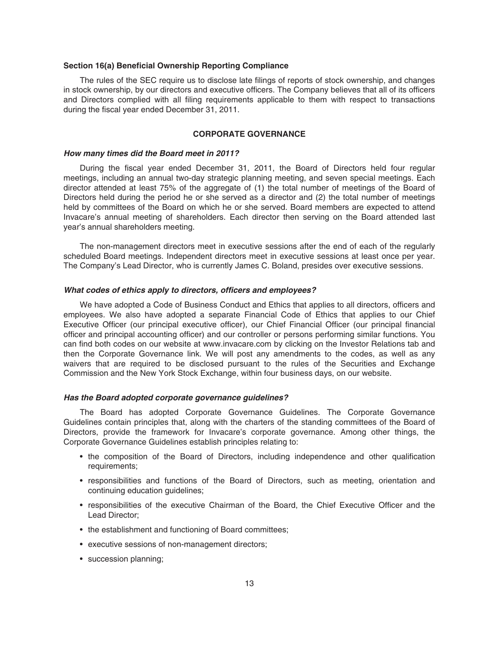#### **Section 16(a) Beneficial Ownership Reporting Compliance**

The rules of the SEC require us to disclose late filings of reports of stock ownership, and changes in stock ownership, by our directors and executive officers. The Company believes that all of its officers and Directors complied with all filing requirements applicable to them with respect to transactions during the fiscal year ended December 31, 2011.

## **CORPORATE GOVERNANCE**

#### *How many times did the Board meet in 2011?*

During the fiscal year ended December 31, 2011, the Board of Directors held four regular meetings, including an annual two-day strategic planning meeting, and seven special meetings. Each director attended at least 75% of the aggregate of (1) the total number of meetings of the Board of Directors held during the period he or she served as a director and (2) the total number of meetings held by committees of the Board on which he or she served. Board members are expected to attend Invacare's annual meeting of shareholders. Each director then serving on the Board attended last year's annual shareholders meeting.

The non-management directors meet in executive sessions after the end of each of the regularly scheduled Board meetings. Independent directors meet in executive sessions at least once per year. The Company's Lead Director, who is currently James C. Boland, presides over executive sessions.

### *What codes of ethics apply to directors, officers and employees?*

We have adopted a Code of Business Conduct and Ethics that applies to all directors, officers and employees. We also have adopted a separate Financial Code of Ethics that applies to our Chief Executive Officer (our principal executive officer), our Chief Financial Officer (our principal financial officer and principal accounting officer) and our controller or persons performing similar functions. You can find both codes on our website at www.invacare.com by clicking on the Investor Relations tab and then the Corporate Governance link. We will post any amendments to the codes, as well as any waivers that are required to be disclosed pursuant to the rules of the Securities and Exchange Commission and the New York Stock Exchange, within four business days, on our website.

### *Has the Board adopted corporate governance guidelines?*

The Board has adopted Corporate Governance Guidelines. The Corporate Governance Guidelines contain principles that, along with the charters of the standing committees of the Board of Directors, provide the framework for Invacare's corporate governance. Among other things, the Corporate Governance Guidelines establish principles relating to:

- the composition of the Board of Directors, including independence and other qualification requirements;
- responsibilities and functions of the Board of Directors, such as meeting, orientation and continuing education guidelines;
- responsibilities of the executive Chairman of the Board, the Chief Executive Officer and the Lead Director;
- the establishment and functioning of Board committees;
- executive sessions of non-management directors;
- succession planning;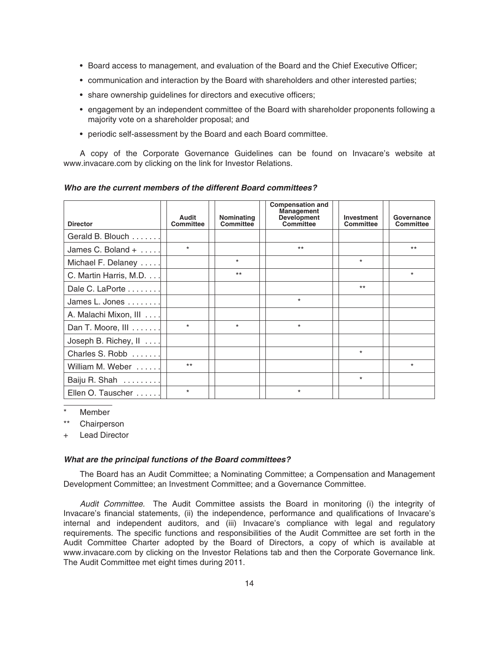- Board access to management, and evaluation of the Board and the Chief Executive Officer;
- communication and interaction by the Board with shareholders and other interested parties;
- share ownership guidelines for directors and executive officers;
- engagement by an independent committee of the Board with shareholder proponents following a majority vote on a shareholder proposal; and
- periodic self-assessment by the Board and each Board committee.

A copy of the Corporate Governance Guidelines can be found on Invacare's website at www.invacare.com by clicking on the link for Investor Relations.

| <b>Director</b>              | Audit<br><b>Committee</b> | Nominating<br><b>Committee</b> | <b>Compensation and</b><br><b>Management</b><br><b>Development</b><br>Committee | Investment<br><b>Committee</b> | Governance<br>Committee |
|------------------------------|---------------------------|--------------------------------|---------------------------------------------------------------------------------|--------------------------------|-------------------------|
| Gerald B. Blouch             |                           |                                |                                                                                 |                                |                         |
| James C. Boland $+ \ldots$ . | $\star$                   |                                | $***$                                                                           |                                | $***$                   |
| Michael F. Delaney           |                           | $\star$                        |                                                                                 | $\star$                        |                         |
| C. Martin Harris, M.D.       |                           | $***$                          |                                                                                 |                                | $\star$                 |
| Dale C. LaPorte              |                           |                                |                                                                                 | $***$                          |                         |
| James L. Jones               |                           |                                | $\star$                                                                         |                                |                         |
| A. Malachi Mixon, III        |                           |                                |                                                                                 |                                |                         |
| Dan T. Moore, III            | $\star$                   | $\star$                        | $\star$                                                                         |                                |                         |
| Joseph B. Richey, $   \dots$ |                           |                                |                                                                                 |                                |                         |
| Charles S. Robb              |                           |                                |                                                                                 | $\star$                        |                         |
| William M. Weber             | $***$                     |                                |                                                                                 |                                | $\star$                 |
| Baiju R. Shah                |                           |                                |                                                                                 | $\star$                        |                         |
| Ellen O. Tauscher            | $\star$                   |                                | $\star$                                                                         |                                |                         |

*Who are the current members of the different Board committees?*

**Member** 

\*\* Chairperson

**Lead Director** 

#### *What are the principal functions of the Board committees?*

The Board has an Audit Committee; a Nominating Committee; a Compensation and Management Development Committee; an Investment Committee; and a Governance Committee.

Audit Committee. The Audit Committee assists the Board in monitoring (i) the integrity of Invacare's financial statements, (ii) the independence, performance and qualifications of Invacare's internal and independent auditors, and (iii) Invacare's compliance with legal and regulatory requirements. The specific functions and responsibilities of the Audit Committee are set forth in the Audit Committee Charter adopted by the Board of Directors, a copy of which is available at www.invacare.com by clicking on the Investor Relations tab and then the Corporate Governance link. The Audit Committee met eight times during 2011.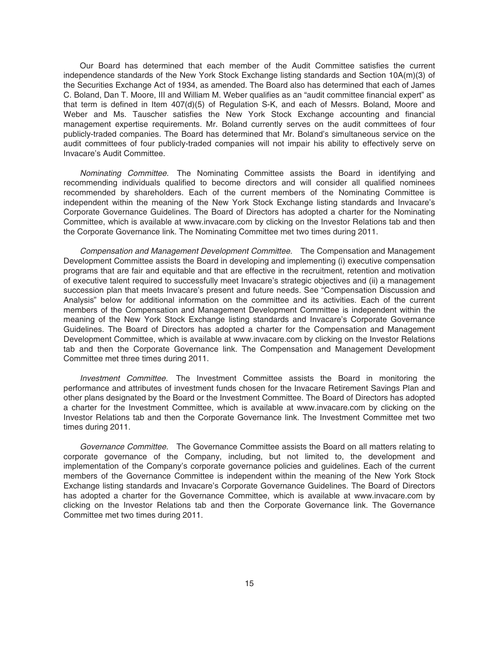Our Board has determined that each member of the Audit Committee satisfies the current independence standards of the New York Stock Exchange listing standards and Section 10A(m)(3) of the Securities Exchange Act of 1934, as amended. The Board also has determined that each of James C. Boland, Dan T. Moore, III and William M. Weber qualifies as an "audit committee financial expert" as that term is defined in Item 407(d)(5) of Regulation S-K, and each of Messrs. Boland, Moore and Weber and Ms. Tauscher satisfies the New York Stock Exchange accounting and financial management expertise requirements. Mr. Boland currently serves on the audit committees of four publicly-traded companies. The Board has determined that Mr. Boland's simultaneous service on the audit committees of four publicly-traded companies will not impair his ability to effectively serve on Invacare's Audit Committee.

Nominating Committee. The Nominating Committee assists the Board in identifying and recommending individuals qualified to become directors and will consider all qualified nominees recommended by shareholders. Each of the current members of the Nominating Committee is independent within the meaning of the New York Stock Exchange listing standards and Invacare's Corporate Governance Guidelines. The Board of Directors has adopted a charter for the Nominating Committee, which is available at www.invacare.com by clicking on the Investor Relations tab and then the Corporate Governance link. The Nominating Committee met two times during 2011.

Compensation and Management Development Committee. The Compensation and Management Development Committee assists the Board in developing and implementing (i) executive compensation programs that are fair and equitable and that are effective in the recruitment, retention and motivation of executive talent required to successfully meet Invacare's strategic objectives and (ii) a management succession plan that meets Invacare's present and future needs. See "Compensation Discussion and Analysis" below for additional information on the committee and its activities. Each of the current members of the Compensation and Management Development Committee is independent within the meaning of the New York Stock Exchange listing standards and Invacare's Corporate Governance Guidelines. The Board of Directors has adopted a charter for the Compensation and Management Development Committee, which is available at www.invacare.com by clicking on the Investor Relations tab and then the Corporate Governance link. The Compensation and Management Development Committee met three times during 2011.

Investment Committee. The Investment Committee assists the Board in monitoring the performance and attributes of investment funds chosen for the Invacare Retirement Savings Plan and other plans designated by the Board or the Investment Committee. The Board of Directors has adopted a charter for the Investment Committee, which is available at www.invacare.com by clicking on the Investor Relations tab and then the Corporate Governance link. The Investment Committee met two times during 2011.

Governance Committee. The Governance Committee assists the Board on all matters relating to corporate governance of the Company, including, but not limited to, the development and implementation of the Company's corporate governance policies and guidelines. Each of the current members of the Governance Committee is independent within the meaning of the New York Stock Exchange listing standards and Invacare's Corporate Governance Guidelines. The Board of Directors has adopted a charter for the Governance Committee, which is available at www.invacare.com by clicking on the Investor Relations tab and then the Corporate Governance link. The Governance Committee met two times during 2011.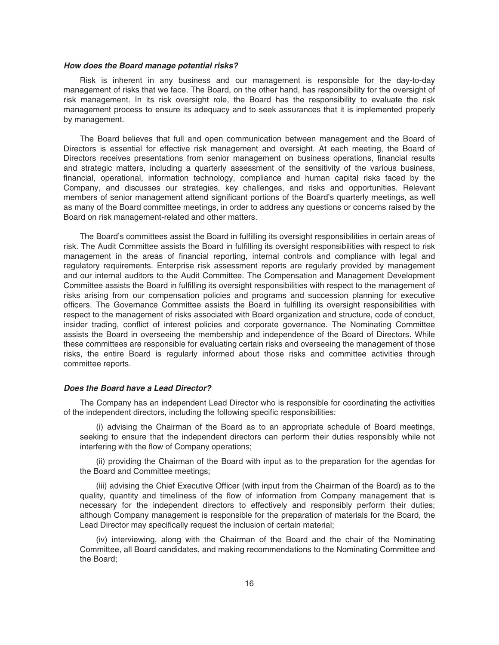#### *How does the Board manage potential risks?*

Risk is inherent in any business and our management is responsible for the day-to-day management of risks that we face. The Board, on the other hand, has responsibility for the oversight of risk management. In its risk oversight role, the Board has the responsibility to evaluate the risk management process to ensure its adequacy and to seek assurances that it is implemented properly by management.

The Board believes that full and open communication between management and the Board of Directors is essential for effective risk management and oversight. At each meeting, the Board of Directors receives presentations from senior management on business operations, financial results and strategic matters, including a quarterly assessment of the sensitivity of the various business, financial, operational, information technology, compliance and human capital risks faced by the Company, and discusses our strategies, key challenges, and risks and opportunities. Relevant members of senior management attend significant portions of the Board's quarterly meetings, as well as many of the Board committee meetings, in order to address any questions or concerns raised by the Board on risk management-related and other matters.

The Board's committees assist the Board in fulfilling its oversight responsibilities in certain areas of risk. The Audit Committee assists the Board in fulfilling its oversight responsibilities with respect to risk management in the areas of financial reporting, internal controls and compliance with legal and regulatory requirements. Enterprise risk assessment reports are regularly provided by management and our internal auditors to the Audit Committee. The Compensation and Management Development Committee assists the Board in fulfilling its oversight responsibilities with respect to the management of risks arising from our compensation policies and programs and succession planning for executive officers. The Governance Committee assists the Board in fulfilling its oversight responsibilities with respect to the management of risks associated with Board organization and structure, code of conduct, insider trading, conflict of interest policies and corporate governance. The Nominating Committee assists the Board in overseeing the membership and independence of the Board of Directors. While these committees are responsible for evaluating certain risks and overseeing the management of those risks, the entire Board is regularly informed about those risks and committee activities through committee reports.

#### *Does the Board have a Lead Director?*

The Company has an independent Lead Director who is responsible for coordinating the activities of the independent directors, including the following specific responsibilities:

(i) advising the Chairman of the Board as to an appropriate schedule of Board meetings, seeking to ensure that the independent directors can perform their duties responsibly while not interfering with the flow of Company operations;

(ii) providing the Chairman of the Board with input as to the preparation for the agendas for the Board and Committee meetings;

(iii) advising the Chief Executive Officer (with input from the Chairman of the Board) as to the quality, quantity and timeliness of the flow of information from Company management that is necessary for the independent directors to effectively and responsibly perform their duties; although Company management is responsible for the preparation of materials for the Board, the Lead Director may specifically request the inclusion of certain material;

(iv) interviewing, along with the Chairman of the Board and the chair of the Nominating Committee, all Board candidates, and making recommendations to the Nominating Committee and the Board;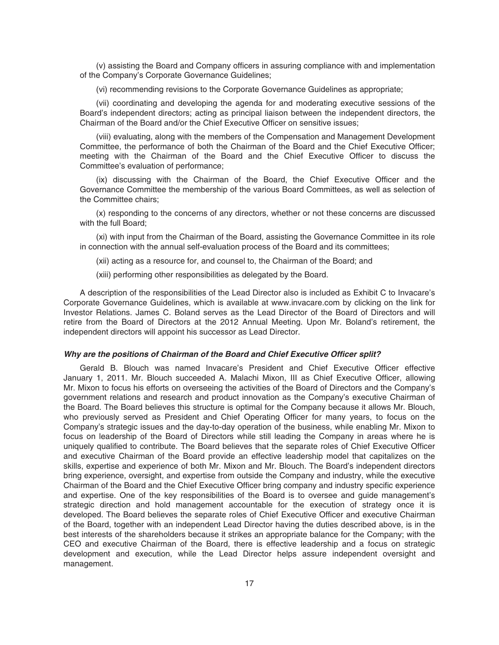(v) assisting the Board and Company officers in assuring compliance with and implementation of the Company's Corporate Governance Guidelines;

(vi) recommending revisions to the Corporate Governance Guidelines as appropriate;

(vii) coordinating and developing the agenda for and moderating executive sessions of the Board's independent directors; acting as principal liaison between the independent directors, the Chairman of the Board and/or the Chief Executive Officer on sensitive issues;

(viii) evaluating, along with the members of the Compensation and Management Development Committee, the performance of both the Chairman of the Board and the Chief Executive Officer; meeting with the Chairman of the Board and the Chief Executive Officer to discuss the Committee's evaluation of performance;

(ix) discussing with the Chairman of the Board, the Chief Executive Officer and the Governance Committee the membership of the various Board Committees, as well as selection of the Committee chairs;

(x) responding to the concerns of any directors, whether or not these concerns are discussed with the full Board;

(xi) with input from the Chairman of the Board, assisting the Governance Committee in its role in connection with the annual self-evaluation process of the Board and its committees;

(xii) acting as a resource for, and counsel to, the Chairman of the Board; and

(xiii) performing other responsibilities as delegated by the Board.

A description of the responsibilities of the Lead Director also is included as Exhibit C to Invacare's Corporate Governance Guidelines, which is available at www.invacare.com by clicking on the link for Investor Relations. James C. Boland serves as the Lead Director of the Board of Directors and will retire from the Board of Directors at the 2012 Annual Meeting. Upon Mr. Boland's retirement, the independent directors will appoint his successor as Lead Director.

#### *Why are the positions of Chairman of the Board and Chief Executive Officer split?*

Gerald B. Blouch was named Invacare's President and Chief Executive Officer effective January 1, 2011. Mr. Blouch succeeded A. Malachi Mixon, III as Chief Executive Officer, allowing Mr. Mixon to focus his efforts on overseeing the activities of the Board of Directors and the Company's government relations and research and product innovation as the Company's executive Chairman of the Board. The Board believes this structure is optimal for the Company because it allows Mr. Blouch, who previously served as President and Chief Operating Officer for many years, to focus on the Company's strategic issues and the day-to-day operation of the business, while enabling Mr. Mixon to focus on leadership of the Board of Directors while still leading the Company in areas where he is uniquely qualified to contribute. The Board believes that the separate roles of Chief Executive Officer and executive Chairman of the Board provide an effective leadership model that capitalizes on the skills, expertise and experience of both Mr. Mixon and Mr. Blouch. The Board's independent directors bring experience, oversight, and expertise from outside the Company and industry, while the executive Chairman of the Board and the Chief Executive Officer bring company and industry specific experience and expertise. One of the key responsibilities of the Board is to oversee and guide management's strategic direction and hold management accountable for the execution of strategy once it is developed. The Board believes the separate roles of Chief Executive Officer and executive Chairman of the Board, together with an independent Lead Director having the duties described above, is in the best interests of the shareholders because it strikes an appropriate balance for the Company; with the CEO and executive Chairman of the Board, there is effective leadership and a focus on strategic development and execution, while the Lead Director helps assure independent oversight and management.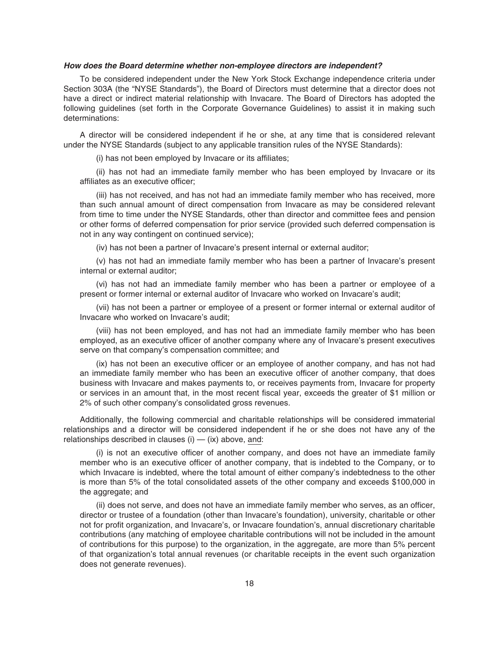#### *How does the Board determine whether non-employee directors are independent?*

To be considered independent under the New York Stock Exchange independence criteria under Section 303A (the "NYSE Standards"), the Board of Directors must determine that a director does not have a direct or indirect material relationship with Invacare. The Board of Directors has adopted the following guidelines (set forth in the Corporate Governance Guidelines) to assist it in making such determinations:

A director will be considered independent if he or she, at any time that is considered relevant under the NYSE Standards (subject to any applicable transition rules of the NYSE Standards):

(i) has not been employed by Invacare or its affiliates;

(ii) has not had an immediate family member who has been employed by Invacare or its affiliates as an executive officer;

(iii) has not received, and has not had an immediate family member who has received, more than such annual amount of direct compensation from Invacare as may be considered relevant from time to time under the NYSE Standards, other than director and committee fees and pension or other forms of deferred compensation for prior service (provided such deferred compensation is not in any way contingent on continued service);

(iv) has not been a partner of Invacare's present internal or external auditor;

(v) has not had an immediate family member who has been a partner of Invacare's present internal or external auditor;

(vi) has not had an immediate family member who has been a partner or employee of a present or former internal or external auditor of Invacare who worked on Invacare's audit;

(vii) has not been a partner or employee of a present or former internal or external auditor of Invacare who worked on Invacare's audit;

(viii) has not been employed, and has not had an immediate family member who has been employed, as an executive officer of another company where any of Invacare's present executives serve on that company's compensation committee; and

(ix) has not been an executive officer or an employee of another company, and has not had an immediate family member who has been an executive officer of another company, that does business with Invacare and makes payments to, or receives payments from, Invacare for property or services in an amount that, in the most recent fiscal year, exceeds the greater of \$1 million or 2% of such other company's consolidated gross revenues.

Additionally, the following commercial and charitable relationships will be considered immaterial relationships and a director will be considered independent if he or she does not have any of the relationships described in clauses  $(i)$  —  $(ix)$  above, and:

(i) is not an executive officer of another company, and does not have an immediate family member who is an executive officer of another company, that is indebted to the Company, or to which Invacare is indebted, where the total amount of either company's indebtedness to the other is more than 5% of the total consolidated assets of the other company and exceeds \$100,000 in the aggregate; and

(ii) does not serve, and does not have an immediate family member who serves, as an officer, director or trustee of a foundation (other than Invacare's foundation), university, charitable or other not for profit organization, and Invacare's, or Invacare foundation's, annual discretionary charitable contributions (any matching of employee charitable contributions will not be included in the amount of contributions for this purpose) to the organization, in the aggregate, are more than 5% percent of that organization's total annual revenues (or charitable receipts in the event such organization does not generate revenues).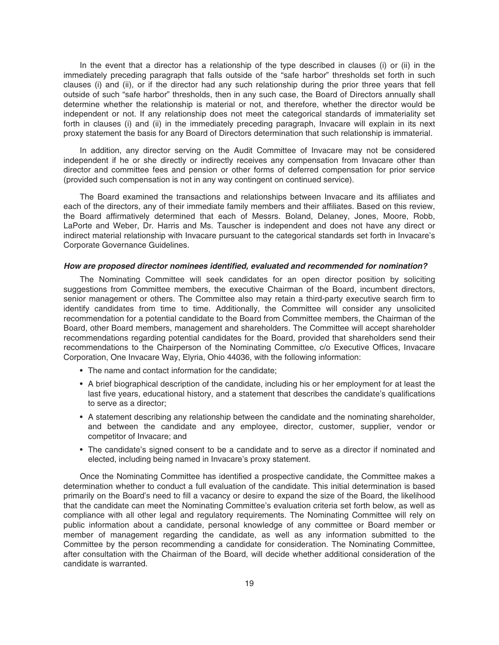In the event that a director has a relationship of the type described in clauses (i) or (ii) in the immediately preceding paragraph that falls outside of the "safe harbor" thresholds set forth in such clauses (i) and (ii), or if the director had any such relationship during the prior three years that fell outside of such "safe harbor" thresholds, then in any such case, the Board of Directors annually shall determine whether the relationship is material or not, and therefore, whether the director would be independent or not. If any relationship does not meet the categorical standards of immateriality set forth in clauses (i) and (ii) in the immediately preceding paragraph, Invacare will explain in its next proxy statement the basis for any Board of Directors determination that such relationship is immaterial.

In addition, any director serving on the Audit Committee of Invacare may not be considered independent if he or she directly or indirectly receives any compensation from Invacare other than director and committee fees and pension or other forms of deferred compensation for prior service (provided such compensation is not in any way contingent on continued service).

The Board examined the transactions and relationships between Invacare and its affiliates and each of the directors, any of their immediate family members and their affiliates. Based on this review, the Board affirmatively determined that each of Messrs. Boland, Delaney, Jones, Moore, Robb, LaPorte and Weber, Dr. Harris and Ms. Tauscher is independent and does not have any direct or indirect material relationship with Invacare pursuant to the categorical standards set forth in Invacare's Corporate Governance Guidelines.

#### *How are proposed director nominees identified, evaluated and recommended for nomination?*

The Nominating Committee will seek candidates for an open director position by soliciting suggestions from Committee members, the executive Chairman of the Board, incumbent directors, senior management or others. The Committee also may retain a third-party executive search firm to identify candidates from time to time. Additionally, the Committee will consider any unsolicited recommendation for a potential candidate to the Board from Committee members, the Chairman of the Board, other Board members, management and shareholders. The Committee will accept shareholder recommendations regarding potential candidates for the Board, provided that shareholders send their recommendations to the Chairperson of the Nominating Committee, c/o Executive Offices, Invacare Corporation, One Invacare Way, Elyria, Ohio 44036, with the following information:

- The name and contact information for the candidate;
- A brief biographical description of the candidate, including his or her employment for at least the last five years, educational history, and a statement that describes the candidate's qualifications to serve as a director;
- A statement describing any relationship between the candidate and the nominating shareholder, and between the candidate and any employee, director, customer, supplier, vendor or competitor of Invacare; and
- The candidate's signed consent to be a candidate and to serve as a director if nominated and elected, including being named in Invacare's proxy statement.

Once the Nominating Committee has identified a prospective candidate, the Committee makes a determination whether to conduct a full evaluation of the candidate. This initial determination is based primarily on the Board's need to fill a vacancy or desire to expand the size of the Board, the likelihood that the candidate can meet the Nominating Committee's evaluation criteria set forth below, as well as compliance with all other legal and regulatory requirements. The Nominating Committee will rely on public information about a candidate, personal knowledge of any committee or Board member or member of management regarding the candidate, as well as any information submitted to the Committee by the person recommending a candidate for consideration. The Nominating Committee, after consultation with the Chairman of the Board, will decide whether additional consideration of the candidate is warranted.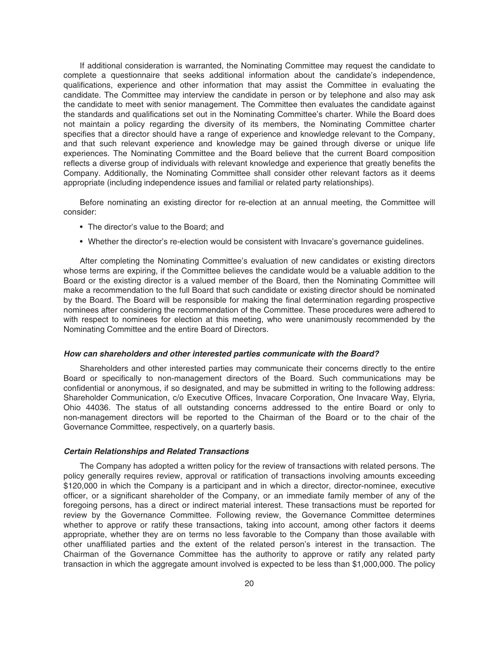If additional consideration is warranted, the Nominating Committee may request the candidate to complete a questionnaire that seeks additional information about the candidate's independence, qualifications, experience and other information that may assist the Committee in evaluating the candidate. The Committee may interview the candidate in person or by telephone and also may ask the candidate to meet with senior management. The Committee then evaluates the candidate against the standards and qualifications set out in the Nominating Committee's charter. While the Board does not maintain a policy regarding the diversity of its members, the Nominating Committee charter specifies that a director should have a range of experience and knowledge relevant to the Company, and that such relevant experience and knowledge may be gained through diverse or unique life experiences. The Nominating Committee and the Board believe that the current Board composition reflects a diverse group of individuals with relevant knowledge and experience that greatly benefits the Company. Additionally, the Nominating Committee shall consider other relevant factors as it deems appropriate (including independence issues and familial or related party relationships).

Before nominating an existing director for re-election at an annual meeting, the Committee will consider:

- The director's value to the Board; and
- Whether the director's re-election would be consistent with Invacare's governance guidelines.

After completing the Nominating Committee's evaluation of new candidates or existing directors whose terms are expiring, if the Committee believes the candidate would be a valuable addition to the Board or the existing director is a valued member of the Board, then the Nominating Committee will make a recommendation to the full Board that such candidate or existing director should be nominated by the Board. The Board will be responsible for making the final determination regarding prospective nominees after considering the recommendation of the Committee. These procedures were adhered to with respect to nominees for election at this meeting, who were unanimously recommended by the Nominating Committee and the entire Board of Directors.

#### *How can shareholders and other interested parties communicate with the Board?*

Shareholders and other interested parties may communicate their concerns directly to the entire Board or specifically to non-management directors of the Board. Such communications may be confidential or anonymous, if so designated, and may be submitted in writing to the following address: Shareholder Communication, c/o Executive Offices, Invacare Corporation, One Invacare Way, Elyria, Ohio 44036. The status of all outstanding concerns addressed to the entire Board or only to non-management directors will be reported to the Chairman of the Board or to the chair of the Governance Committee, respectively, on a quarterly basis.

### *Certain Relationships and Related Transactions*

The Company has adopted a written policy for the review of transactions with related persons. The policy generally requires review, approval or ratification of transactions involving amounts exceeding \$120,000 in which the Company is a participant and in which a director, director-nominee, executive officer, or a significant shareholder of the Company, or an immediate family member of any of the foregoing persons, has a direct or indirect material interest. These transactions must be reported for review by the Governance Committee. Following review, the Governance Committee determines whether to approve or ratify these transactions, taking into account, among other factors it deems appropriate, whether they are on terms no less favorable to the Company than those available with other unaffiliated parties and the extent of the related person's interest in the transaction. The Chairman of the Governance Committee has the authority to approve or ratify any related party transaction in which the aggregate amount involved is expected to be less than \$1,000,000. The policy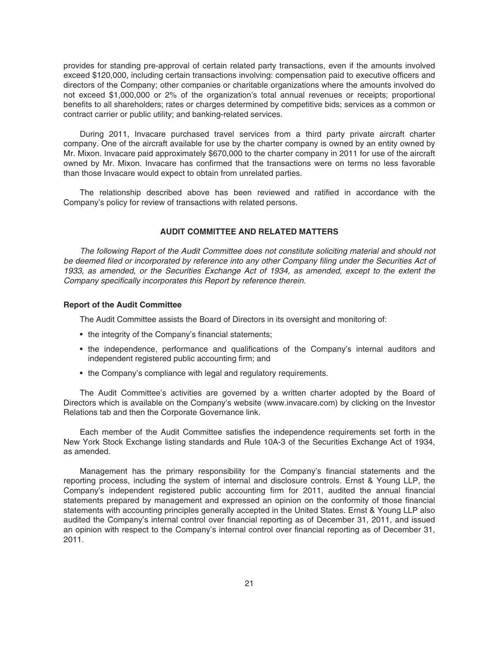provides for standing pre-approval of certain related party transactions, even if the amounts involved exceed \$120,000, including certain transactions involving: compensation paid to executive officers and directors of the Company; other companies or charitable organizations where the amounts involved do not exceed \$1,000,000 or 2% of the organization's total annual revenues or receipts; proportional benefits to all shareholders; rates or charges determined by competitive bids; services as a common or contract carrier or public utility; and banking-related services.

During 2011, Invacare purchased travel services from a third party private aircraft charter company. One of the aircraft available for use by the charter company is owned by an entity owned by Mr. Mixon. Invacare paid approximately \$670,000 to the charter company in 2011 for use of the aircraft owned by Mr. Mixon. Invacare has confirmed that the transactions were on terms no less favorable than those Invacare would expect to obtain from unrelated parties.

The relationship described above has been reviewed and ratified in accordance with the Company's policy for review of transactions with related persons.

### **AUDIT COMMITTEE AND RELATED MATTERS**

The following Report of the Audit Committee does not constitute soliciting material and should not be deemed filed or incorporated by reference into any other Company filing under the Securities Act of 1933, as amended, or the Securities Exchange Act of 1934, as amended, except to the extent the Company specifically incorporates this Report by reference therein.

### **Report of the Audit Committee**

The Audit Committee assists the Board of Directors in its oversight and monitoring of:

- the integrity of the Company's financial statements;
- the independence, performance and qualifications of the Company's internal auditors and independent registered public accounting firm; and
- the Company's compliance with legal and regulatory requirements.

The Audit Committee's activities are governed by a written charter adopted by the Board of Directors which is available on the Company's website (www.invacare.com) by clicking on the Investor Relations tab and then the Corporate Governance link.

Each member of the Audit Committee satisfies the independence requirements set forth in the New York Stock Exchange listing standards and Rule 10A-3 of the Securities Exchange Act of 1934, as amended.

Management has the primary responsibility for the Company's financial statements and the reporting process, including the system of internal and disclosure controls. Ernst & Young LLP, the Company's independent registered public accounting firm for 2011, audited the annual financial statements prepared by management and expressed an opinion on the conformity of those financial statements with accounting principles generally accepted in the United States. Ernst & Young LLP also audited the Company's internal control over financial reporting as of December 31, 2011, and issued an opinion with respect to the Company's internal control over financial reporting as of December 31, 2011.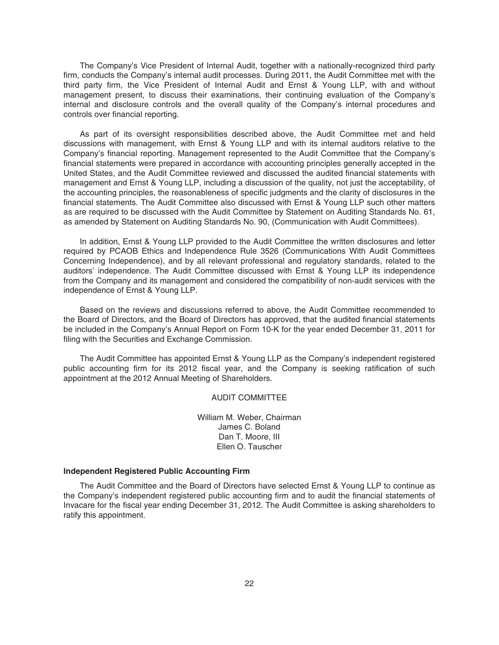The Company's Vice President of Internal Audit, together with a nationally-recognized third party firm, conducts the Company's internal audit processes. During 2011, the Audit Committee met with the third party firm, the Vice President of Internal Audit and Ernst & Young LLP, with and without management present, to discuss their examinations, their continuing evaluation of the Company's internal and disclosure controls and the overall quality of the Company's internal procedures and controls over financial reporting.

As part of its oversight responsibilities described above, the Audit Committee met and held discussions with management, with Ernst & Young LLP and with its internal auditors relative to the Company's financial reporting. Management represented to the Audit Committee that the Company's financial statements were prepared in accordance with accounting principles generally accepted in the United States, and the Audit Committee reviewed and discussed the audited financial statements with management and Ernst & Young LLP, including a discussion of the quality, not just the acceptability, of the accounting principles, the reasonableness of specific judgments and the clarity of disclosures in the financial statements. The Audit Committee also discussed with Ernst & Young LLP such other matters as are required to be discussed with the Audit Committee by Statement on Auditing Standards No. 61, as amended by Statement on Auditing Standards No. 90, (Communication with Audit Committees).

In addition, Ernst & Young LLP provided to the Audit Committee the written disclosures and letter required by PCAOB Ethics and Independence Rule 3526 (Communications With Audit Committees Concerning Independence), and by all relevant professional and regulatory standards, related to the auditors' independence. The Audit Committee discussed with Ernst & Young LLP its independence from the Company and its management and considered the compatibility of non-audit services with the independence of Ernst & Young LLP.

Based on the reviews and discussions referred to above, the Audit Committee recommended to the Board of Directors, and the Board of Directors has approved, that the audited financial statements be included in the Company's Annual Report on Form 10-K for the year ended December 31, 2011 for filing with the Securities and Exchange Commission.

The Audit Committee has appointed Ernst & Young LLP as the Company's independent registered public accounting firm for its 2012 fiscal year, and the Company is seeking ratification of such appointment at the 2012 Annual Meeting of Shareholders.

### AUDIT COMMITTEE

William M. Weber, Chairman James C. Boland Dan T. Moore, III Ellen O. Tauscher

### **Independent Registered Public Accounting Firm**

The Audit Committee and the Board of Directors have selected Ernst & Young LLP to continue as the Company's independent registered public accounting firm and to audit the financial statements of Invacare for the fiscal year ending December 31, 2012. The Audit Committee is asking shareholders to ratify this appointment.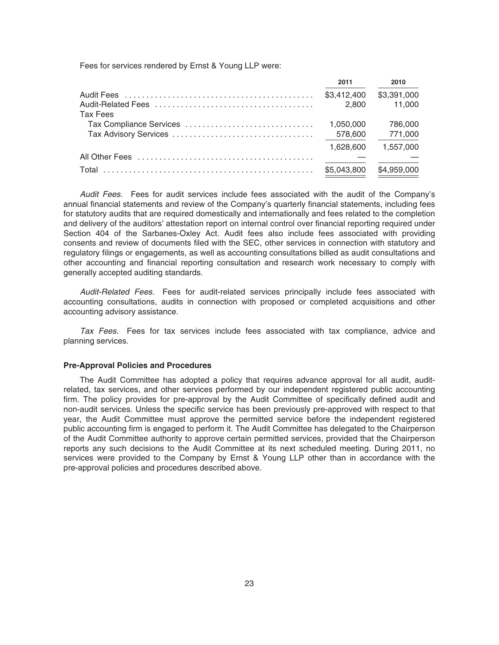Fees for services rendered by Ernst & Young LLP were:

|                         | 2011        | 2010        |
|-------------------------|-------------|-------------|
|                         | \$3,412,400 | \$3,391,000 |
|                         | 2.800       | 11,000      |
| Tax Fees                |             |             |
| Tax Compliance Services | 1.050.000   | 786,000     |
|                         | 578,600     | 771,000     |
|                         | 1.628.600   | 1,557,000   |
|                         |             |             |
| Total                   | \$5,043,800 | \$4,959,000 |

Audit Fees. Fees for audit services include fees associated with the audit of the Company's annual financial statements and review of the Company's quarterly financial statements, including fees for statutory audits that are required domestically and internationally and fees related to the completion and delivery of the auditors' attestation report on internal control over financial reporting required under Section 404 of the Sarbanes-Oxley Act. Audit fees also include fees associated with providing consents and review of documents filed with the SEC, other services in connection with statutory and regulatory filings or engagements, as well as accounting consultations billed as audit consultations and other accounting and financial reporting consultation and research work necessary to comply with generally accepted auditing standards.

Audit-Related Fees. Fees for audit-related services principally include fees associated with accounting consultations, audits in connection with proposed or completed acquisitions and other accounting advisory assistance.

Tax Fees. Fees for tax services include fees associated with tax compliance, advice and planning services.

#### **Pre-Approval Policies and Procedures**

The Audit Committee has adopted a policy that requires advance approval for all audit, auditrelated, tax services, and other services performed by our independent registered public accounting firm. The policy provides for pre-approval by the Audit Committee of specifically defined audit and non-audit services. Unless the specific service has been previously pre-approved with respect to that year, the Audit Committee must approve the permitted service before the independent registered public accounting firm is engaged to perform it. The Audit Committee has delegated to the Chairperson of the Audit Committee authority to approve certain permitted services, provided that the Chairperson reports any such decisions to the Audit Committee at its next scheduled meeting. During 2011, no services were provided to the Company by Ernst & Young LLP other than in accordance with the pre-approval policies and procedures described above.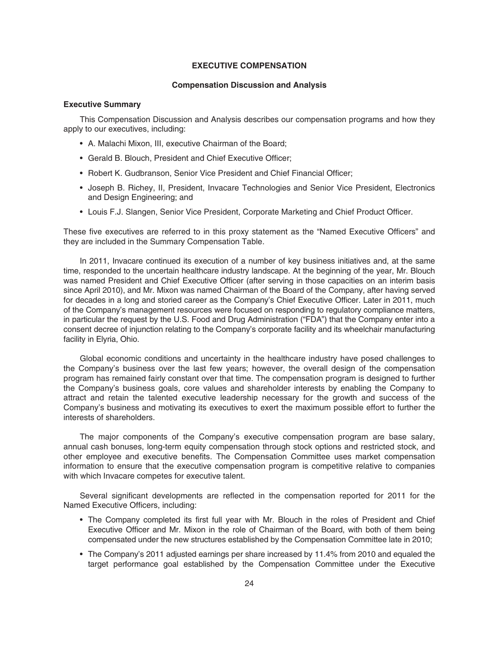### **EXECUTIVE COMPENSATION**

### **Compensation Discussion and Analysis**

### **Executive Summary**

This Compensation Discussion and Analysis describes our compensation programs and how they apply to our executives, including:

- A. Malachi Mixon, III, executive Chairman of the Board;
- Gerald B. Blouch, President and Chief Executive Officer;
- Robert K. Gudbranson, Senior Vice President and Chief Financial Officer;
- Joseph B. Richey, II, President, Invacare Technologies and Senior Vice President, Electronics and Design Engineering; and
- Louis F.J. Slangen, Senior Vice President, Corporate Marketing and Chief Product Officer.

These five executives are referred to in this proxy statement as the "Named Executive Officers" and they are included in the Summary Compensation Table.

In 2011, Invacare continued its execution of a number of key business initiatives and, at the same time, responded to the uncertain healthcare industry landscape. At the beginning of the year, Mr. Blouch was named President and Chief Executive Officer (after serving in those capacities on an interim basis since April 2010), and Mr. Mixon was named Chairman of the Board of the Company, after having served for decades in a long and storied career as the Company's Chief Executive Officer. Later in 2011, much of the Company's management resources were focused on responding to regulatory compliance matters, in particular the request by the U.S. Food and Drug Administration ("FDA") that the Company enter into a consent decree of injunction relating to the Company's corporate facility and its wheelchair manufacturing facility in Elyria, Ohio.

Global economic conditions and uncertainty in the healthcare industry have posed challenges to the Company's business over the last few years; however, the overall design of the compensation program has remained fairly constant over that time. The compensation program is designed to further the Company's business goals, core values and shareholder interests by enabling the Company to attract and retain the talented executive leadership necessary for the growth and success of the Company's business and motivating its executives to exert the maximum possible effort to further the interests of shareholders.

The major components of the Company's executive compensation program are base salary, annual cash bonuses, long-term equity compensation through stock options and restricted stock, and other employee and executive benefits. The Compensation Committee uses market compensation information to ensure that the executive compensation program is competitive relative to companies with which Invacare competes for executive talent.

Several significant developments are reflected in the compensation reported for 2011 for the Named Executive Officers, including:

- The Company completed its first full year with Mr. Blouch in the roles of President and Chief Executive Officer and Mr. Mixon in the role of Chairman of the Board, with both of them being compensated under the new structures established by the Compensation Committee late in 2010;
- The Company's 2011 adjusted earnings per share increased by 11.4% from 2010 and equaled the target performance goal established by the Compensation Committee under the Executive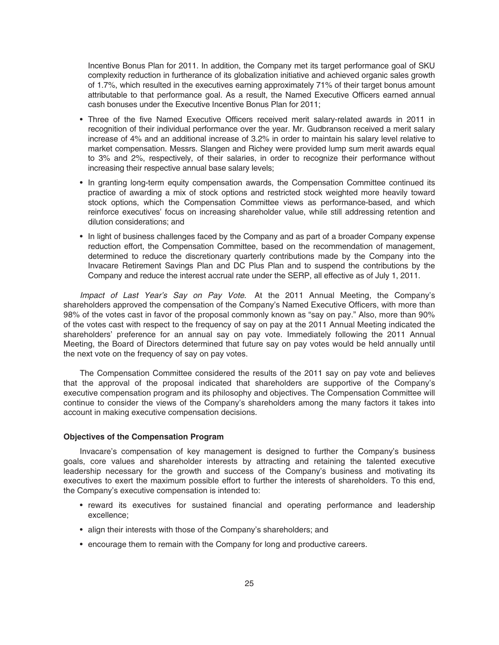Incentive Bonus Plan for 2011. In addition, the Company met its target performance goal of SKU complexity reduction in furtherance of its globalization initiative and achieved organic sales growth of 1.7%, which resulted in the executives earning approximately 71% of their target bonus amount attributable to that performance goal. As a result, the Named Executive Officers earned annual cash bonuses under the Executive Incentive Bonus Plan for 2011;

- Three of the five Named Executive Officers received merit salary-related awards in 2011 in recognition of their individual performance over the year. Mr. Gudbranson received a merit salary increase of 4% and an additional increase of 3.2% in order to maintain his salary level relative to market compensation. Messrs. Slangen and Richey were provided lump sum merit awards equal to 3% and 2%, respectively, of their salaries, in order to recognize their performance without increasing their respective annual base salary levels;
- In granting long-term equity compensation awards, the Compensation Committee continued its practice of awarding a mix of stock options and restricted stock weighted more heavily toward stock options, which the Compensation Committee views as performance-based, and which reinforce executives' focus on increasing shareholder value, while still addressing retention and dilution considerations; and
- In light of business challenges faced by the Company and as part of a broader Company expense reduction effort, the Compensation Committee, based on the recommendation of management, determined to reduce the discretionary quarterly contributions made by the Company into the Invacare Retirement Savings Plan and DC Plus Plan and to suspend the contributions by the Company and reduce the interest accrual rate under the SERP, all effective as of July 1, 2011.

Impact of Last Year's Say on Pay Vote. At the 2011 Annual Meeting, the Company's shareholders approved the compensation of the Company's Named Executive Officers, with more than 98% of the votes cast in favor of the proposal commonly known as "say on pay." Also, more than 90% of the votes cast with respect to the frequency of say on pay at the 2011 Annual Meeting indicated the shareholders' preference for an annual say on pay vote. Immediately following the 2011 Annual Meeting, the Board of Directors determined that future say on pay votes would be held annually until the next vote on the frequency of say on pay votes.

The Compensation Committee considered the results of the 2011 say on pay vote and believes that the approval of the proposal indicated that shareholders are supportive of the Company's executive compensation program and its philosophy and objectives. The Compensation Committee will continue to consider the views of the Company's shareholders among the many factors it takes into account in making executive compensation decisions.

### **Objectives of the Compensation Program**

Invacare's compensation of key management is designed to further the Company's business goals, core values and shareholder interests by attracting and retaining the talented executive leadership necessary for the growth and success of the Company's business and motivating its executives to exert the maximum possible effort to further the interests of shareholders. To this end, the Company's executive compensation is intended to:

- reward its executives for sustained financial and operating performance and leadership excellence;
- align their interests with those of the Company's shareholders; and
- encourage them to remain with the Company for long and productive careers.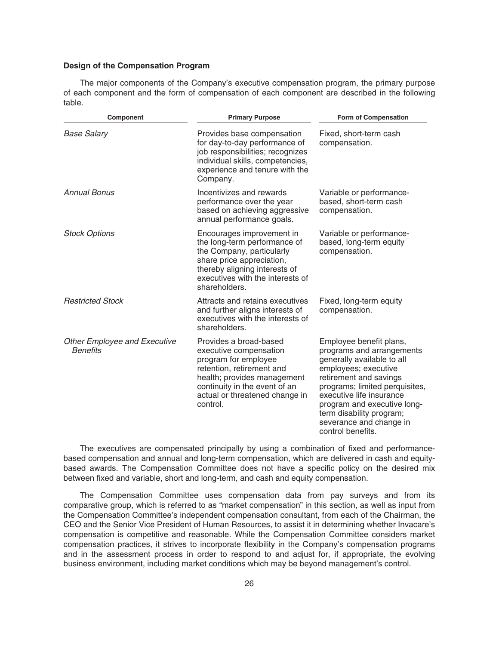#### **Design of the Compensation Program**

The major components of the Company's executive compensation program, the primary purpose of each component and the form of compensation of each component are described in the following table.

| Component                                              | <b>Primary Purpose</b>                                                                                                                                                                                              | Form of Compensation                                                                                                                                                                                                                                                                                          |  |  |
|--------------------------------------------------------|---------------------------------------------------------------------------------------------------------------------------------------------------------------------------------------------------------------------|---------------------------------------------------------------------------------------------------------------------------------------------------------------------------------------------------------------------------------------------------------------------------------------------------------------|--|--|
| <b>Base Salary</b>                                     | Provides base compensation<br>for day-to-day performance of<br>job responsibilities; recognizes<br>individual skills, competencies,<br>experience and tenure with the<br>Company.                                   | Fixed, short-term cash<br>compensation.                                                                                                                                                                                                                                                                       |  |  |
| <b>Annual Bonus</b>                                    | Incentivizes and rewards<br>performance over the year<br>based on achieving aggressive<br>annual performance goals.                                                                                                 | Variable or performance-<br>based, short-term cash<br>compensation.                                                                                                                                                                                                                                           |  |  |
| <b>Stock Options</b>                                   | Encourages improvement in<br>the long-term performance of<br>the Company, particularly<br>share price appreciation,<br>thereby aligning interests of<br>executives with the interests of<br>shareholders.           | Variable or performance-<br>based, long-term equity<br>compensation.                                                                                                                                                                                                                                          |  |  |
| <b>Restricted Stock</b>                                | Attracts and retains executives<br>and further aligns interests of<br>executives with the interests of<br>shareholders.                                                                                             | Fixed, long-term equity<br>compensation.                                                                                                                                                                                                                                                                      |  |  |
| <b>Other Employee and Executive</b><br><b>Benefits</b> | Provides a broad-based<br>executive compensation<br>program for employee<br>retention, retirement and<br>health; provides management<br>continuity in the event of an<br>actual or threatened change in<br>control. | Employee benefit plans,<br>programs and arrangements<br>generally available to all<br>employees; executive<br>retirement and savings<br>programs; limited perquisites,<br>executive life insurance<br>program and executive long-<br>term disability program;<br>severance and change in<br>control benefits. |  |  |

The executives are compensated principally by using a combination of fixed and performancebased compensation and annual and long-term compensation, which are delivered in cash and equitybased awards. The Compensation Committee does not have a specific policy on the desired mix between fixed and variable, short and long-term, and cash and equity compensation.

The Compensation Committee uses compensation data from pay surveys and from its comparative group, which is referred to as "market compensation" in this section, as well as input from the Compensation Committee's independent compensation consultant, from each of the Chairman, the CEO and the Senior Vice President of Human Resources, to assist it in determining whether Invacare's compensation is competitive and reasonable. While the Compensation Committee considers market compensation practices, it strives to incorporate flexibility in the Company's compensation programs and in the assessment process in order to respond to and adjust for, if appropriate, the evolving business environment, including market conditions which may be beyond management's control.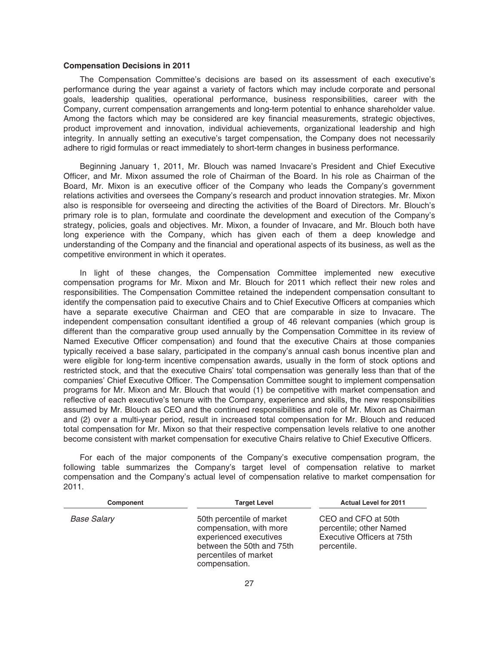#### **Compensation Decisions in 2011**

The Compensation Committee's decisions are based on its assessment of each executive's performance during the year against a variety of factors which may include corporate and personal goals, leadership qualities, operational performance, business responsibilities, career with the Company, current compensation arrangements and long-term potential to enhance shareholder value. Among the factors which may be considered are key financial measurements, strategic objectives, product improvement and innovation, individual achievements, organizational leadership and high integrity. In annually setting an executive's target compensation, the Company does not necessarily adhere to rigid formulas or react immediately to short-term changes in business performance.

Beginning January 1, 2011, Mr. Blouch was named Invacare's President and Chief Executive Officer, and Mr. Mixon assumed the role of Chairman of the Board. In his role as Chairman of the Board, Mr. Mixon is an executive officer of the Company who leads the Company's government relations activities and oversees the Company's research and product innovation strategies. Mr. Mixon also is responsible for overseeing and directing the activities of the Board of Directors. Mr. Blouch's primary role is to plan, formulate and coordinate the development and execution of the Company's strategy, policies, goals and objectives. Mr. Mixon, a founder of Invacare, and Mr. Blouch both have long experience with the Company, which has given each of them a deep knowledge and understanding of the Company and the financial and operational aspects of its business, as well as the competitive environment in which it operates.

In light of these changes, the Compensation Committee implemented new executive compensation programs for Mr. Mixon and Mr. Blouch for 2011 which reflect their new roles and responsibilities. The Compensation Committee retained the independent compensation consultant to identify the compensation paid to executive Chairs and to Chief Executive Officers at companies which have a separate executive Chairman and CEO that are comparable in size to Invacare. The independent compensation consultant identified a group of 46 relevant companies (which group is different than the comparative group used annually by the Compensation Committee in its review of Named Executive Officer compensation) and found that the executive Chairs at those companies typically received a base salary, participated in the company's annual cash bonus incentive plan and were eligible for long-term incentive compensation awards, usually in the form of stock options and restricted stock, and that the executive Chairs' total compensation was generally less than that of the companies' Chief Executive Officer. The Compensation Committee sought to implement compensation programs for Mr. Mixon and Mr. Blouch that would (1) be competitive with market compensation and reflective of each executive's tenure with the Company, experience and skills, the new responsibilities assumed by Mr. Blouch as CEO and the continued responsibilities and role of Mr. Mixon as Chairman and (2) over a multi-year period, result in increased total compensation for Mr. Blouch and reduced total compensation for Mr. Mixon so that their respective compensation levels relative to one another become consistent with market compensation for executive Chairs relative to Chief Executive Officers.

For each of the major components of the Company's executive compensation program, the following table summarizes the Company's target level of compensation relative to market compensation and the Company's actual level of compensation relative to market compensation for 2011.

| <b>Component</b>   | <b>Target Level</b>                                                                                                                                   | <b>Actual Level for 2011</b>                                                                |  |  |
|--------------------|-------------------------------------------------------------------------------------------------------------------------------------------------------|---------------------------------------------------------------------------------------------|--|--|
| <b>Base Salary</b> | 50th percentile of market<br>compensation, with more<br>experienced executives<br>between the 50th and 75th<br>percentiles of market<br>compensation. | CEO and CFO at 50th<br>percentile; other Named<br>Executive Officers at 75th<br>percentile. |  |  |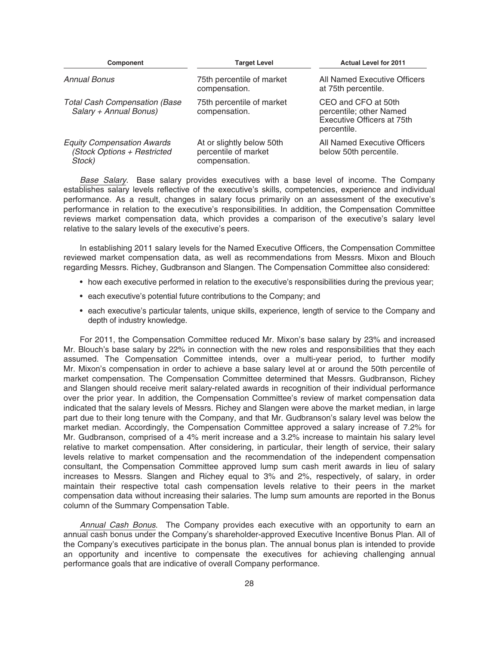| Component                                                                  | <b>Target Level</b>                                                | <b>Actual Level for 2011</b>                                                                |
|----------------------------------------------------------------------------|--------------------------------------------------------------------|---------------------------------------------------------------------------------------------|
| Annual Bonus                                                               | 75th percentile of market<br>compensation.                         | All Named Executive Officers<br>at 75th percentile.                                         |
| <b>Total Cash Compensation (Base</b><br>Salary + Annual Bonus)             | 75th percentile of market<br>compensation.                         | CEO and CFO at 50th<br>percentile; other Named<br>Executive Officers at 75th<br>percentile. |
| <b>Equity Compensation Awards</b><br>(Stock Options + Restricted<br>Stock) | At or slightly below 50th<br>percentile of market<br>compensation. | All Named Executive Officers<br>below 50th percentile.                                      |

Base Salary. Base salary provides executives with a base level of income. The Company establishes salary levels reflective of the executive's skills, competencies, experience and individual performance. As a result, changes in salary focus primarily on an assessment of the executive's performance in relation to the executive's responsibilities. In addition, the Compensation Committee reviews market compensation data, which provides a comparison of the executive's salary level relative to the salary levels of the executive's peers.

In establishing 2011 salary levels for the Named Executive Officers, the Compensation Committee reviewed market compensation data, as well as recommendations from Messrs. Mixon and Blouch regarding Messrs. Richey, Gudbranson and Slangen. The Compensation Committee also considered:

- how each executive performed in relation to the executive's responsibilities during the previous year;
- each executive's potential future contributions to the Company; and
- each executive's particular talents, unique skills, experience, length of service to the Company and depth of industry knowledge.

For 2011, the Compensation Committee reduced Mr. Mixon's base salary by 23% and increased Mr. Blouch's base salary by 22% in connection with the new roles and responsibilities that they each assumed. The Compensation Committee intends, over a multi-year period, to further modify Mr. Mixon's compensation in order to achieve a base salary level at or around the 50th percentile of market compensation. The Compensation Committee determined that Messrs. Gudbranson, Richey and Slangen should receive merit salary-related awards in recognition of their individual performance over the prior year. In addition, the Compensation Committee's review of market compensation data indicated that the salary levels of Messrs. Richey and Slangen were above the market median, in large part due to their long tenure with the Company, and that Mr. Gudbranson's salary level was below the market median. Accordingly, the Compensation Committee approved a salary increase of 7.2% for Mr. Gudbranson, comprised of a 4% merit increase and a 3.2% increase to maintain his salary level relative to market compensation. After considering, in particular, their length of service, their salary levels relative to market compensation and the recommendation of the independent compensation consultant, the Compensation Committee approved lump sum cash merit awards in lieu of salary increases to Messrs. Slangen and Richey equal to 3% and 2%, respectively, of salary, in order maintain their respective total cash compensation levels relative to their peers in the market compensation data without increasing their salaries. The lump sum amounts are reported in the Bonus column of the Summary Compensation Table.

Annual Cash Bonus. The Company provides each executive with an opportunity to earn an annual cash bonus under the Company's shareholder-approved Executive Incentive Bonus Plan. All of the Company's executives participate in the bonus plan. The annual bonus plan is intended to provide an opportunity and incentive to compensate the executives for achieving challenging annual performance goals that are indicative of overall Company performance.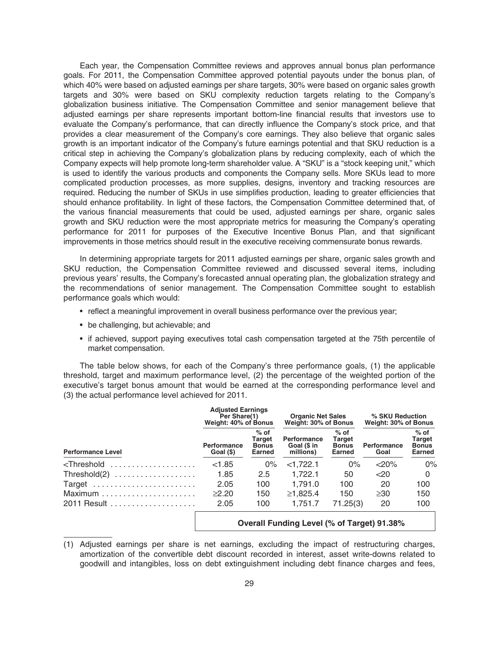Each year, the Compensation Committee reviews and approves annual bonus plan performance goals. For 2011, the Compensation Committee approved potential payouts under the bonus plan, of which 40% were based on adjusted earnings per share targets, 30% were based on organic sales growth targets and 30% were based on SKU complexity reduction targets relating to the Company's globalization business initiative. The Compensation Committee and senior management believe that adjusted earnings per share represents important bottom-line financial results that investors use to evaluate the Company's performance, that can directly influence the Company's stock price, and that provides a clear measurement of the Company's core earnings. They also believe that organic sales growth is an important indicator of the Company's future earnings potential and that SKU reduction is a critical step in achieving the Company's globalization plans by reducing complexity, each of which the Company expects will help promote long-term shareholder value. A "SKU" is a "stock keeping unit," which is used to identify the various products and components the Company sells. More SKUs lead to more complicated production processes, as more supplies, designs, inventory and tracking resources are required. Reducing the number of SKUs in use simplifies production, leading to greater efficiencies that should enhance profitability. In light of these factors, the Compensation Committee determined that, of the various financial measurements that could be used, adjusted earnings per share, organic sales growth and SKU reduction were the most appropriate metrics for measuring the Company's operating performance for 2011 for purposes of the Executive Incentive Bonus Plan, and that significant improvements in those metrics should result in the executive receiving commensurate bonus rewards.

In determining appropriate targets for 2011 adjusted earnings per share, organic sales growth and SKU reduction, the Compensation Committee reviewed and discussed several items, including previous years' results, the Company's forecasted annual operating plan, the globalization strategy and the recommendations of senior management. The Compensation Committee sought to establish performance goals which would:

- reflect a meaningful improvement in overall business performance over the previous year;
- be challenging, but achievable; and
- if achieved, support paying executives total cash compensation targeted at the 75th percentile of market compensation.

The table below shows, for each of the Company's three performance goals, (1) the applicable threshold, target and maximum performance level, (2) the percentage of the weighted portion of the executive's target bonus amount that would be earned at the corresponding performance level and (3) the actual performance level achieved for 2011.

|                                                                                                                                                                                 | <b>Adjusted Earnings</b><br>Per Share(1)<br>Weight: 40% of Bonus |                                            | <b>Organic Net Sales</b><br>Weight: 30% of Bonus |                                                          | % SKU Reduction<br>Weight: 30% of Bonus |                                                   |
|---------------------------------------------------------------------------------------------------------------------------------------------------------------------------------|------------------------------------------------------------------|--------------------------------------------|--------------------------------------------------|----------------------------------------------------------|-----------------------------------------|---------------------------------------------------|
| <b>Performance Level</b>                                                                                                                                                        | <b>Performance</b><br>Goal (\$)                                  | $%$ of<br>Target<br><b>Bonus</b><br>Earned | <b>Performance</b><br>Goal (\$ in<br>millions)   | $%$ of<br><b>Target</b><br><b>Bonus</b><br><b>Earned</b> | <b>Performance</b><br>Goal              | $%$ of<br>Target<br><b>Bonus</b><br><b>Earned</b> |
| <threshold <="" td=""><td>&lt; 1.85</td><td><math>0\%</math></td><td><math>&lt;</math>1,722.1</td><td><math>0\%</math></td><td><math>&lt;</math>20%</td><td>0%</td></threshold> | < 1.85                                                           | $0\%$                                      | $<$ 1,722.1                                      | $0\%$                                                    | $<$ 20%                                 | 0%                                                |
| Threshold $(2)$                                                                                                                                                                 | 1.85                                                             | 2.5                                        | 1.722.1                                          | 50                                                       | $<$ 20                                  | $\Omega$                                          |
| Target                                                                                                                                                                          | 2.05                                                             | 100                                        | 1.791.0                                          | 100                                                      | 20                                      | 100                                               |
|                                                                                                                                                                                 | >2.20                                                            | 150                                        | ≥1.825.4                                         | 150                                                      | $\geq 30$                               | 150                                               |
| 2011 Result                                                                                                                                                                     | 2.05                                                             | 100                                        | 1.751.7                                          | 71.25(3)                                                 | 20                                      | 100                                               |
|                                                                                                                                                                                 |                                                                  |                                            | Overall Funding Level (% of Target) 91.38%       |                                                          |                                         |                                                   |

(1) Adjusted earnings per share is net earnings, excluding the impact of restructuring charges, amortization of the convertible debt discount recorded in interest, asset write-downs related to goodwill and intangibles, loss on debt extinguishment including debt finance charges and fees,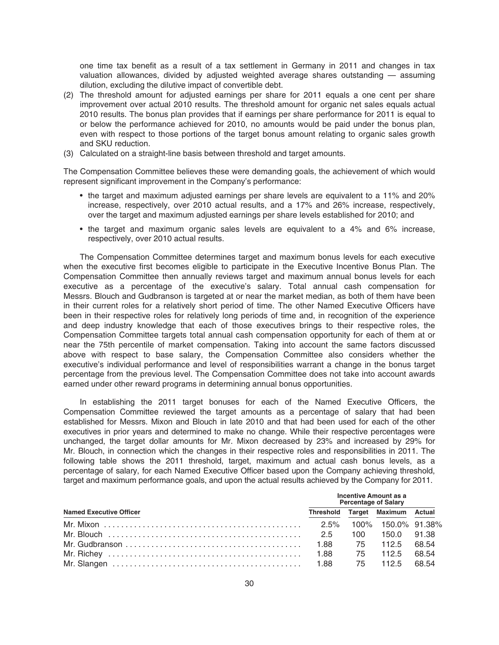one time tax benefit as a result of a tax settlement in Germany in 2011 and changes in tax valuation allowances, divided by adjusted weighted average shares outstanding — assuming dilution, excluding the dilutive impact of convertible debt.

- (2) The threshold amount for adjusted earnings per share for 2011 equals a one cent per share improvement over actual 2010 results. The threshold amount for organic net sales equals actual 2010 results. The bonus plan provides that if earnings per share performance for 2011 is equal to or below the performance achieved for 2010, no amounts would be paid under the bonus plan, even with respect to those portions of the target bonus amount relating to organic sales growth and SKU reduction.
- (3) Calculated on a straight-line basis between threshold and target amounts.

The Compensation Committee believes these were demanding goals, the achievement of which would represent significant improvement in the Company's performance:

- the target and maximum adjusted earnings per share levels are equivalent to a 11% and 20% increase, respectively, over 2010 actual results, and a 17% and 26% increase, respectively, over the target and maximum adjusted earnings per share levels established for 2010; and
- the target and maximum organic sales levels are equivalent to a 4% and 6% increase, respectively, over 2010 actual results.

The Compensation Committee determines target and maximum bonus levels for each executive when the executive first becomes eligible to participate in the Executive Incentive Bonus Plan. The Compensation Committee then annually reviews target and maximum annual bonus levels for each executive as a percentage of the executive's salary. Total annual cash compensation for Messrs. Blouch and Gudbranson is targeted at or near the market median, as both of them have been in their current roles for a relatively short period of time. The other Named Executive Officers have been in their respective roles for relatively long periods of time and, in recognition of the experience and deep industry knowledge that each of those executives brings to their respective roles, the Compensation Committee targets total annual cash compensation opportunity for each of them at or near the 75th percentile of market compensation. Taking into account the same factors discussed above with respect to base salary, the Compensation Committee also considers whether the executive's individual performance and level of responsibilities warrant a change in the bonus target percentage from the previous level. The Compensation Committee does not take into account awards earned under other reward programs in determining annual bonus opportunities.

In establishing the 2011 target bonuses for each of the Named Executive Officers, the Compensation Committee reviewed the target amounts as a percentage of salary that had been established for Messrs. Mixon and Blouch in late 2010 and that had been used for each of the other executives in prior years and determined to make no change. While their respective percentages were unchanged, the target dollar amounts for Mr. Mixon decreased by 23% and increased by 29% for Mr. Blouch, in connection which the changes in their respective roles and responsibilities in 2011. The following table shows the 2011 threshold, target, maximum and actual cash bonus levels, as a percentage of salary, for each Named Executive Officer based upon the Company achieving threshold, target and maximum performance goals, and upon the actual results achieved by the Company for 2011.

|                                | <b>Incentive Amount as a</b><br><b>Percentage of Salary</b> |                                 |  |  |  |  |
|--------------------------------|-------------------------------------------------------------|---------------------------------|--|--|--|--|
| <b>Named Executive Officer</b> |                                                             | Threshold Target Maximum Actual |  |  |  |  |
|                                |                                                             |                                 |  |  |  |  |
|                                | 100.                                                        | 150.0 91.38                     |  |  |  |  |
|                                |                                                             | 1.88 75 112.5 68.54             |  |  |  |  |
|                                |                                                             | 75 112.5 68.54                  |  |  |  |  |
|                                |                                                             | 75 112.5 68.54                  |  |  |  |  |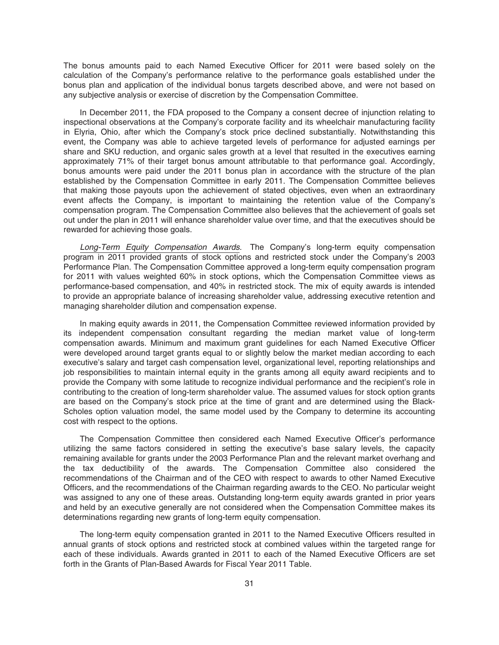The bonus amounts paid to each Named Executive Officer for 2011 were based solely on the calculation of the Company's performance relative to the performance goals established under the bonus plan and application of the individual bonus targets described above, and were not based on any subjective analysis or exercise of discretion by the Compensation Committee.

In December 2011, the FDA proposed to the Company a consent decree of injunction relating to inspectional observations at the Company's corporate facility and its wheelchair manufacturing facility in Elyria, Ohio, after which the Company's stock price declined substantially. Notwithstanding this event, the Company was able to achieve targeted levels of performance for adjusted earnings per share and SKU reduction, and organic sales growth at a level that resulted in the executives earning approximately 71% of their target bonus amount attributable to that performance goal. Accordingly, bonus amounts were paid under the 2011 bonus plan in accordance with the structure of the plan established by the Compensation Committee in early 2011. The Compensation Committee believes that making those payouts upon the achievement of stated objectives, even when an extraordinary event affects the Company, is important to maintaining the retention value of the Company's compensation program. The Compensation Committee also believes that the achievement of goals set out under the plan in 2011 will enhance shareholder value over time, and that the executives should be rewarded for achieving those goals.

Long-Term Equity Compensation Awards. The Company's long-term equity compensation program in 2011 provided grants of stock options and restricted stock under the Company's 2003 Performance Plan. The Compensation Committee approved a long-term equity compensation program for 2011 with values weighted 60% in stock options, which the Compensation Committee views as performance-based compensation, and 40% in restricted stock. The mix of equity awards is intended to provide an appropriate balance of increasing shareholder value, addressing executive retention and managing shareholder dilution and compensation expense.

In making equity awards in 2011, the Compensation Committee reviewed information provided by its independent compensation consultant regarding the median market value of long-term compensation awards. Minimum and maximum grant guidelines for each Named Executive Officer were developed around target grants equal to or slightly below the market median according to each executive's salary and target cash compensation level, organizational level, reporting relationships and job responsibilities to maintain internal equity in the grants among all equity award recipients and to provide the Company with some latitude to recognize individual performance and the recipient's role in contributing to the creation of long-term shareholder value. The assumed values for stock option grants are based on the Company's stock price at the time of grant and are determined using the Black-Scholes option valuation model, the same model used by the Company to determine its accounting cost with respect to the options.

The Compensation Committee then considered each Named Executive Officer's performance utilizing the same factors considered in setting the executive's base salary levels, the capacity remaining available for grants under the 2003 Performance Plan and the relevant market overhang and the tax deductibility of the awards. The Compensation Committee also considered the recommendations of the Chairman and of the CEO with respect to awards to other Named Executive Officers, and the recommendations of the Chairman regarding awards to the CEO. No particular weight was assigned to any one of these areas. Outstanding long-term equity awards granted in prior years and held by an executive generally are not considered when the Compensation Committee makes its determinations regarding new grants of long-term equity compensation.

The long-term equity compensation granted in 2011 to the Named Executive Officers resulted in annual grants of stock options and restricted stock at combined values within the targeted range for each of these individuals. Awards granted in 2011 to each of the Named Executive Officers are set forth in the Grants of Plan-Based Awards for Fiscal Year 2011 Table.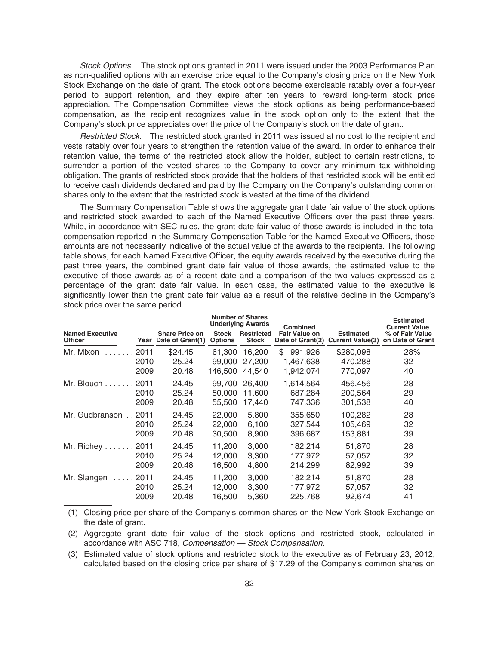Stock Options. The stock options granted in 2011 were issued under the 2003 Performance Plan as non-qualified options with an exercise price equal to the Company's closing price on the New York Stock Exchange on the date of grant. The stock options become exercisable ratably over a four-year period to support retention, and they expire after ten years to reward long-term stock price appreciation. The Compensation Committee views the stock options as being performance-based compensation, as the recipient recognizes value in the stock option only to the extent that the Company's stock price appreciates over the price of the Company's stock on the date of grant.

Restricted Stock. The restricted stock granted in 2011 was issued at no cost to the recipient and vests ratably over four years to strengthen the retention value of the award. In order to enhance their retention value, the terms of the restricted stock allow the holder, subject to certain restrictions, to surrender a portion of the vested shares to the Company to cover any minimum tax withholding obligation. The grants of restricted stock provide that the holders of that restricted stock will be entitled to receive cash dividends declared and paid by the Company on the Company's outstanding common shares only to the extent that the restricted stock is vested at the time of the dividend.

The Summary Compensation Table shows the aggregate grant date fair value of the stock options and restricted stock awarded to each of the Named Executive Officers over the past three years. While, in accordance with SEC rules, the grant date fair value of those awards is included in the total compensation reported in the Summary Compensation Table for the Named Executive Officers, those amounts are not necessarily indicative of the actual value of the awards to the recipients. The following table shows, for each Named Executive Officer, the equity awards received by the executive during the past three years, the combined grant date fair value of those awards, the estimated value to the executive of those awards as of a recent date and a comparison of the two values expressed as a percentage of the grant date fair value. In each case, the estimated value to the executive is significantly lower than the grant date fair value as a result of the relative decline in the Company's stock price over the same period.

|                                          |                      |                                           | <b>Number of Shares</b><br><b>Underlying Awards</b> |                                   | <b>Combined</b>                          |                                             | <b>Estimated</b><br><b>Current Value</b> |
|------------------------------------------|----------------------|-------------------------------------------|-----------------------------------------------------|-----------------------------------|------------------------------------------|---------------------------------------------|------------------------------------------|
| <b>Named Executive</b><br><b>Officer</b> | Year                 | <b>Share Price on</b><br>Date of Grant(1) | <b>Stock</b><br><b>Options</b>                      | <b>Restricted</b><br><b>Stock</b> | <b>Fair Value on</b><br>Date of Grant(2) | <b>Estimated</b><br><b>Current Value(3)</b> | % of Fair Value<br>on Date of Grant      |
| Mr. Mixon                                | 2011<br>2010<br>2009 | \$24.45<br>25.24<br>20.48                 | 61.300<br>99,000<br>146.500                         | 16.200<br>27,200<br>44.540        | \$<br>991,926<br>1,467,638<br>1,942,074  | \$280,098<br>470,288<br>770,097             | 28%<br>32<br>40                          |
| Mr. Blouch 2011                          | 2010<br>2009         | 24.45<br>25.24<br>20.48                   | 99.700<br>50,000<br>55,500                          | 26,400<br>11.600<br>17,440        | 1.614.564<br>687,284<br>747,336          | 456.456<br>200,564<br>301,538               | 28<br>29<br>40                           |
| Mr. Gudbranson 2011                      | 2010<br>2009         | 24.45<br>25.24<br>20.48                   | 22,000<br>22,000<br>30,500                          | 5.800<br>6,100<br>8,900           | 355,650<br>327.544<br>396,687            | 100.282<br>105,469<br>153,881               | 28<br>32<br>39                           |
| Mr. Richey 2011                          | 2010<br>2009         | 24.45<br>25.24<br>20.48                   | 11.200<br>12,000<br>16,500                          | 3.000<br>3,300<br>4,800           | 182.214<br>177.972<br>214,299            | 51,870<br>57,057<br>82,992                  | 28<br>32<br>39                           |
| $\ldots$ . 2011<br>Mr. Slangen           | 2010<br>2009         | 24.45<br>25.24<br>20.48                   | 11.200<br>12,000<br>16,500                          | 3.000<br>3,300<br>5,360           | 182.214<br>177,972<br>225,768            | 51,870<br>57,057<br>92.674                  | 28<br>32<br>41                           |

(1) Closing price per share of the Company's common shares on the New York Stock Exchange on the date of grant.

(2) Aggregate grant date fair value of the stock options and restricted stock, calculated in accordance with ASC 718, Compensation — Stock Compensation.

(3) Estimated value of stock options and restricted stock to the executive as of February 23, 2012, calculated based on the closing price per share of \$17.29 of the Company's common shares on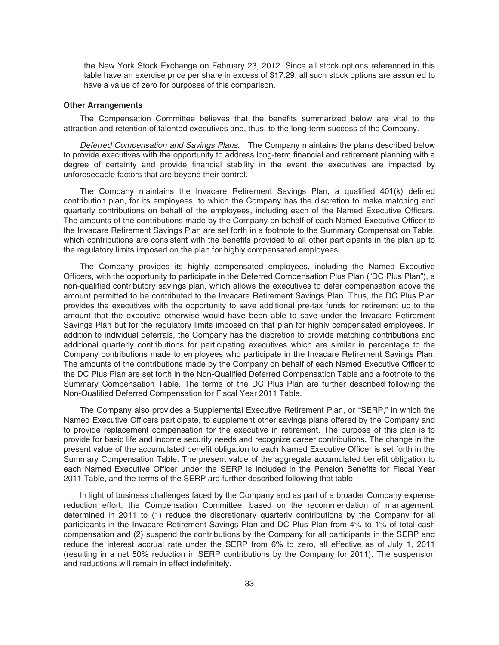the New York Stock Exchange on February 23, 2012. Since all stock options referenced in this table have an exercise price per share in excess of \$17.29, all such stock options are assumed to have a value of zero for purposes of this comparison.

#### **Other Arrangements**

The Compensation Committee believes that the benefits summarized below are vital to the attraction and retention of talented executives and, thus, to the long-term success of the Company.

Deferred Compensation and Savings Plans. The Company maintains the plans described below to provide executives with the opportunity to address long-term financial and retirement planning with a degree of certainty and provide financial stability in the event the executives are impacted by unforeseeable factors that are beyond their control.

The Company maintains the Invacare Retirement Savings Plan, a qualified 401(k) defined contribution plan, for its employees, to which the Company has the discretion to make matching and quarterly contributions on behalf of the employees, including each of the Named Executive Officers. The amounts of the contributions made by the Company on behalf of each Named Executive Officer to the Invacare Retirement Savings Plan are set forth in a footnote to the Summary Compensation Table, which contributions are consistent with the benefits provided to all other participants in the plan up to the regulatory limits imposed on the plan for highly compensated employees.

The Company provides its highly compensated employees, including the Named Executive Officers, with the opportunity to participate in the Deferred Compensation Plus Plan ("DC Plus Plan"), a non-qualified contributory savings plan, which allows the executives to defer compensation above the amount permitted to be contributed to the Invacare Retirement Savings Plan. Thus, the DC Plus Plan provides the executives with the opportunity to save additional pre-tax funds for retirement up to the amount that the executive otherwise would have been able to save under the Invacare Retirement Savings Plan but for the regulatory limits imposed on that plan for highly compensated employees. In addition to individual deferrals, the Company has the discretion to provide matching contributions and additional quarterly contributions for participating executives which are similar in percentage to the Company contributions made to employees who participate in the Invacare Retirement Savings Plan. The amounts of the contributions made by the Company on behalf of each Named Executive Officer to the DC Plus Plan are set forth in the Non-Qualified Deferred Compensation Table and a footnote to the Summary Compensation Table. The terms of the DC Plus Plan are further described following the Non-Qualified Deferred Compensation for Fiscal Year 2011 Table.

The Company also provides a Supplemental Executive Retirement Plan, or "SERP," in which the Named Executive Officers participate, to supplement other savings plans offered by the Company and to provide replacement compensation for the executive in retirement. The purpose of this plan is to provide for basic life and income security needs and recognize career contributions. The change in the present value of the accumulated benefit obligation to each Named Executive Officer is set forth in the Summary Compensation Table. The present value of the aggregate accumulated benefit obligation to each Named Executive Officer under the SERP is included in the Pension Benefits for Fiscal Year 2011 Table, and the terms of the SERP are further described following that table.

In light of business challenges faced by the Company and as part of a broader Company expense reduction effort, the Compensation Committee, based on the recommendation of management, determined in 2011 to (1) reduce the discretionary quarterly contributions by the Company for all participants in the Invacare Retirement Savings Plan and DC Plus Plan from 4% to 1% of total cash compensation and (2) suspend the contributions by the Company for all participants in the SERP and reduce the interest accrual rate under the SERP from 6% to zero, all effective as of July 1, 2011 (resulting in a net 50% reduction in SERP contributions by the Company for 2011). The suspension and reductions will remain in effect indefinitely.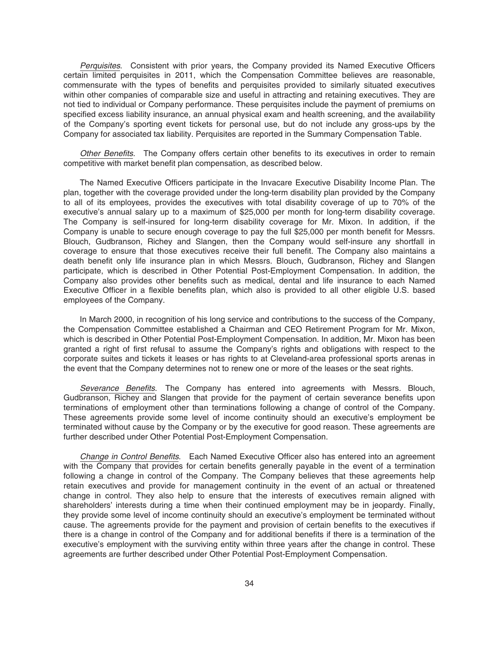Perquisites. Consistent with prior years, the Company provided its Named Executive Officers certain limited perquisites in 2011, which the Compensation Committee believes are reasonable, commensurate with the types of benefits and perquisites provided to similarly situated executives within other companies of comparable size and useful in attracting and retaining executives. They are not tied to individual or Company performance. These perquisites include the payment of premiums on specified excess liability insurance, an annual physical exam and health screening, and the availability of the Company's sporting event tickets for personal use, but do not include any gross-ups by the Company for associated tax liability. Perquisites are reported in the Summary Compensation Table.

Other Benefits. The Company offers certain other benefits to its executives in order to remain competitive with market benefit plan compensation, as described below.

The Named Executive Officers participate in the Invacare Executive Disability Income Plan. The plan, together with the coverage provided under the long-term disability plan provided by the Company to all of its employees, provides the executives with total disability coverage of up to 70% of the executive's annual salary up to a maximum of \$25,000 per month for long-term disability coverage. The Company is self-insured for long-term disability coverage for Mr. Mixon. In addition, if the Company is unable to secure enough coverage to pay the full \$25,000 per month benefit for Messrs. Blouch, Gudbranson, Richey and Slangen, then the Company would self-insure any shortfall in coverage to ensure that those executives receive their full benefit. The Company also maintains a death benefit only life insurance plan in which Messrs. Blouch, Gudbranson, Richey and Slangen participate, which is described in Other Potential Post-Employment Compensation. In addition, the Company also provides other benefits such as medical, dental and life insurance to each Named Executive Officer in a flexible benefits plan, which also is provided to all other eligible U.S. based employees of the Company.

In March 2000, in recognition of his long service and contributions to the success of the Company, the Compensation Committee established a Chairman and CEO Retirement Program for Mr. Mixon, which is described in Other Potential Post-Employment Compensation. In addition, Mr. Mixon has been granted a right of first refusal to assume the Company's rights and obligations with respect to the corporate suites and tickets it leases or has rights to at Cleveland-area professional sports arenas in the event that the Company determines not to renew one or more of the leases or the seat rights.

Severance Benefits. The Company has entered into agreements with Messrs. Blouch, Gudbranson, Richey and Slangen that provide for the payment of certain severance benefits upon terminations of employment other than terminations following a change of control of the Company. These agreements provide some level of income continuity should an executive's employment be terminated without cause by the Company or by the executive for good reason. These agreements are further described under Other Potential Post-Employment Compensation.

Change in Control Benefits. Each Named Executive Officer also has entered into an agreement with the Company that provides for certain benefits generally payable in the event of a termination following a change in control of the Company. The Company believes that these agreements help retain executives and provide for management continuity in the event of an actual or threatened change in control. They also help to ensure that the interests of executives remain aligned with shareholders' interests during a time when their continued employment may be in jeopardy. Finally, they provide some level of income continuity should an executive's employment be terminated without cause. The agreements provide for the payment and provision of certain benefits to the executives if there is a change in control of the Company and for additional benefits if there is a termination of the executive's employment with the surviving entity within three years after the change in control. These agreements are further described under Other Potential Post-Employment Compensation.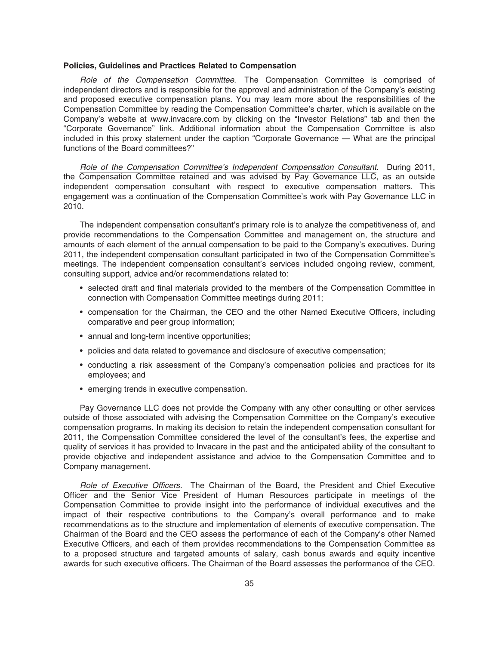#### **Policies, Guidelines and Practices Related to Compensation**

Role of the Compensation Committee. The Compensation Committee is comprised of independent directors and is responsible for the approval and administration of the Company's existing and proposed executive compensation plans. You may learn more about the responsibilities of the Compensation Committee by reading the Compensation Committee's charter, which is available on the Company's website at www.invacare.com by clicking on the "Investor Relations" tab and then the "Corporate Governance" link. Additional information about the Compensation Committee is also included in this proxy statement under the caption "Corporate Governance — What are the principal functions of the Board committees?"

Role of the Compensation Committee's Independent Compensation Consultant. During 2011, the Compensation Committee retained and was advised by Pay Governance LLC, as an outside independent compensation consultant with respect to executive compensation matters. This engagement was a continuation of the Compensation Committee's work with Pay Governance LLC in 2010.

The independent compensation consultant's primary role is to analyze the competitiveness of, and provide recommendations to the Compensation Committee and management on, the structure and amounts of each element of the annual compensation to be paid to the Company's executives. During 2011, the independent compensation consultant participated in two of the Compensation Committee's meetings. The independent compensation consultant's services included ongoing review, comment, consulting support, advice and/or recommendations related to:

- selected draft and final materials provided to the members of the Compensation Committee in connection with Compensation Committee meetings during 2011;
- compensation for the Chairman, the CEO and the other Named Executive Officers, including comparative and peer group information;
- annual and long-term incentive opportunities;
- policies and data related to governance and disclosure of executive compensation;
- conducting a risk assessment of the Company's compensation policies and practices for its employees; and
- emerging trends in executive compensation.

Pay Governance LLC does not provide the Company with any other consulting or other services outside of those associated with advising the Compensation Committee on the Company's executive compensation programs. In making its decision to retain the independent compensation consultant for 2011, the Compensation Committee considered the level of the consultant's fees, the expertise and quality of services it has provided to Invacare in the past and the anticipated ability of the consultant to provide objective and independent assistance and advice to the Compensation Committee and to Company management.

Role of Executive Officers. The Chairman of the Board, the President and Chief Executive Officer and the Senior Vice President of Human Resources participate in meetings of the Compensation Committee to provide insight into the performance of individual executives and the impact of their respective contributions to the Company's overall performance and to make recommendations as to the structure and implementation of elements of executive compensation. The Chairman of the Board and the CEO assess the performance of each of the Company's other Named Executive Officers, and each of them provides recommendations to the Compensation Committee as to a proposed structure and targeted amounts of salary, cash bonus awards and equity incentive awards for such executive officers. The Chairman of the Board assesses the performance of the CEO.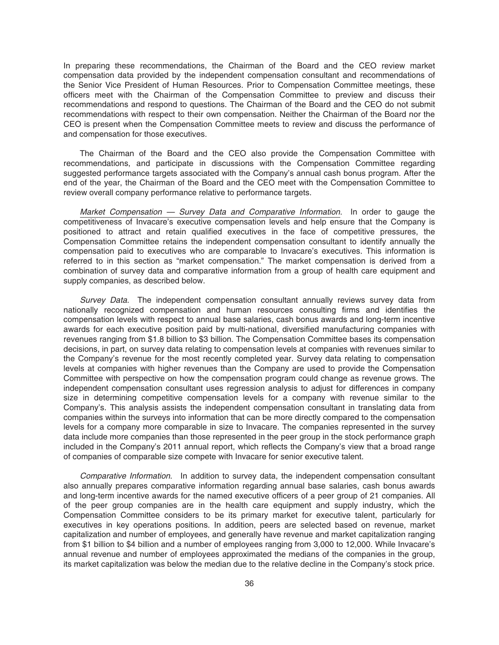In preparing these recommendations, the Chairman of the Board and the CEO review market compensation data provided by the independent compensation consultant and recommendations of the Senior Vice President of Human Resources. Prior to Compensation Committee meetings, these officers meet with the Chairman of the Compensation Committee to preview and discuss their recommendations and respond to questions. The Chairman of the Board and the CEO do not submit recommendations with respect to their own compensation. Neither the Chairman of the Board nor the CEO is present when the Compensation Committee meets to review and discuss the performance of and compensation for those executives.

The Chairman of the Board and the CEO also provide the Compensation Committee with recommendations, and participate in discussions with the Compensation Committee regarding suggested performance targets associated with the Company's annual cash bonus program. After the end of the year, the Chairman of the Board and the CEO meet with the Compensation Committee to review overall company performance relative to performance targets.

Market Compensation — Survey Data and Comparative Information. In order to gauge the competitiveness of Invacare's executive compensation levels and help ensure that the Company is positioned to attract and retain qualified executives in the face of competitive pressures, the Compensation Committee retains the independent compensation consultant to identify annually the compensation paid to executives who are comparable to Invacare's executives. This information is referred to in this section as "market compensation." The market compensation is derived from a combination of survey data and comparative information from a group of health care equipment and supply companies, as described below.

Survey Data. The independent compensation consultant annually reviews survey data from nationally recognized compensation and human resources consulting firms and identifies the compensation levels with respect to annual base salaries, cash bonus awards and long-term incentive awards for each executive position paid by multi-national, diversified manufacturing companies with revenues ranging from \$1.8 billion to \$3 billion. The Compensation Committee bases its compensation decisions, in part, on survey data relating to compensation levels at companies with revenues similar to the Company's revenue for the most recently completed year. Survey data relating to compensation levels at companies with higher revenues than the Company are used to provide the Compensation Committee with perspective on how the compensation program could change as revenue grows. The independent compensation consultant uses regression analysis to adjust for differences in company size in determining competitive compensation levels for a company with revenue similar to the Company's. This analysis assists the independent compensation consultant in translating data from companies within the surveys into information that can be more directly compared to the compensation levels for a company more comparable in size to Invacare. The companies represented in the survey data include more companies than those represented in the peer group in the stock performance graph included in the Company's 2011 annual report, which reflects the Company's view that a broad range of companies of comparable size compete with Invacare for senior executive talent.

Comparative Information. In addition to survey data, the independent compensation consultant also annually prepares comparative information regarding annual base salaries, cash bonus awards and long-term incentive awards for the named executive officers of a peer group of 21 companies. All of the peer group companies are in the health care equipment and supply industry, which the Compensation Committee considers to be its primary market for executive talent, particularly for executives in key operations positions. In addition, peers are selected based on revenue, market capitalization and number of employees, and generally have revenue and market capitalization ranging from \$1 billion to \$4 billion and a number of employees ranging from 3,000 to 12,000. While Invacare's annual revenue and number of employees approximated the medians of the companies in the group, its market capitalization was below the median due to the relative decline in the Company's stock price.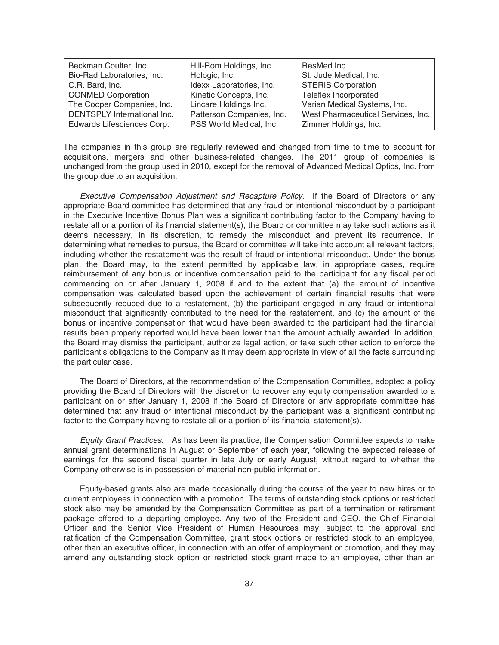| Beckman Coulter, Inc.       | Hill-Rom Holdings, Inc.   | ResMed Inc.                        |
|-----------------------------|---------------------------|------------------------------------|
| Bio-Rad Laboratories, Inc.  | Hologic, Inc.             | St. Jude Medical, Inc.             |
| C.R. Bard, Inc.             | Idexx Laboratories, Inc.  | <b>STERIS Corporation</b>          |
| <b>CONMED Corporation</b>   | Kinetic Concepts, Inc.    | Teleflex Incorporated              |
| The Cooper Companies, Inc.  | Lincare Holdings Inc.     | Varian Medical Systems, Inc.       |
| DENTSPLY International Inc. | Patterson Companies, Inc. | West Pharmaceutical Services, Inc. |
| Edwards Lifesciences Corp.  | PSS World Medical, Inc.   | Zimmer Holdings, Inc.              |

The companies in this group are regularly reviewed and changed from time to time to account for acquisitions, mergers and other business-related changes. The 2011 group of companies is unchanged from the group used in 2010, except for the removal of Advanced Medical Optics, Inc. from the group due to an acquisition.

Executive Compensation Adjustment and Recapture Policy. If the Board of Directors or any appropriate Board committee has determined that any fraud or intentional misconduct by a participant in the Executive Incentive Bonus Plan was a significant contributing factor to the Company having to restate all or a portion of its financial statement(s), the Board or committee may take such actions as it deems necessary, in its discretion, to remedy the misconduct and prevent its recurrence. In determining what remedies to pursue, the Board or committee will take into account all relevant factors, including whether the restatement was the result of fraud or intentional misconduct. Under the bonus plan, the Board may, to the extent permitted by applicable law, in appropriate cases, require reimbursement of any bonus or incentive compensation paid to the participant for any fiscal period commencing on or after January 1, 2008 if and to the extent that (a) the amount of incentive compensation was calculated based upon the achievement of certain financial results that were subsequently reduced due to a restatement, (b) the participant engaged in any fraud or intentional misconduct that significantly contributed to the need for the restatement, and (c) the amount of the bonus or incentive compensation that would have been awarded to the participant had the financial results been properly reported would have been lower than the amount actually awarded. In addition, the Board may dismiss the participant, authorize legal action, or take such other action to enforce the participant's obligations to the Company as it may deem appropriate in view of all the facts surrounding the particular case.

The Board of Directors, at the recommendation of the Compensation Committee, adopted a policy providing the Board of Directors with the discretion to recover any equity compensation awarded to a participant on or after January 1, 2008 if the Board of Directors or any appropriate committee has determined that any fraud or intentional misconduct by the participant was a significant contributing factor to the Company having to restate all or a portion of its financial statement(s).

Equity Grant Practices. As has been its practice, the Compensation Committee expects to make annual grant determinations in August or September of each year, following the expected release of earnings for the second fiscal quarter in late July or early August, without regard to whether the Company otherwise is in possession of material non-public information.

Equity-based grants also are made occasionally during the course of the year to new hires or to current employees in connection with a promotion. The terms of outstanding stock options or restricted stock also may be amended by the Compensation Committee as part of a termination or retirement package offered to a departing employee. Any two of the President and CEO, the Chief Financial Officer and the Senior Vice President of Human Resources may, subject to the approval and ratification of the Compensation Committee, grant stock options or restricted stock to an employee, other than an executive officer, in connection with an offer of employment or promotion, and they may amend any outstanding stock option or restricted stock grant made to an employee, other than an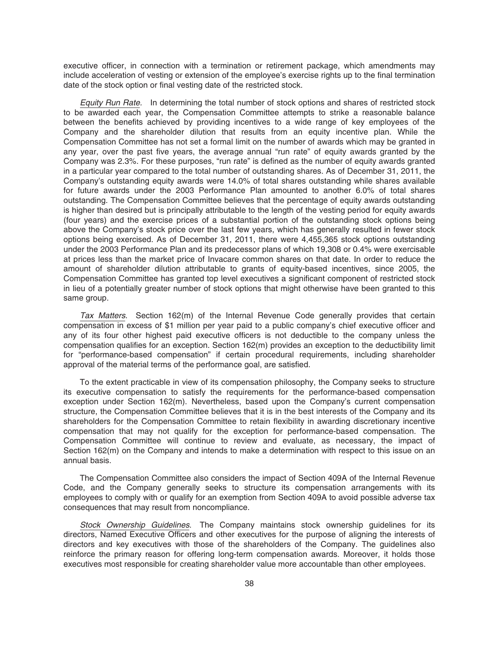executive officer, in connection with a termination or retirement package, which amendments may include acceleration of vesting or extension of the employee's exercise rights up to the final termination date of the stock option or final vesting date of the restricted stock.

Equity Run Rate. In determining the total number of stock options and shares of restricted stock to be awarded each year, the Compensation Committee attempts to strike a reasonable balance between the benefits achieved by providing incentives to a wide range of key employees of the Company and the shareholder dilution that results from an equity incentive plan. While the Compensation Committee has not set a formal limit on the number of awards which may be granted in any year, over the past five years, the average annual "run rate" of equity awards granted by the Company was 2.3%. For these purposes, "run rate" is defined as the number of equity awards granted in a particular year compared to the total number of outstanding shares. As of December 31, 2011, the Company's outstanding equity awards were 14.0% of total shares outstanding while shares available for future awards under the 2003 Performance Plan amounted to another 6.0% of total shares outstanding. The Compensation Committee believes that the percentage of equity awards outstanding is higher than desired but is principally attributable to the length of the vesting period for equity awards (four years) and the exercise prices of a substantial portion of the outstanding stock options being above the Company's stock price over the last few years, which has generally resulted in fewer stock options being exercised. As of December 31, 2011, there were 4,455,365 stock options outstanding under the 2003 Performance Plan and its predecessor plans of which 19,308 or 0.4% were exercisable at prices less than the market price of Invacare common shares on that date. In order to reduce the amount of shareholder dilution attributable to grants of equity-based incentives, since 2005, the Compensation Committee has granted top level executives a significant component of restricted stock in lieu of a potentially greater number of stock options that might otherwise have been granted to this same group.

Tax Matters. Section 162(m) of the Internal Revenue Code generally provides that certain compensation in excess of \$1 million per year paid to a public company's chief executive officer and any of its four other highest paid executive officers is not deductible to the company unless the compensation qualifies for an exception. Section 162(m) provides an exception to the deductibility limit for "performance-based compensation" if certain procedural requirements, including shareholder approval of the material terms of the performance goal, are satisfied.

To the extent practicable in view of its compensation philosophy, the Company seeks to structure its executive compensation to satisfy the requirements for the performance-based compensation exception under Section 162(m). Nevertheless, based upon the Company's current compensation structure, the Compensation Committee believes that it is in the best interests of the Company and its shareholders for the Compensation Committee to retain flexibility in awarding discretionary incentive compensation that may not qualify for the exception for performance-based compensation. The Compensation Committee will continue to review and evaluate, as necessary, the impact of Section 162(m) on the Company and intends to make a determination with respect to this issue on an annual basis.

The Compensation Committee also considers the impact of Section 409A of the Internal Revenue Code, and the Company generally seeks to structure its compensation arrangements with its employees to comply with or qualify for an exemption from Section 409A to avoid possible adverse tax consequences that may result from noncompliance.

Stock Ownership Guidelines. The Company maintains stock ownership guidelines for its directors, Named Executive Officers and other executives for the purpose of aligning the interests of directors and key executives with those of the shareholders of the Company. The guidelines also reinforce the primary reason for offering long-term compensation awards. Moreover, it holds those executives most responsible for creating shareholder value more accountable than other employees.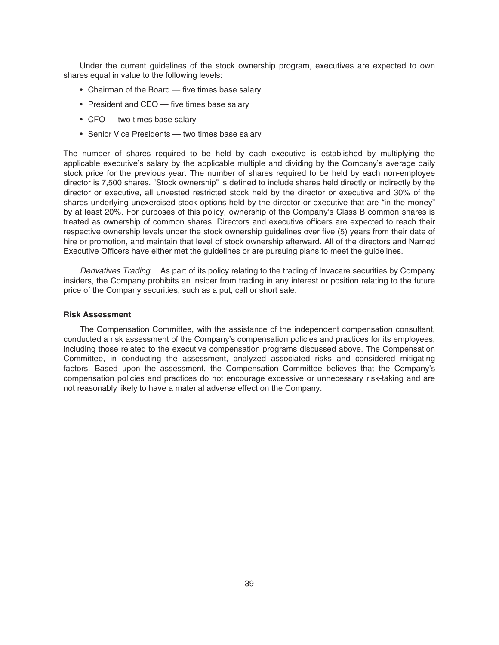Under the current guidelines of the stock ownership program, executives are expected to own shares equal in value to the following levels:

- Chairman of the Board five times base salary
- President and CEO five times base salary
- CFO two times base salary
- Senior Vice Presidents two times base salary

The number of shares required to be held by each executive is established by multiplying the applicable executive's salary by the applicable multiple and dividing by the Company's average daily stock price for the previous year. The number of shares required to be held by each non-employee director is 7,500 shares. "Stock ownership" is defined to include shares held directly or indirectly by the director or executive, all unvested restricted stock held by the director or executive and 30% of the shares underlying unexercised stock options held by the director or executive that are "in the money" by at least 20%. For purposes of this policy, ownership of the Company's Class B common shares is treated as ownership of common shares. Directors and executive officers are expected to reach their respective ownership levels under the stock ownership guidelines over five (5) years from their date of hire or promotion, and maintain that level of stock ownership afterward. All of the directors and Named Executive Officers have either met the guidelines or are pursuing plans to meet the guidelines.

Derivatives Trading. As part of its policy relating to the trading of Invacare securities by Company insiders, the Company prohibits an insider from trading in any interest or position relating to the future price of the Company securities, such as a put, call or short sale.

### **Risk Assessment**

The Compensation Committee, with the assistance of the independent compensation consultant, conducted a risk assessment of the Company's compensation policies and practices for its employees, including those related to the executive compensation programs discussed above. The Compensation Committee, in conducting the assessment, analyzed associated risks and considered mitigating factors. Based upon the assessment, the Compensation Committee believes that the Company's compensation policies and practices do not encourage excessive or unnecessary risk-taking and are not reasonably likely to have a material adverse effect on the Company.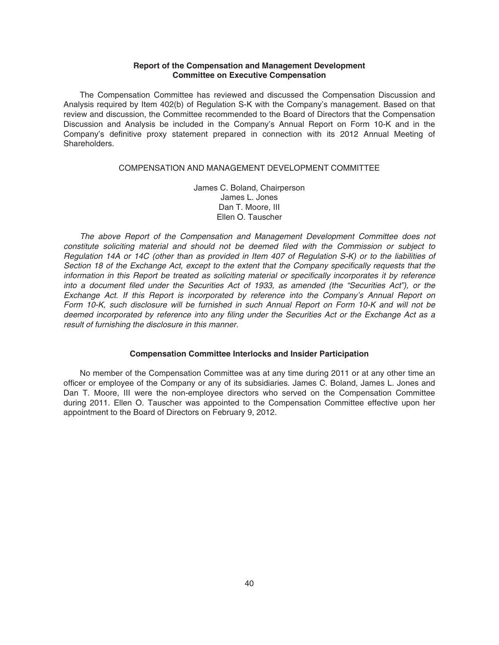### **Report of the Compensation and Management Development Committee on Executive Compensation**

The Compensation Committee has reviewed and discussed the Compensation Discussion and Analysis required by Item 402(b) of Regulation S-K with the Company's management. Based on that review and discussion, the Committee recommended to the Board of Directors that the Compensation Discussion and Analysis be included in the Company's Annual Report on Form 10-K and in the Company's definitive proxy statement prepared in connection with its 2012 Annual Meeting of Shareholders.

### COMPENSATION AND MANAGEMENT DEVELOPMENT COMMITTEE

James C. Boland, Chairperson James L. Jones Dan T. Moore, III Ellen O. Tauscher

The above Report of the Compensation and Management Development Committee does not constitute soliciting material and should not be deemed filed with the Commission or subject to Regulation 14A or 14C (other than as provided in Item 407 of Regulation S-K) or to the liabilities of Section 18 of the Exchange Act, except to the extent that the Company specifically requests that the information in this Report be treated as soliciting material or specifically incorporates it by reference into a document filed under the Securities Act of 1933, as amended (the "Securities Act"), or the Exchange Act. If this Report is incorporated by reference into the Company's Annual Report on Form 10-K, such disclosure will be furnished in such Annual Report on Form 10-K and will not be deemed incorporated by reference into any filing under the Securities Act or the Exchange Act as a result of furnishing the disclosure in this manner.

### **Compensation Committee Interlocks and Insider Participation**

No member of the Compensation Committee was at any time during 2011 or at any other time an officer or employee of the Company or any of its subsidiaries. James C. Boland, James L. Jones and Dan T. Moore, III were the non-employee directors who served on the Compensation Committee during 2011. Ellen O. Tauscher was appointed to the Compensation Committee effective upon her appointment to the Board of Directors on February 9, 2012.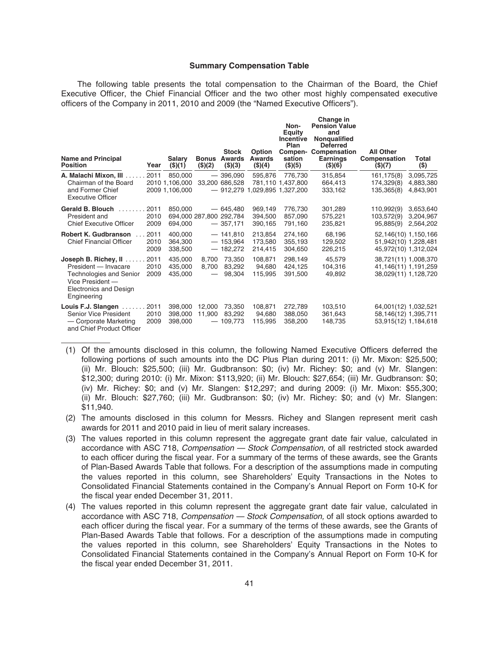#### **Summary Compensation Table**

The following table presents the total compensation to the Chairman of the Board, the Chief Executive Officer, the Chief Financial Officer and the two other most highly compensated executive officers of the Company in 2011, 2010 and 2009 (the "Named Executive Officers").

**Change in**

| <b>Name and Principal</b><br><b>Position</b>                                                                                                       | Year                 | <b>Salary</b><br>(\$)(1)                    | <b>Bonus</b><br>(\$)(2)                           | <b>Stock</b><br>Awards<br>(\$)(3)                   | Option<br><b>Awards</b><br>(\$)(4) | Non-<br><b>Equity</b><br>Incentive<br>Plan<br>Compen-<br>sation<br>(\$)(5) | Change in<br><b>Pension Value</b><br>and<br>Nongualified<br><b>Deferred</b><br>Compensation<br><b>Earnings</b><br>(\$)(6) | <b>All Other</b><br>Compensation<br>\$)(7)                           | Total<br>$($ \$)                    |
|----------------------------------------------------------------------------------------------------------------------------------------------------|----------------------|---------------------------------------------|---------------------------------------------------|-----------------------------------------------------|------------------------------------|----------------------------------------------------------------------------|---------------------------------------------------------------------------------------------------------------------------|----------------------------------------------------------------------|-------------------------------------|
| A. Malachi Mixon, III<br>Chairman of the Board<br>and Former Chief<br><b>Executive Officer</b>                                                     | 2011                 | 850,000<br>2010 1,106,000<br>2009 1,106,000 |                                                   | $-396,090$<br>33,200 686,528                        | 595,876                            | 776,730<br>781,110 1,437,800<br>$-912,279$ 1,029,895 1,327,200             | 315,854<br>664,413<br>333,162                                                                                             | 161, 175(8)<br>174,329(8)<br>135,365(8)                              | 3,095,725<br>4,883,380<br>4,843,901 |
| <b>Gerald B. Blouch</b><br>President and<br><b>Chief Executive Officer</b>                                                                         | 2011<br>2010<br>2009 | 850,000<br>694,000                          |                                                   | $-645.480$<br>694,000 287,800 292,784<br>$-357,171$ | 969,149<br>394.500<br>390,165      | 776,730<br>857.090<br>791,160                                              | 301,289<br>575,221<br>235,821                                                                                             | 110.992(9)<br>103,572(9)<br>95,885(9)                                | 3,653,640<br>3,204,967<br>2,564,202 |
| <b>Robert K. Gudbranson</b><br><b>Chief Financial Officer</b>                                                                                      | 2011<br>2010<br>2009 | 400,000<br>364,300<br>338,500               |                                                   | $-141,810$<br>$-153,964$<br>$-182,272$              | 213,854<br>173,580<br>214,415      | 274,160<br>355,193<br>304,650                                              | 68,196<br>129,502<br>226,215                                                                                              | 52,146(10) 1,150,166<br>51,942(10) 1,228,481<br>45,972(10) 1,312,024 |                                     |
| Joseph B. Richey, II<br>President - Invacare<br><b>Technologies and Senior</b><br>Vice President -<br><b>Electronics and Design</b><br>Engineering | 2011<br>2010<br>2009 | 435.000<br>435,000<br>435,000               | 8.700<br>8,700<br>$\hspace{0.1mm}-\hspace{0.1mm}$ | 73,350<br>83,292<br>98,304                          | 108,871<br>94.680<br>115,995       | 298,149<br>424,125<br>391,500                                              | 45,579<br>104,316<br>49,892                                                                                               | 38,721(11) 1,008,370<br>41,146(11) 1,191,259<br>38,029(11) 1,128,720 |                                     |
| Louis F.J. Slangen<br>Senior Vice President<br>- Corporate Marketing<br>and Chief Product Officer                                                  | 2011<br>2010<br>2009 | 398,000<br>398,000<br>398,000               | 12.000<br>11,900                                  | 73.350<br>83.292<br>109,773                         | 108.871<br>94,680<br>115,995       | 272,789<br>388,050<br>358,200                                              | 103,510<br>361,643<br>148,735                                                                                             | 64,001(12) 1,032,521<br>58,146(12) 1,395,711<br>53,915(12) 1,184,618 |                                     |

- (1) Of the amounts disclosed in this column, the following Named Executive Officers deferred the following portions of such amounts into the DC Plus Plan during 2011: (i) Mr. Mixon: \$25,500; (ii) Mr. Blouch: \$25,500; (iii) Mr. Gudbranson: \$0; (iv) Mr. Richey: \$0; and (v) Mr. Slangen: \$12,300; during 2010: (i) Mr. Mixon: \$113,920; (ii) Mr. Blouch: \$27,654; (iii) Mr. Gudbranson: \$0; (iv) Mr. Richey: \$0; and (v) Mr. Slangen: \$12,297; and during 2009: (i) Mr. Mixon: \$55,300; (ii) Mr. Blouch: \$27,760; (iii) Mr. Gudbranson: \$0; (iv) Mr. Richey: \$0; and (v) Mr. Slangen: \$11,940.
- (2) The amounts disclosed in this column for Messrs. Richey and Slangen represent merit cash awards for 2011 and 2010 paid in lieu of merit salary increases.
- (3) The values reported in this column represent the aggregate grant date fair value, calculated in accordance with ASC 718, Compensation - Stock Compensation, of all restricted stock awarded to each officer during the fiscal year. For a summary of the terms of these awards, see the Grants of Plan-Based Awards Table that follows. For a description of the assumptions made in computing the values reported in this column, see Shareholders' Equity Transactions in the Notes to Consolidated Financial Statements contained in the Company's Annual Report on Form 10-K for the fiscal year ended December 31, 2011.
- (4) The values reported in this column represent the aggregate grant date fair value, calculated in accordance with ASC 718, Compensation — Stock Compensation, of all stock options awarded to each officer during the fiscal year. For a summary of the terms of these awards, see the Grants of Plan-Based Awards Table that follows. For a description of the assumptions made in computing the values reported in this column, see Shareholders' Equity Transactions in the Notes to Consolidated Financial Statements contained in the Company's Annual Report on Form 10-K for the fiscal year ended December 31, 2011.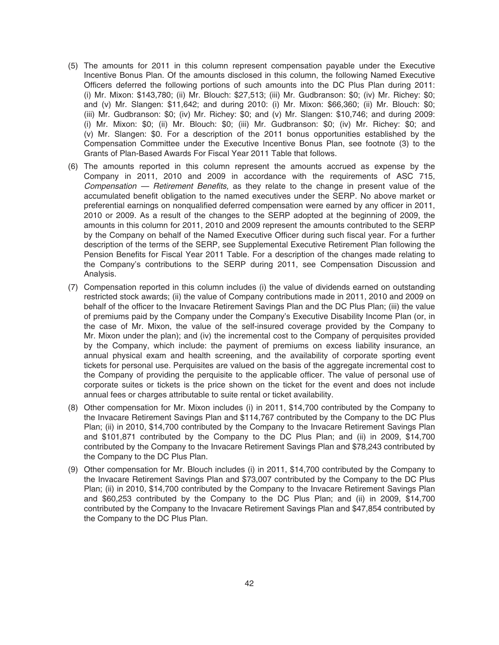- (5) The amounts for 2011 in this column represent compensation payable under the Executive Incentive Bonus Plan. Of the amounts disclosed in this column, the following Named Executive Officers deferred the following portions of such amounts into the DC Plus Plan during 2011: (i) Mr. Mixon: \$143,780; (ii) Mr. Blouch: \$27,513; (iii) Mr. Gudbranson: \$0; (iv) Mr. Richey: \$0; and (v) Mr. Slangen: \$11,642; and during 2010: (i) Mr. Mixon: \$66,360; (ii) Mr. Blouch: \$0; (iii) Mr. Gudbranson: \$0; (iv) Mr. Richey: \$0; and (v) Mr. Slangen: \$10,746; and during 2009: (i) Mr. Mixon: \$0; (ii) Mr. Blouch: \$0; (iii) Mr. Gudbranson: \$0; (iv) Mr. Richey: \$0; and (v) Mr. Slangen: \$0. For a description of the 2011 bonus opportunities established by the Compensation Committee under the Executive Incentive Bonus Plan, see footnote (3) to the Grants of Plan-Based Awards For Fiscal Year 2011 Table that follows.
- (6) The amounts reported in this column represent the amounts accrued as expense by the Company in 2011, 2010 and 2009 in accordance with the requirements of ASC 715, Compensation — Retirement Benefits, as they relate to the change in present value of the accumulated benefit obligation to the named executives under the SERP. No above market or preferential earnings on nonqualified deferred compensation were earned by any officer in 2011, 2010 or 2009. As a result of the changes to the SERP adopted at the beginning of 2009, the amounts in this column for 2011, 2010 and 2009 represent the amounts contributed to the SERP by the Company on behalf of the Named Executive Officer during such fiscal year. For a further description of the terms of the SERP, see Supplemental Executive Retirement Plan following the Pension Benefits for Fiscal Year 2011 Table. For a description of the changes made relating to the Company's contributions to the SERP during 2011, see Compensation Discussion and Analysis.
- (7) Compensation reported in this column includes (i) the value of dividends earned on outstanding restricted stock awards; (ii) the value of Company contributions made in 2011, 2010 and 2009 on behalf of the officer to the Invacare Retirement Savings Plan and the DC Plus Plan; (iii) the value of premiums paid by the Company under the Company's Executive Disability Income Plan (or, in the case of Mr. Mixon, the value of the self-insured coverage provided by the Company to Mr. Mixon under the plan); and (iv) the incremental cost to the Company of perquisites provided by the Company, which include: the payment of premiums on excess liability insurance, an annual physical exam and health screening, and the availability of corporate sporting event tickets for personal use. Perquisites are valued on the basis of the aggregate incremental cost to the Company of providing the perquisite to the applicable officer. The value of personal use of corporate suites or tickets is the price shown on the ticket for the event and does not include annual fees or charges attributable to suite rental or ticket availability.
- (8) Other compensation for Mr. Mixon includes (i) in 2011, \$14,700 contributed by the Company to the Invacare Retirement Savings Plan and \$114,767 contributed by the Company to the DC Plus Plan; (ii) in 2010, \$14,700 contributed by the Company to the Invacare Retirement Savings Plan and \$101,871 contributed by the Company to the DC Plus Plan; and (ii) in 2009, \$14,700 contributed by the Company to the Invacare Retirement Savings Plan and \$78,243 contributed by the Company to the DC Plus Plan.
- (9) Other compensation for Mr. Blouch includes (i) in 2011, \$14,700 contributed by the Company to the Invacare Retirement Savings Plan and \$73,007 contributed by the Company to the DC Plus Plan; (ii) in 2010, \$14,700 contributed by the Company to the Invacare Retirement Savings Plan and \$60,253 contributed by the Company to the DC Plus Plan; and (ii) in 2009, \$14,700 contributed by the Company to the Invacare Retirement Savings Plan and \$47,854 contributed by the Company to the DC Plus Plan.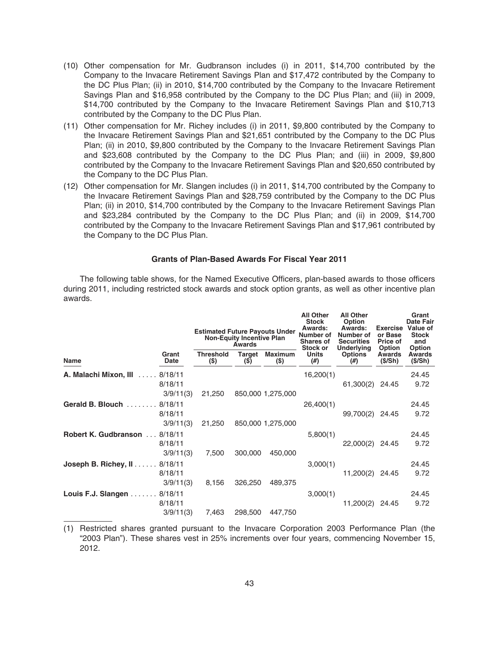- (10) Other compensation for Mr. Gudbranson includes (i) in 2011, \$14,700 contributed by the Company to the Invacare Retirement Savings Plan and \$17,472 contributed by the Company to the DC Plus Plan; (ii) in 2010, \$14,700 contributed by the Company to the Invacare Retirement Savings Plan and \$16,958 contributed by the Company to the DC Plus Plan; and (iii) in 2009, \$14,700 contributed by the Company to the Invacare Retirement Savings Plan and \$10,713 contributed by the Company to the DC Plus Plan.
- (11) Other compensation for Mr. Richey includes (i) in 2011, \$9,800 contributed by the Company to the Invacare Retirement Savings Plan and \$21,651 contributed by the Company to the DC Plus Plan; (ii) in 2010, \$9,800 contributed by the Company to the Invacare Retirement Savings Plan and \$23,608 contributed by the Company to the DC Plus Plan; and (iii) in 2009, \$9,800 contributed by the Company to the Invacare Retirement Savings Plan and \$20,650 contributed by the Company to the DC Plus Plan.
- (12) Other compensation for Mr. Slangen includes (i) in 2011, \$14,700 contributed by the Company to the Invacare Retirement Savings Plan and \$28,759 contributed by the Company to the DC Plus Plan; (ii) in 2010, \$14,700 contributed by the Company to the Invacare Retirement Savings Plan and \$23,284 contributed by the Company to the DC Plus Plan; and (ii) in 2009, \$14,700 contributed by the Company to the Invacare Retirement Savings Plan and \$17,961 contributed by the Company to the DC Plus Plan.

### **Grants of Plan-Based Awards For Fiscal Year 2011**

The following table shows, for the Named Executive Officers, plan-based awards to those officers during 2011, including restricted stock awards and stock option grants, as well as other incentive plan awards.

|                                      |                      | <b>Estimated Future Payouts Under</b> | <b>Non-Equity Incentive Plan</b><br><b>Awards</b> |                         | <b>All Other</b><br><b>Stock</b><br>Awards:<br>Number of<br><b>Shares of</b><br>Stock or<br><b>Units</b><br>(# ) | <b>All Other</b><br>Option<br>Awards:<br>Number of<br><b>Securities</b><br>Underlying<br><b>Options</b><br>$(\#)$ | Exercise<br>or Base<br>Price of<br>Option<br><b>Awards</b><br>(S/Sh) | Grant<br>Date Fair<br>Value of<br><b>Stock</b><br>and<br><b>Option</b> |
|--------------------------------------|----------------------|---------------------------------------|---------------------------------------------------|-------------------------|------------------------------------------------------------------------------------------------------------------|-------------------------------------------------------------------------------------------------------------------|----------------------------------------------------------------------|------------------------------------------------------------------------|
| Name                                 | Grant<br>Date        | <b>Threshold</b><br>$($)$             | Target<br>$($ \$                                  | <b>Maximum</b><br>$($)$ |                                                                                                                  |                                                                                                                   |                                                                      | <b>Awards</b><br>(S/Sh)                                                |
| <b>A. Malachi Mixon, III</b> 8/18/11 |                      |                                       |                                                   |                         | 16,200(1)                                                                                                        |                                                                                                                   |                                                                      | 24.45                                                                  |
|                                      | 8/18/11<br>3/9/11(3) | 21,250                                |                                                   | 850,000 1,275,000       |                                                                                                                  | 61,300(2)                                                                                                         | 24.45                                                                | 9.72                                                                   |
| Gerald B. Blouch  8/18/11            |                      |                                       |                                                   |                         | 26,400(1)                                                                                                        |                                                                                                                   |                                                                      | 24.45                                                                  |
|                                      | 8/18/11<br>3/9/11(3) | 21,250                                |                                                   | 850,000 1,275,000       |                                                                                                                  | 99,700(2)                                                                                                         | 24.45                                                                | 9.72                                                                   |
| Robert K. Gudbranson  8/18/11        |                      |                                       |                                                   |                         | 5,800(1)                                                                                                         |                                                                                                                   |                                                                      | 24.45                                                                  |
|                                      | 8/18/11<br>3/9/11(3) | 7,500                                 | 300,000                                           | 450,000                 |                                                                                                                  | 22,000(2)                                                                                                         | 24.45                                                                | 9.72                                                                   |
| Joseph B. Richey, II 8/18/11         |                      |                                       |                                                   |                         | 3,000(1)                                                                                                         |                                                                                                                   |                                                                      | 24.45                                                                  |
|                                      | 8/18/11<br>3/9/11(3) | 8,156                                 | 326,250                                           | 489,375                 |                                                                                                                  | 11,200(2)                                                                                                         | 24.45                                                                | 9.72                                                                   |
| Louis F.J. Slangen 8/18/11           |                      |                                       |                                                   |                         | 3,000(1)                                                                                                         |                                                                                                                   |                                                                      | 24.45                                                                  |
|                                      | 8/18/11              |                                       |                                                   |                         |                                                                                                                  | 11,200(2)                                                                                                         | 24.45                                                                | 9.72                                                                   |
|                                      | 3/9/11(3)            | 7,463                                 | 298,500                                           | 447,750                 |                                                                                                                  |                                                                                                                   |                                                                      |                                                                        |

<sup>(1)</sup> Restricted shares granted pursuant to the Invacare Corporation 2003 Performance Plan (the "2003 Plan"). These shares vest in 25% increments over four years, commencing November 15, 2012.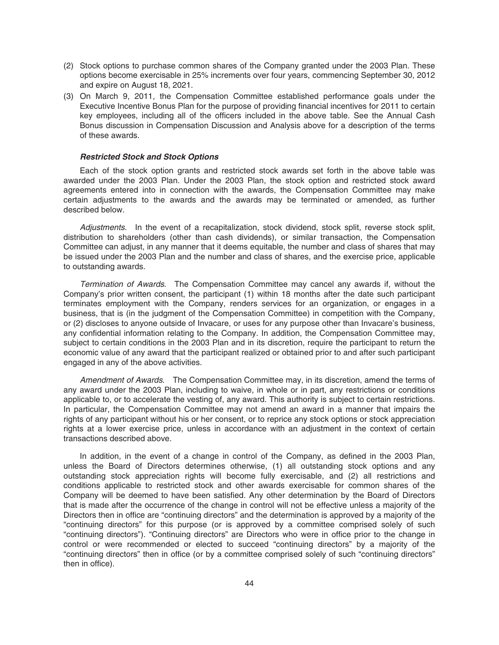- (2) Stock options to purchase common shares of the Company granted under the 2003 Plan. These options become exercisable in 25% increments over four years, commencing September 30, 2012 and expire on August 18, 2021.
- (3) On March 9, 2011, the Compensation Committee established performance goals under the Executive Incentive Bonus Plan for the purpose of providing financial incentives for 2011 to certain key employees, including all of the officers included in the above table. See the Annual Cash Bonus discussion in Compensation Discussion and Analysis above for a description of the terms of these awards.

### *Restricted Stock and Stock Options*

Each of the stock option grants and restricted stock awards set forth in the above table was awarded under the 2003 Plan. Under the 2003 Plan, the stock option and restricted stock award agreements entered into in connection with the awards, the Compensation Committee may make certain adjustments to the awards and the awards may be terminated or amended, as further described below.

Adjustments. In the event of a recapitalization, stock dividend, stock split, reverse stock split, distribution to shareholders (other than cash dividends), or similar transaction, the Compensation Committee can adjust, in any manner that it deems equitable, the number and class of shares that may be issued under the 2003 Plan and the number and class of shares, and the exercise price, applicable to outstanding awards.

Termination of Awards. The Compensation Committee may cancel any awards if, without the Company's prior written consent, the participant (1) within 18 months after the date such participant terminates employment with the Company, renders services for an organization, or engages in a business, that is (in the judgment of the Compensation Committee) in competition with the Company, or (2) discloses to anyone outside of Invacare, or uses for any purpose other than Invacare's business, any confidential information relating to the Company. In addition, the Compensation Committee may, subject to certain conditions in the 2003 Plan and in its discretion, require the participant to return the economic value of any award that the participant realized or obtained prior to and after such participant engaged in any of the above activities.

Amendment of Awards. The Compensation Committee may, in its discretion, amend the terms of any award under the 2003 Plan, including to waive, in whole or in part, any restrictions or conditions applicable to, or to accelerate the vesting of, any award. This authority is subject to certain restrictions. In particular, the Compensation Committee may not amend an award in a manner that impairs the rights of any participant without his or her consent, or to reprice any stock options or stock appreciation rights at a lower exercise price, unless in accordance with an adjustment in the context of certain transactions described above.

In addition, in the event of a change in control of the Company, as defined in the 2003 Plan, unless the Board of Directors determines otherwise, (1) all outstanding stock options and any outstanding stock appreciation rights will become fully exercisable, and (2) all restrictions and conditions applicable to restricted stock and other awards exercisable for common shares of the Company will be deemed to have been satisfied. Any other determination by the Board of Directors that is made after the occurrence of the change in control will not be effective unless a majority of the Directors then in office are "continuing directors" and the determination is approved by a majority of the "continuing directors" for this purpose (or is approved by a committee comprised solely of such "continuing directors"). "Continuing directors" are Directors who were in office prior to the change in control or were recommended or elected to succeed "continuing directors" by a majority of the "continuing directors" then in office (or by a committee comprised solely of such "continuing directors" then in office).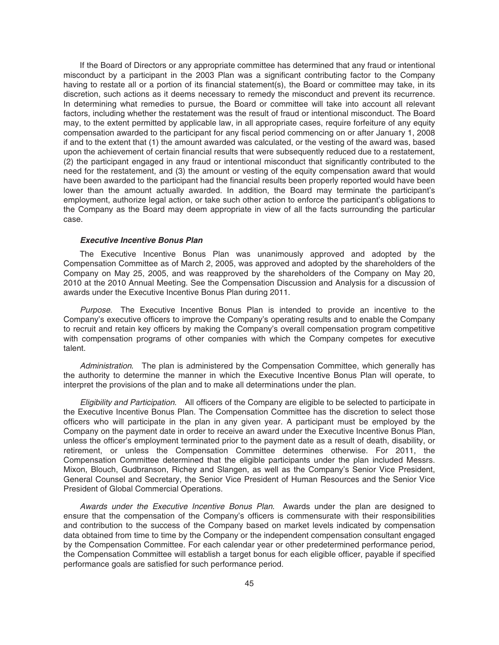If the Board of Directors or any appropriate committee has determined that any fraud or intentional misconduct by a participant in the 2003 Plan was a significant contributing factor to the Company having to restate all or a portion of its financial statement(s), the Board or committee may take, in its discretion, such actions as it deems necessary to remedy the misconduct and prevent its recurrence. In determining what remedies to pursue, the Board or committee will take into account all relevant factors, including whether the restatement was the result of fraud or intentional misconduct. The Board may, to the extent permitted by applicable law, in all appropriate cases, require forfeiture of any equity compensation awarded to the participant for any fiscal period commencing on or after January 1, 2008 if and to the extent that (1) the amount awarded was calculated, or the vesting of the award was, based upon the achievement of certain financial results that were subsequently reduced due to a restatement, (2) the participant engaged in any fraud or intentional misconduct that significantly contributed to the need for the restatement, and (3) the amount or vesting of the equity compensation award that would have been awarded to the participant had the financial results been properly reported would have been lower than the amount actually awarded. In addition, the Board may terminate the participant's employment, authorize legal action, or take such other action to enforce the participant's obligations to the Company as the Board may deem appropriate in view of all the facts surrounding the particular case.

#### *Executive Incentive Bonus Plan*

The Executive Incentive Bonus Plan was unanimously approved and adopted by the Compensation Committee as of March 2, 2005, was approved and adopted by the shareholders of the Company on May 25, 2005, and was reapproved by the shareholders of the Company on May 20, 2010 at the 2010 Annual Meeting. See the Compensation Discussion and Analysis for a discussion of awards under the Executive Incentive Bonus Plan during 2011.

Purpose. The Executive Incentive Bonus Plan is intended to provide an incentive to the Company's executive officers to improve the Company's operating results and to enable the Company to recruit and retain key officers by making the Company's overall compensation program competitive with compensation programs of other companies with which the Company competes for executive talent.

Administration. The plan is administered by the Compensation Committee, which generally has the authority to determine the manner in which the Executive Incentive Bonus Plan will operate, to interpret the provisions of the plan and to make all determinations under the plan.

Eligibility and Participation. All officers of the Company are eligible to be selected to participate in the Executive Incentive Bonus Plan. The Compensation Committee has the discretion to select those officers who will participate in the plan in any given year. A participant must be employed by the Company on the payment date in order to receive an award under the Executive Incentive Bonus Plan, unless the officer's employment terminated prior to the payment date as a result of death, disability, or retirement, or unless the Compensation Committee determines otherwise. For 2011, the Compensation Committee determined that the eligible participants under the plan included Messrs. Mixon, Blouch, Gudbranson, Richey and Slangen, as well as the Company's Senior Vice President, General Counsel and Secretary, the Senior Vice President of Human Resources and the Senior Vice President of Global Commercial Operations.

Awards under the Executive Incentive Bonus Plan. Awards under the plan are designed to ensure that the compensation of the Company's officers is commensurate with their responsibilities and contribution to the success of the Company based on market levels indicated by compensation data obtained from time to time by the Company or the independent compensation consultant engaged by the Compensation Committee. For each calendar year or other predetermined performance period, the Compensation Committee will establish a target bonus for each eligible officer, payable if specified performance goals are satisfied for such performance period.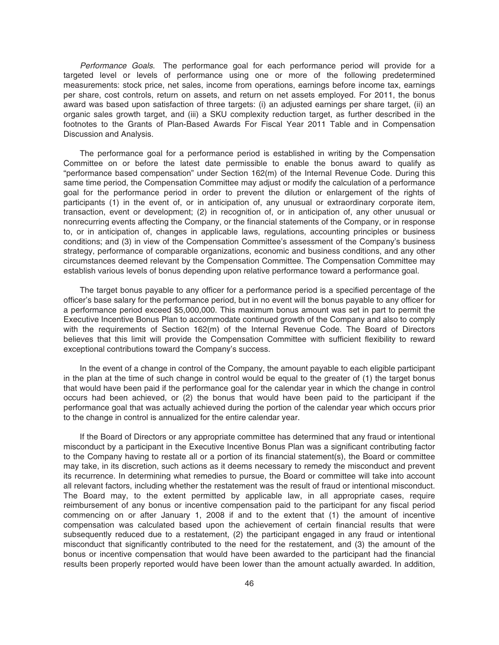Performance Goals. The performance goal for each performance period will provide for a targeted level or levels of performance using one or more of the following predetermined measurements: stock price, net sales, income from operations, earnings before income tax, earnings per share, cost controls, return on assets, and return on net assets employed. For 2011, the bonus award was based upon satisfaction of three targets: (i) an adjusted earnings per share target, (ii) an organic sales growth target, and (iii) a SKU complexity reduction target, as further described in the footnotes to the Grants of Plan-Based Awards For Fiscal Year 2011 Table and in Compensation Discussion and Analysis.

The performance goal for a performance period is established in writing by the Compensation Committee on or before the latest date permissible to enable the bonus award to qualify as "performance based compensation" under Section 162(m) of the Internal Revenue Code. During this same time period, the Compensation Committee may adjust or modify the calculation of a performance goal for the performance period in order to prevent the dilution or enlargement of the rights of participants (1) in the event of, or in anticipation of, any unusual or extraordinary corporate item, transaction, event or development; (2) in recognition of, or in anticipation of, any other unusual or nonrecurring events affecting the Company, or the financial statements of the Company, or in response to, or in anticipation of, changes in applicable laws, regulations, accounting principles or business conditions; and (3) in view of the Compensation Committee's assessment of the Company's business strategy, performance of comparable organizations, economic and business conditions, and any other circumstances deemed relevant by the Compensation Committee. The Compensation Committee may establish various levels of bonus depending upon relative performance toward a performance goal.

The target bonus payable to any officer for a performance period is a specified percentage of the officer's base salary for the performance period, but in no event will the bonus payable to any officer for a performance period exceed \$5,000,000. This maximum bonus amount was set in part to permit the Executive Incentive Bonus Plan to accommodate continued growth of the Company and also to comply with the requirements of Section 162(m) of the Internal Revenue Code. The Board of Directors believes that this limit will provide the Compensation Committee with sufficient flexibility to reward exceptional contributions toward the Company's success.

In the event of a change in control of the Company, the amount payable to each eligible participant in the plan at the time of such change in control would be equal to the greater of (1) the target bonus that would have been paid if the performance goal for the calendar year in which the change in control occurs had been achieved, or (2) the bonus that would have been paid to the participant if the performance goal that was actually achieved during the portion of the calendar year which occurs prior to the change in control is annualized for the entire calendar year.

If the Board of Directors or any appropriate committee has determined that any fraud or intentional misconduct by a participant in the Executive Incentive Bonus Plan was a significant contributing factor to the Company having to restate all or a portion of its financial statement(s), the Board or committee may take, in its discretion, such actions as it deems necessary to remedy the misconduct and prevent its recurrence. In determining what remedies to pursue, the Board or committee will take into account all relevant factors, including whether the restatement was the result of fraud or intentional misconduct. The Board may, to the extent permitted by applicable law, in all appropriate cases, require reimbursement of any bonus or incentive compensation paid to the participant for any fiscal period commencing on or after January 1, 2008 if and to the extent that (1) the amount of incentive compensation was calculated based upon the achievement of certain financial results that were subsequently reduced due to a restatement, (2) the participant engaged in any fraud or intentional misconduct that significantly contributed to the need for the restatement, and (3) the amount of the bonus or incentive compensation that would have been awarded to the participant had the financial results been properly reported would have been lower than the amount actually awarded. In addition,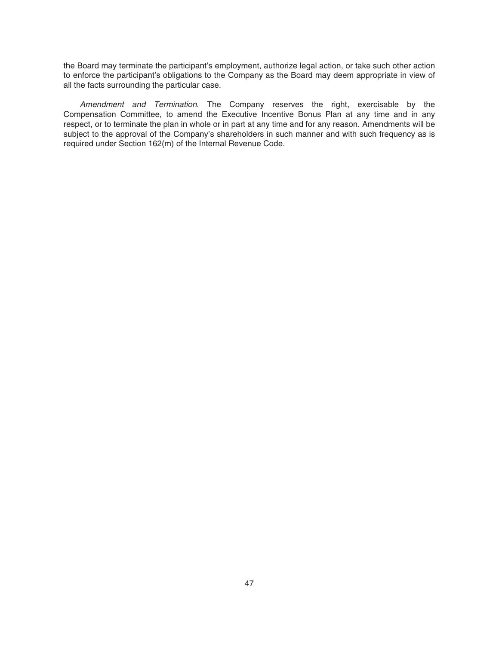the Board may terminate the participant's employment, authorize legal action, or take such other action to enforce the participant's obligations to the Company as the Board may deem appropriate in view of all the facts surrounding the particular case.

Amendment and Termination. The Company reserves the right, exercisable by the Compensation Committee, to amend the Executive Incentive Bonus Plan at any time and in any respect, or to terminate the plan in whole or in part at any time and for any reason. Amendments will be subject to the approval of the Company's shareholders in such manner and with such frequency as is required under Section 162(m) of the Internal Revenue Code.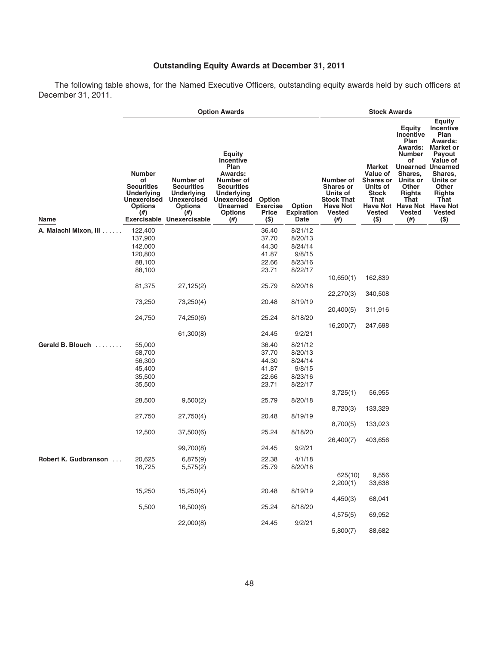## **Outstanding Equity Awards at December 31, 2011**

The following table shows, for the Named Executive Officers, outstanding equity awards held by such officers at December 31, 2011.

|                       | <b>Option Awards</b>                                                                                     |                                                                                                                                                      |                                                                                                                                                                                    |                                             |                                            | <b>Stock Awards</b>                                                                                          |                                                                                                       |                                                                                                                                                                                                                                  |                                                                                                                                                                                           |
|-----------------------|----------------------------------------------------------------------------------------------------------|------------------------------------------------------------------------------------------------------------------------------------------------------|------------------------------------------------------------------------------------------------------------------------------------------------------------------------------------|---------------------------------------------|--------------------------------------------|--------------------------------------------------------------------------------------------------------------|-------------------------------------------------------------------------------------------------------|----------------------------------------------------------------------------------------------------------------------------------------------------------------------------------------------------------------------------------|-------------------------------------------------------------------------------------------------------------------------------------------------------------------------------------------|
| Name                  | <b>Number</b><br>οf<br><b>Securities</b><br><b>Underlying</b><br>Unexercised<br><b>Options</b><br>$(\#)$ | Number of<br><b>Securities</b><br><b>Underlying</b><br><b>Unexercised</b><br><b>Options</b><br>(# <sup>2</sup> )<br><b>Exercisable Unexercisable</b> | <b>Equity</b><br><b>Incentive</b><br>Plan<br>Awards:<br>Number of<br><b>Securities</b><br><b>Underlying</b><br><b>Unexercised</b><br><b>Unearned</b><br><b>Options</b><br>$^{(#)}$ | Option<br><b>Exercise</b><br>Price<br>$($)$ | <b>Option</b><br><b>Expiration</b><br>Date | Number of<br><b>Shares or</b><br>Units of<br><b>Stock That</b><br><b>Have Not</b><br><b>Vested</b><br>$(\#)$ | Market<br>Value of<br><b>Shares or</b><br>Units of<br><b>Stock</b><br>That<br><b>Vested</b><br>$(\$)$ | <b>Equity</b><br><b>Incentive</b><br>Plan<br><b>Awards:</b><br>Number<br>of<br><b>Unearned Unearned</b><br>Shares,<br>Units or<br><b>Other</b><br><b>Rights</b><br>That<br>Have Not Have Not Have Not<br><b>Vested</b><br>$(\#)$ | <b>Equity</b><br>Incentive<br>Plan<br>Awards:<br><b>Market or</b><br><b>Payout</b><br>Value of<br>Shares,<br>Units or<br><b>Other</b><br><b>Rights</b><br>That<br><b>Vested</b><br>$(\$)$ |
| A. Malachi Mixon, III | 122,400                                                                                                  |                                                                                                                                                      |                                                                                                                                                                                    | 36.40                                       | 8/21/12                                    |                                                                                                              |                                                                                                       |                                                                                                                                                                                                                                  |                                                                                                                                                                                           |
|                       | 137,900                                                                                                  |                                                                                                                                                      |                                                                                                                                                                                    | 37.70                                       | 8/20/13                                    |                                                                                                              |                                                                                                       |                                                                                                                                                                                                                                  |                                                                                                                                                                                           |
|                       | 142,000                                                                                                  |                                                                                                                                                      |                                                                                                                                                                                    | 44.30                                       | 8/24/14                                    |                                                                                                              |                                                                                                       |                                                                                                                                                                                                                                  |                                                                                                                                                                                           |
|                       | 120,800                                                                                                  |                                                                                                                                                      |                                                                                                                                                                                    | 41.87                                       | 9/8/15                                     |                                                                                                              |                                                                                                       |                                                                                                                                                                                                                                  |                                                                                                                                                                                           |
|                       | 88,100                                                                                                   |                                                                                                                                                      |                                                                                                                                                                                    | 22.66                                       | 8/23/16                                    |                                                                                                              |                                                                                                       |                                                                                                                                                                                                                                  |                                                                                                                                                                                           |
|                       | 88,100                                                                                                   |                                                                                                                                                      |                                                                                                                                                                                    | 23.71                                       | 8/22/17                                    |                                                                                                              |                                                                                                       |                                                                                                                                                                                                                                  |                                                                                                                                                                                           |
|                       |                                                                                                          |                                                                                                                                                      |                                                                                                                                                                                    |                                             |                                            | 10,650(1)                                                                                                    | 162,839                                                                                               |                                                                                                                                                                                                                                  |                                                                                                                                                                                           |
|                       | 81,375                                                                                                   | 27,125(2)                                                                                                                                            |                                                                                                                                                                                    | 25.79                                       | 8/20/18                                    |                                                                                                              |                                                                                                       |                                                                                                                                                                                                                                  |                                                                                                                                                                                           |
|                       |                                                                                                          |                                                                                                                                                      |                                                                                                                                                                                    |                                             |                                            | 22,270(3)                                                                                                    | 340,508                                                                                               |                                                                                                                                                                                                                                  |                                                                                                                                                                                           |
|                       | 73,250                                                                                                   | 73,250(4)                                                                                                                                            |                                                                                                                                                                                    | 20.48                                       | 8/19/19                                    |                                                                                                              |                                                                                                       |                                                                                                                                                                                                                                  |                                                                                                                                                                                           |
|                       |                                                                                                          |                                                                                                                                                      |                                                                                                                                                                                    |                                             |                                            | 20,400(5)                                                                                                    | 311,916                                                                                               |                                                                                                                                                                                                                                  |                                                                                                                                                                                           |
|                       | 24,750                                                                                                   | 74,250(6)                                                                                                                                            |                                                                                                                                                                                    | 25.24                                       | 8/18/20                                    |                                                                                                              |                                                                                                       |                                                                                                                                                                                                                                  |                                                                                                                                                                                           |
|                       |                                                                                                          |                                                                                                                                                      |                                                                                                                                                                                    |                                             |                                            | 16,200(7)                                                                                                    | 247,698                                                                                               |                                                                                                                                                                                                                                  |                                                                                                                                                                                           |
|                       |                                                                                                          | 61,300(8)                                                                                                                                            |                                                                                                                                                                                    | 24.45                                       | 9/2/21                                     |                                                                                                              |                                                                                                       |                                                                                                                                                                                                                                  |                                                                                                                                                                                           |
| Gerald B. Blouch      | 55,000                                                                                                   |                                                                                                                                                      |                                                                                                                                                                                    | 36.40                                       | 8/21/12                                    |                                                                                                              |                                                                                                       |                                                                                                                                                                                                                                  |                                                                                                                                                                                           |
|                       | 58,700                                                                                                   |                                                                                                                                                      |                                                                                                                                                                                    | 37.70                                       | 8/20/13                                    |                                                                                                              |                                                                                                       |                                                                                                                                                                                                                                  |                                                                                                                                                                                           |
|                       | 56,300                                                                                                   |                                                                                                                                                      |                                                                                                                                                                                    | 44.30                                       | 8/24/14                                    |                                                                                                              |                                                                                                       |                                                                                                                                                                                                                                  |                                                                                                                                                                                           |
|                       | 45,400                                                                                                   |                                                                                                                                                      |                                                                                                                                                                                    | 41.87                                       | 9/8/15                                     |                                                                                                              |                                                                                                       |                                                                                                                                                                                                                                  |                                                                                                                                                                                           |
|                       | 35,500                                                                                                   |                                                                                                                                                      |                                                                                                                                                                                    | 22.66                                       | 8/23/16                                    |                                                                                                              |                                                                                                       |                                                                                                                                                                                                                                  |                                                                                                                                                                                           |
|                       | 35,500                                                                                                   |                                                                                                                                                      |                                                                                                                                                                                    | 23.71                                       | 8/22/17                                    |                                                                                                              |                                                                                                       |                                                                                                                                                                                                                                  |                                                                                                                                                                                           |
|                       |                                                                                                          |                                                                                                                                                      |                                                                                                                                                                                    |                                             |                                            | 3,725(1)                                                                                                     | 56,955                                                                                                |                                                                                                                                                                                                                                  |                                                                                                                                                                                           |
|                       | 28,500                                                                                                   | 9,500(2)                                                                                                                                             |                                                                                                                                                                                    | 25.79                                       | 8/20/18                                    |                                                                                                              |                                                                                                       |                                                                                                                                                                                                                                  |                                                                                                                                                                                           |
|                       |                                                                                                          |                                                                                                                                                      |                                                                                                                                                                                    |                                             |                                            | 8,720(3)                                                                                                     | 133,329                                                                                               |                                                                                                                                                                                                                                  |                                                                                                                                                                                           |
|                       | 27,750                                                                                                   | 27,750(4)                                                                                                                                            |                                                                                                                                                                                    | 20.48                                       | 8/19/19                                    |                                                                                                              |                                                                                                       |                                                                                                                                                                                                                                  |                                                                                                                                                                                           |
|                       |                                                                                                          |                                                                                                                                                      |                                                                                                                                                                                    |                                             |                                            | 8,700(5)                                                                                                     | 133,023                                                                                               |                                                                                                                                                                                                                                  |                                                                                                                                                                                           |
|                       | 12,500                                                                                                   | 37,500(6)                                                                                                                                            |                                                                                                                                                                                    | 25.24                                       | 8/18/20                                    |                                                                                                              |                                                                                                       |                                                                                                                                                                                                                                  |                                                                                                                                                                                           |
|                       |                                                                                                          |                                                                                                                                                      |                                                                                                                                                                                    |                                             |                                            | 26,400(7)                                                                                                    | 403,656                                                                                               |                                                                                                                                                                                                                                  |                                                                                                                                                                                           |
|                       |                                                                                                          | 99,700(8)                                                                                                                                            |                                                                                                                                                                                    | 24.45                                       | 9/2/21                                     |                                                                                                              |                                                                                                       |                                                                                                                                                                                                                                  |                                                                                                                                                                                           |
|                       |                                                                                                          |                                                                                                                                                      |                                                                                                                                                                                    |                                             |                                            |                                                                                                              |                                                                                                       |                                                                                                                                                                                                                                  |                                                                                                                                                                                           |
| Robert K. Gudbranson  | 20,625                                                                                                   | 6,875(9)                                                                                                                                             |                                                                                                                                                                                    | 22.38                                       | 4/1/18                                     |                                                                                                              |                                                                                                       |                                                                                                                                                                                                                                  |                                                                                                                                                                                           |
|                       | 16,725                                                                                                   | 5,575(2)                                                                                                                                             |                                                                                                                                                                                    | 25.79                                       | 8/20/18                                    |                                                                                                              |                                                                                                       |                                                                                                                                                                                                                                  |                                                                                                                                                                                           |
|                       |                                                                                                          |                                                                                                                                                      |                                                                                                                                                                                    |                                             |                                            | 625(10)<br>2,200(1)                                                                                          | 9,556                                                                                                 |                                                                                                                                                                                                                                  |                                                                                                                                                                                           |
|                       | 15,250                                                                                                   | 15,250(4)                                                                                                                                            |                                                                                                                                                                                    | 20.48                                       | 8/19/19                                    |                                                                                                              | 33,638                                                                                                |                                                                                                                                                                                                                                  |                                                                                                                                                                                           |
|                       |                                                                                                          |                                                                                                                                                      |                                                                                                                                                                                    |                                             |                                            | 4,450(3)                                                                                                     | 68,041                                                                                                |                                                                                                                                                                                                                                  |                                                                                                                                                                                           |
|                       | 5,500                                                                                                    | 16,500(6)                                                                                                                                            |                                                                                                                                                                                    | 25.24                                       | 8/18/20                                    |                                                                                                              |                                                                                                       |                                                                                                                                                                                                                                  |                                                                                                                                                                                           |
|                       |                                                                                                          |                                                                                                                                                      |                                                                                                                                                                                    |                                             |                                            | 4,575(5)                                                                                                     | 69,952                                                                                                |                                                                                                                                                                                                                                  |                                                                                                                                                                                           |
|                       |                                                                                                          | 22,000(8)                                                                                                                                            |                                                                                                                                                                                    | 24.45                                       | 9/2/21                                     |                                                                                                              |                                                                                                       |                                                                                                                                                                                                                                  |                                                                                                                                                                                           |
|                       |                                                                                                          |                                                                                                                                                      |                                                                                                                                                                                    |                                             |                                            | 5,800(7)                                                                                                     | 88,682                                                                                                |                                                                                                                                                                                                                                  |                                                                                                                                                                                           |
|                       |                                                                                                          |                                                                                                                                                      |                                                                                                                                                                                    |                                             |                                            |                                                                                                              |                                                                                                       |                                                                                                                                                                                                                                  |                                                                                                                                                                                           |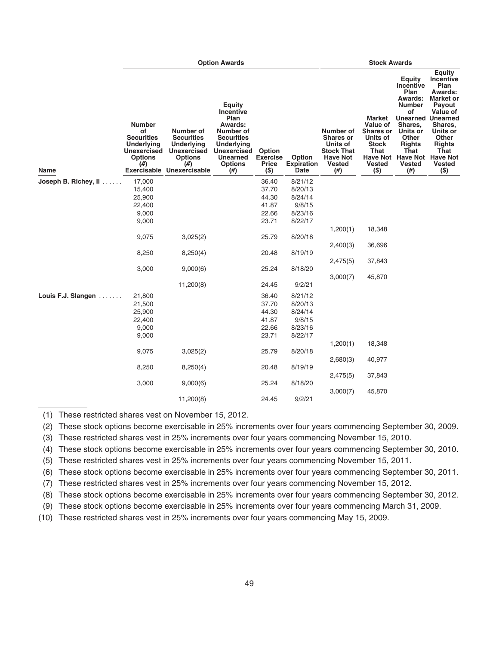|                                 |                                                                                                              | <b>Stock Awards</b>                                                                                                              |                                                                                                                                                                                             |                                                             |                                            |                                                                                                                         |                                                                                                        |                                                                                                                                                                                               |                                                                                                                                                                                                                 |
|---------------------------------|--------------------------------------------------------------------------------------------------------------|----------------------------------------------------------------------------------------------------------------------------------|---------------------------------------------------------------------------------------------------------------------------------------------------------------------------------------------|-------------------------------------------------------------|--------------------------------------------|-------------------------------------------------------------------------------------------------------------------------|--------------------------------------------------------------------------------------------------------|-----------------------------------------------------------------------------------------------------------------------------------------------------------------------------------------------|-----------------------------------------------------------------------------------------------------------------------------------------------------------------------------------------------------------------|
| <b>Name</b>                     | <b>Number</b><br>οf<br><b>Securities</b><br><b>Underlying</b><br><b>Unexercised</b><br><b>Options</b><br>(#) | Number of<br><b>Securities</b><br><b>Underlying</b><br><b>Unexercised</b><br><b>Options</b><br>(# )<br>Exercisable Unexercisable | <b>Equity</b><br><b>Incentive</b><br>Plan<br>Awards:<br>Number of<br><b>Securities</b><br><b>Underlying</b><br><b>Unexercised</b><br><b>Unearned</b><br><b>Options</b><br>(# <sup>2</sup> ) | <b>Option</b><br><b>Exercise</b><br><b>Price</b><br>$($ \$) | Option<br><b>Expiration</b><br><b>Date</b> | Number of<br><b>Shares or</b><br>Units of<br><b>Stock That</b><br><b>Have Not</b><br><b>Vested</b><br>(# <sup>2</sup> ) | Market<br>Value of<br><b>Shares or</b><br>Units of<br><b>Stock</b><br>That<br><b>Vested</b><br>$($ \$) | <b>Equity</b><br>Incentive<br>Plan<br><b>Awards:</b><br><b>Number</b><br>of<br>Shares.<br>Units or<br>Other<br><b>Rights</b><br>That<br>Have Not Have Not Have Not<br><b>Vested</b><br>$(\#)$ | <b>Equity</b><br>Incentive<br>Plan<br>Awards:<br><b>Market or</b><br>Payout<br>Value of<br><b>Unearned Unearned</b><br>Shares,<br>Units or<br><b>Other</b><br><b>Rights</b><br>That<br><b>Vested</b><br>$($ \$) |
| Joseph B. Richey, $\mathbf{II}$ | 17,000                                                                                                       |                                                                                                                                  |                                                                                                                                                                                             | 36.40                                                       | 8/21/12                                    |                                                                                                                         |                                                                                                        |                                                                                                                                                                                               |                                                                                                                                                                                                                 |
|                                 | 15,400                                                                                                       |                                                                                                                                  |                                                                                                                                                                                             | 37.70                                                       | 8/20/13                                    |                                                                                                                         |                                                                                                        |                                                                                                                                                                                               |                                                                                                                                                                                                                 |
|                                 | 25,900                                                                                                       |                                                                                                                                  |                                                                                                                                                                                             | 44.30                                                       | 8/24/14                                    |                                                                                                                         |                                                                                                        |                                                                                                                                                                                               |                                                                                                                                                                                                                 |
|                                 | 22,400                                                                                                       |                                                                                                                                  |                                                                                                                                                                                             | 41.87                                                       | 9/8/15                                     |                                                                                                                         |                                                                                                        |                                                                                                                                                                                               |                                                                                                                                                                                                                 |
|                                 | 9,000                                                                                                        |                                                                                                                                  |                                                                                                                                                                                             | 22.66                                                       | 8/23/16                                    |                                                                                                                         |                                                                                                        |                                                                                                                                                                                               |                                                                                                                                                                                                                 |
|                                 | 9,000                                                                                                        |                                                                                                                                  |                                                                                                                                                                                             | 23.71                                                       | 8/22/17                                    |                                                                                                                         |                                                                                                        |                                                                                                                                                                                               |                                                                                                                                                                                                                 |
|                                 |                                                                                                              |                                                                                                                                  |                                                                                                                                                                                             |                                                             |                                            | 1,200(1)                                                                                                                | 18,348                                                                                                 |                                                                                                                                                                                               |                                                                                                                                                                                                                 |
|                                 | 9,075                                                                                                        | 3,025(2)                                                                                                                         |                                                                                                                                                                                             | 25.79                                                       | 8/20/18                                    |                                                                                                                         |                                                                                                        |                                                                                                                                                                                               |                                                                                                                                                                                                                 |
|                                 |                                                                                                              |                                                                                                                                  |                                                                                                                                                                                             |                                                             |                                            | 2,400(3)                                                                                                                | 36,696                                                                                                 |                                                                                                                                                                                               |                                                                                                                                                                                                                 |
|                                 | 8,250                                                                                                        | 8,250(4)                                                                                                                         |                                                                                                                                                                                             | 20.48                                                       | 8/19/19                                    |                                                                                                                         |                                                                                                        |                                                                                                                                                                                               |                                                                                                                                                                                                                 |
|                                 |                                                                                                              |                                                                                                                                  |                                                                                                                                                                                             |                                                             |                                            | 2,475(5)                                                                                                                | 37,843                                                                                                 |                                                                                                                                                                                               |                                                                                                                                                                                                                 |
|                                 | 3,000                                                                                                        | 9,000(6)                                                                                                                         |                                                                                                                                                                                             | 25.24                                                       | 8/18/20                                    |                                                                                                                         |                                                                                                        |                                                                                                                                                                                               |                                                                                                                                                                                                                 |
|                                 |                                                                                                              |                                                                                                                                  |                                                                                                                                                                                             |                                                             |                                            | 3,000(7)                                                                                                                | 45,870                                                                                                 |                                                                                                                                                                                               |                                                                                                                                                                                                                 |
|                                 |                                                                                                              | 11,200(8)                                                                                                                        |                                                                                                                                                                                             | 24.45                                                       | 9/2/21                                     |                                                                                                                         |                                                                                                        |                                                                                                                                                                                               |                                                                                                                                                                                                                 |
| Louis F.J. Slangen              | 21,800                                                                                                       |                                                                                                                                  |                                                                                                                                                                                             | 36.40                                                       | 8/21/12                                    |                                                                                                                         |                                                                                                        |                                                                                                                                                                                               |                                                                                                                                                                                                                 |
|                                 | 21,500                                                                                                       |                                                                                                                                  |                                                                                                                                                                                             | 37.70                                                       | 8/20/13                                    |                                                                                                                         |                                                                                                        |                                                                                                                                                                                               |                                                                                                                                                                                                                 |
|                                 | 25,900                                                                                                       |                                                                                                                                  |                                                                                                                                                                                             | 44.30                                                       | 8/24/14                                    |                                                                                                                         |                                                                                                        |                                                                                                                                                                                               |                                                                                                                                                                                                                 |
|                                 | 22,400                                                                                                       |                                                                                                                                  |                                                                                                                                                                                             | 41.87                                                       | 9/8/15                                     |                                                                                                                         |                                                                                                        |                                                                                                                                                                                               |                                                                                                                                                                                                                 |
|                                 | 9,000                                                                                                        |                                                                                                                                  |                                                                                                                                                                                             | 22.66                                                       | 8/23/16                                    |                                                                                                                         |                                                                                                        |                                                                                                                                                                                               |                                                                                                                                                                                                                 |
|                                 | 9,000                                                                                                        |                                                                                                                                  |                                                                                                                                                                                             | 23.71                                                       | 8/22/17                                    |                                                                                                                         |                                                                                                        |                                                                                                                                                                                               |                                                                                                                                                                                                                 |
|                                 |                                                                                                              |                                                                                                                                  |                                                                                                                                                                                             |                                                             |                                            | 1,200(1)                                                                                                                | 18,348                                                                                                 |                                                                                                                                                                                               |                                                                                                                                                                                                                 |
|                                 | 9,075                                                                                                        | 3,025(2)                                                                                                                         |                                                                                                                                                                                             | 25.79                                                       | 8/20/18                                    |                                                                                                                         |                                                                                                        |                                                                                                                                                                                               |                                                                                                                                                                                                                 |
|                                 |                                                                                                              |                                                                                                                                  |                                                                                                                                                                                             |                                                             |                                            | 2,680(3)                                                                                                                | 40,977                                                                                                 |                                                                                                                                                                                               |                                                                                                                                                                                                                 |
|                                 | 8,250                                                                                                        | 8,250(4)                                                                                                                         |                                                                                                                                                                                             | 20.48                                                       | 8/19/19                                    |                                                                                                                         |                                                                                                        |                                                                                                                                                                                               |                                                                                                                                                                                                                 |
|                                 |                                                                                                              |                                                                                                                                  |                                                                                                                                                                                             |                                                             |                                            | 2,475(5)                                                                                                                | 37,843                                                                                                 |                                                                                                                                                                                               |                                                                                                                                                                                                                 |
|                                 | 3,000                                                                                                        | 9,000(6)                                                                                                                         |                                                                                                                                                                                             | 25.24                                                       | 8/18/20                                    |                                                                                                                         |                                                                                                        |                                                                                                                                                                                               |                                                                                                                                                                                                                 |
|                                 |                                                                                                              |                                                                                                                                  |                                                                                                                                                                                             |                                                             |                                            | 3,000(7)                                                                                                                | 45,870                                                                                                 |                                                                                                                                                                                               |                                                                                                                                                                                                                 |
|                                 |                                                                                                              | 11,200(8)                                                                                                                        |                                                                                                                                                                                             | 24.45                                                       | 9/2/21                                     |                                                                                                                         |                                                                                                        |                                                                                                                                                                                               |                                                                                                                                                                                                                 |

(1) These restricted shares vest on November 15, 2012.

(2) These stock options become exercisable in 25% increments over four years commencing September 30, 2009.

(3) These restricted shares vest in 25% increments over four years commencing November 15, 2010.

(4) These stock options become exercisable in 25% increments over four years commencing September 30, 2010.

(5) These restricted shares vest in 25% increments over four years commencing November 15, 2011.

(6) These stock options become exercisable in 25% increments over four years commencing September 30, 2011.

(7) These restricted shares vest in 25% increments over four years commencing November 15, 2012.

(8) These stock options become exercisable in 25% increments over four years commencing September 30, 2012.

(9) These stock options become exercisable in 25% increments over four years commencing March 31, 2009.

(10) These restricted shares vest in 25% increments over four years commencing May 15, 2009.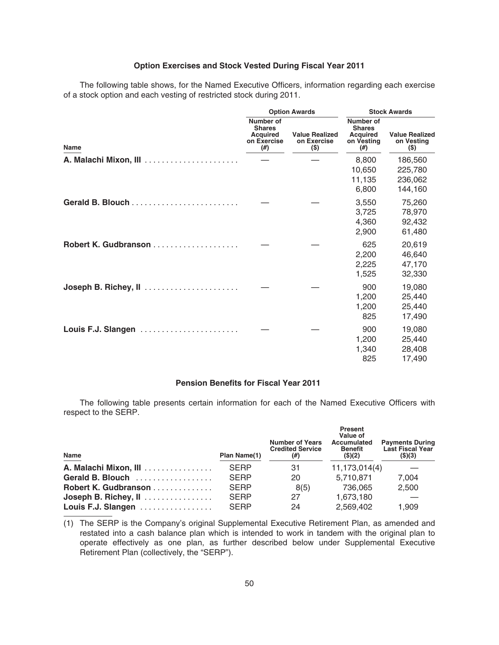### **Option Exercises and Stock Vested During Fiscal Year 2011**

The following table shows, for the Named Executive Officers, information regarding each exercise of a stock option and each vesting of restricted stock during 2011.

|                      |                                                                        | <b>Option Awards</b>                          | <b>Stock Awards</b>                                                     |                                                |  |
|----------------------|------------------------------------------------------------------------|-----------------------------------------------|-------------------------------------------------------------------------|------------------------------------------------|--|
| <b>Name</b>          | Number of<br><b>Shares</b><br><b>Acquired</b><br>on Exercise<br>$(\#)$ | <b>Value Realized</b><br>on Exercise<br>$($)$ | Number of<br><b>Shares</b><br><b>Acquired</b><br>on Vesting<br>$^{(#)}$ | <b>Value Realized</b><br>on Vesting<br>$($ \$) |  |
|                      |                                                                        |                                               | 8,800<br>10,650<br>11,135<br>6,800                                      | 186,560<br>225,780<br>236,062<br>144,160       |  |
|                      |                                                                        |                                               | 3,550<br>3,725<br>4,360<br>2,900                                        | 75,260<br>78,970<br>92,432<br>61,480           |  |
| Robert K. Gudbranson |                                                                        |                                               | 625<br>2,200<br>2,225<br>1,525                                          | 20,619<br>46,640<br>47,170<br>32,330           |  |
| Joseph B. Richey, II |                                                                        |                                               | 900<br>1,200<br>1,200<br>825                                            | 19,080<br>25,440<br>25,440<br>17,490           |  |
| Louis F.J. Slangen   |                                                                        |                                               | 900<br>1,200<br>1,340<br>825                                            | 19,080<br>25,440<br>28,408<br>17,490           |  |

## **Pension Benefits for Fiscal Year 2011**

The following table presents certain information for each of the Named Executive Officers with respect to the SERP.

| Name                  | Plan Name(1) | <b>Number of Years</b><br><b>Credited Service</b><br>$^{(#)}$ | <b>Present</b><br>Value of<br><b>Accumulated</b><br>Benefit<br>(\$)(2) | <b>Payments During</b><br>Last Fiscal Year<br>(\$)(3) |
|-----------------------|--------------|---------------------------------------------------------------|------------------------------------------------------------------------|-------------------------------------------------------|
| A. Malachi Mixon, III | <b>SERP</b>  | 31                                                            | 11,173,014(4)                                                          |                                                       |
| Gerald B. Blouch      | <b>SERP</b>  | 20                                                            | 5,710,871                                                              | 7.004                                                 |
| Robert K. Gudbranson  | <b>SERP</b>  | 8(5)                                                          | 736.065                                                                | 2,500                                                 |
| Joseph B. Richey, II  | <b>SERP</b>  | 27                                                            | 1,673,180                                                              |                                                       |
| Louis F.J. Slangen    | <b>SERP</b>  | 24                                                            | 2,569,402                                                              | 1.909                                                 |

(1) The SERP is the Company's original Supplemental Executive Retirement Plan, as amended and restated into a cash balance plan which is intended to work in tandem with the original plan to operate effectively as one plan, as further described below under Supplemental Executive Retirement Plan (collectively, the "SERP").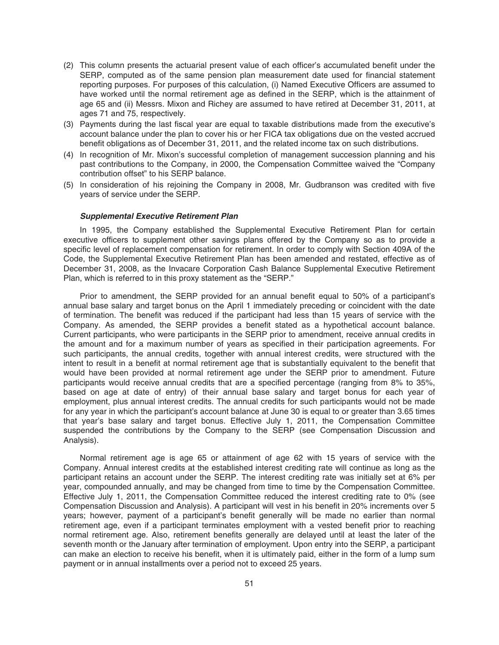- (2) This column presents the actuarial present value of each officer's accumulated benefit under the SERP, computed as of the same pension plan measurement date used for financial statement reporting purposes. For purposes of this calculation, (i) Named Executive Officers are assumed to have worked until the normal retirement age as defined in the SERP, which is the attainment of age 65 and (ii) Messrs. Mixon and Richey are assumed to have retired at December 31, 2011, at ages 71 and 75, respectively.
- (3) Payments during the last fiscal year are equal to taxable distributions made from the executive's account balance under the plan to cover his or her FICA tax obligations due on the vested accrued benefit obligations as of December 31, 2011, and the related income tax on such distributions.
- (4) In recognition of Mr. Mixon's successful completion of management succession planning and his past contributions to the Company, in 2000, the Compensation Committee waived the "Company contribution offset" to his SERP balance.
- (5) In consideration of his rejoining the Company in 2008, Mr. Gudbranson was credited with five years of service under the SERP.

#### *Supplemental Executive Retirement Plan*

In 1995, the Company established the Supplemental Executive Retirement Plan for certain executive officers to supplement other savings plans offered by the Company so as to provide a specific level of replacement compensation for retirement. In order to comply with Section 409A of the Code, the Supplemental Executive Retirement Plan has been amended and restated, effective as of December 31, 2008, as the Invacare Corporation Cash Balance Supplemental Executive Retirement Plan, which is referred to in this proxy statement as the "SERP."

Prior to amendment, the SERP provided for an annual benefit equal to 50% of a participant's annual base salary and target bonus on the April 1 immediately preceding or coincident with the date of termination. The benefit was reduced if the participant had less than 15 years of service with the Company. As amended, the SERP provides a benefit stated as a hypothetical account balance. Current participants, who were participants in the SERP prior to amendment, receive annual credits in the amount and for a maximum number of years as specified in their participation agreements. For such participants, the annual credits, together with annual interest credits, were structured with the intent to result in a benefit at normal retirement age that is substantially equivalent to the benefit that would have been provided at normal retirement age under the SERP prior to amendment. Future participants would receive annual credits that are a specified percentage (ranging from 8% to 35%, based on age at date of entry) of their annual base salary and target bonus for each year of employment, plus annual interest credits. The annual credits for such participants would not be made for any year in which the participant's account balance at June 30 is equal to or greater than 3.65 times that year's base salary and target bonus. Effective July 1, 2011, the Compensation Committee suspended the contributions by the Company to the SERP (see Compensation Discussion and Analysis).

Normal retirement age is age 65 or attainment of age 62 with 15 years of service with the Company. Annual interest credits at the established interest crediting rate will continue as long as the participant retains an account under the SERP. The interest crediting rate was initially set at 6% per year, compounded annually, and may be changed from time to time by the Compensation Committee. Effective July 1, 2011, the Compensation Committee reduced the interest crediting rate to 0% (see Compensation Discussion and Analysis). A participant will vest in his benefit in 20% increments over 5 years; however, payment of a participant's benefit generally will be made no earlier than normal retirement age, even if a participant terminates employment with a vested benefit prior to reaching normal retirement age. Also, retirement benefits generally are delayed until at least the later of the seventh month or the January after termination of employment. Upon entry into the SERP, a participant can make an election to receive his benefit, when it is ultimately paid, either in the form of a lump sum payment or in annual installments over a period not to exceed 25 years.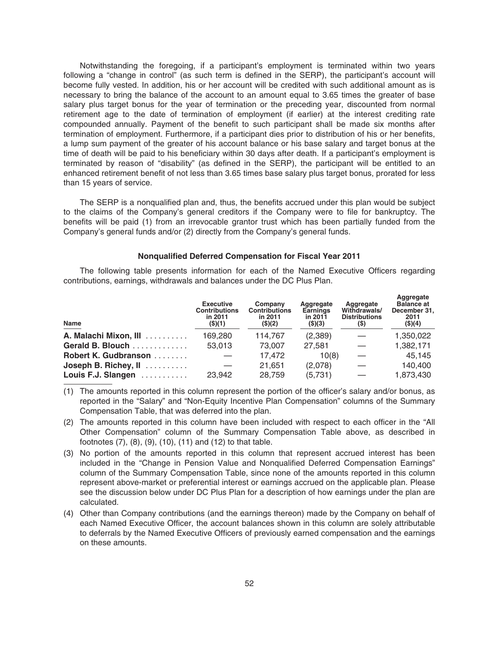Notwithstanding the foregoing, if a participant's employment is terminated within two years following a "change in control" (as such term is defined in the SERP), the participant's account will become fully vested. In addition, his or her account will be credited with such additional amount as is necessary to bring the balance of the account to an amount equal to 3.65 times the greater of base salary plus target bonus for the year of termination or the preceding year, discounted from normal retirement age to the date of termination of employment (if earlier) at the interest crediting rate compounded annually. Payment of the benefit to such participant shall be made six months after termination of employment. Furthermore, if a participant dies prior to distribution of his or her benefits, a lump sum payment of the greater of his account balance or his base salary and target bonus at the time of death will be paid to his beneficiary within 30 days after death. If a participant's employment is terminated by reason of "disability" (as defined in the SERP), the participant will be entitled to an enhanced retirement benefit of not less than 3.65 times base salary plus target bonus, prorated for less than 15 years of service.

The SERP is a nonqualified plan and, thus, the benefits accrued under this plan would be subject to the claims of the Company's general creditors if the Company were to file for bankruptcy. The benefits will be paid (1) from an irrevocable grantor trust which has been partially funded from the Company's general funds and/or (2) directly from the Company's general funds.

### **Nonqualified Deferred Compensation for Fiscal Year 2011**

The following table presents information for each of the Named Executive Officers regarding contributions, earnings, withdrawals and balances under the DC Plus Plan.

| Name                  | <b>Executive</b><br><b>Contributions</b><br>in 2011<br>$($ \$) $(1)$ | Company<br><b>Contributions</b><br>in 2011<br>$($ \$)(2) | Aggregate<br>Earnings<br>in 2011<br>$($ \$) $($ 3 $)$ | Aggregate<br>Withdrawals/<br><b>Distributions</b><br>(\$) | Aggregate<br><b>Balance at</b><br>December 31.<br>2011<br>(\$)(4) |
|-----------------------|----------------------------------------------------------------------|----------------------------------------------------------|-------------------------------------------------------|-----------------------------------------------------------|-------------------------------------------------------------------|
| A. Malachi Mixon, III | 169,280                                                              | 114,767                                                  | (2,389)                                               |                                                           | 1,350,022                                                         |
| Gerald B. Blouch      | 53,013                                                               | 73,007                                                   | 27.581                                                |                                                           | 1,382,171                                                         |
| Robert K. Gudbranson  |                                                                      | 17,472                                                   | 10(8)                                                 |                                                           | 45,145                                                            |
| Joseph B. Richey, II  |                                                                      | 21.651                                                   | (2,078)                                               |                                                           | 140,400                                                           |
| Louis F.J. Slangen    | 23,942                                                               | 28,759                                                   | (5,731)                                               |                                                           | 1,873,430                                                         |

- (1) The amounts reported in this column represent the portion of the officer's salary and/or bonus, as reported in the "Salary" and "Non-Equity Incentive Plan Compensation" columns of the Summary Compensation Table, that was deferred into the plan.
- (2) The amounts reported in this column have been included with respect to each officer in the "All Other Compensation" column of the Summary Compensation Table above, as described in footnotes (7), (8), (9), (10), (11) and (12) to that table.
- (3) No portion of the amounts reported in this column that represent accrued interest has been included in the "Change in Pension Value and Nonqualified Deferred Compensation Earnings" column of the Summary Compensation Table, since none of the amounts reported in this column represent above-market or preferential interest or earnings accrued on the applicable plan. Please see the discussion below under DC Plus Plan for a description of how earnings under the plan are calculated.
- (4) Other than Company contributions (and the earnings thereon) made by the Company on behalf of each Named Executive Officer, the account balances shown in this column are solely attributable to deferrals by the Named Executive Officers of previously earned compensation and the earnings on these amounts.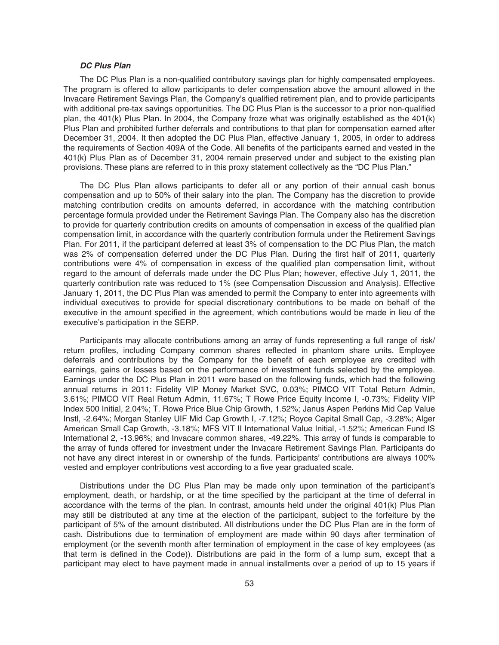### *DC Plus Plan*

The DC Plus Plan is a non-qualified contributory savings plan for highly compensated employees. The program is offered to allow participants to defer compensation above the amount allowed in the Invacare Retirement Savings Plan, the Company's qualified retirement plan, and to provide participants with additional pre-tax savings opportunities. The DC Plus Plan is the successor to a prior non-qualified plan, the 401(k) Plus Plan. In 2004, the Company froze what was originally established as the 401(k) Plus Plan and prohibited further deferrals and contributions to that plan for compensation earned after December 31, 2004. It then adopted the DC Plus Plan, effective January 1, 2005, in order to address the requirements of Section 409A of the Code. All benefits of the participants earned and vested in the 401(k) Plus Plan as of December 31, 2004 remain preserved under and subject to the existing plan provisions. These plans are referred to in this proxy statement collectively as the "DC Plus Plan."

The DC Plus Plan allows participants to defer all or any portion of their annual cash bonus compensation and up to 50% of their salary into the plan. The Company has the discretion to provide matching contribution credits on amounts deferred, in accordance with the matching contribution percentage formula provided under the Retirement Savings Plan. The Company also has the discretion to provide for quarterly contribution credits on amounts of compensation in excess of the qualified plan compensation limit, in accordance with the quarterly contribution formula under the Retirement Savings Plan. For 2011, if the participant deferred at least 3% of compensation to the DC Plus Plan, the match was 2% of compensation deferred under the DC Plus Plan. During the first half of 2011, quarterly contributions were 4% of compensation in excess of the qualified plan compensation limit, without regard to the amount of deferrals made under the DC Plus Plan; however, effective July 1, 2011, the quarterly contribution rate was reduced to 1% (see Compensation Discussion and Analysis). Effective January 1, 2011, the DC Plus Plan was amended to permit the Company to enter into agreements with individual executives to provide for special discretionary contributions to be made on behalf of the executive in the amount specified in the agreement, which contributions would be made in lieu of the executive's participation in the SERP.

Participants may allocate contributions among an array of funds representing a full range of risk/ return profiles, including Company common shares reflected in phantom share units. Employee deferrals and contributions by the Company for the benefit of each employee are credited with earnings, gains or losses based on the performance of investment funds selected by the employee. Earnings under the DC Plus Plan in 2011 were based on the following funds, which had the following annual returns in 2011: Fidelity VIP Money Market SVC, 0.03%; PIMCO VIT Total Return Admin, 3.61%; PIMCO VIT Real Return Admin, 11.67%; T Rowe Price Equity Income I, -0.73%; Fidelity VIP Index 500 Initial, 2.04%; T. Rowe Price Blue Chip Growth, 1.52%; Janus Aspen Perkins Mid Cap Value Instl, -2.64%; Morgan Stanley UIF Mid Cap Growth I, -7.12%; Royce Capital Small Cap, -3.28%; Alger American Small Cap Growth, -3.18%; MFS VIT II International Value Initial, -1.52%; American Fund IS International 2, -13.96%; and Invacare common shares, -49.22%. This array of funds is comparable to the array of funds offered for investment under the Invacare Retirement Savings Plan. Participants do not have any direct interest in or ownership of the funds. Participants' contributions are always 100% vested and employer contributions vest according to a five year graduated scale.

Distributions under the DC Plus Plan may be made only upon termination of the participant's employment, death, or hardship, or at the time specified by the participant at the time of deferral in accordance with the terms of the plan. In contrast, amounts held under the original 401(k) Plus Plan may still be distributed at any time at the election of the participant, subject to the forfeiture by the participant of 5% of the amount distributed. All distributions under the DC Plus Plan are in the form of cash. Distributions due to termination of employment are made within 90 days after termination of employment (or the seventh month after termination of employment in the case of key employees (as that term is defined in the Code)). Distributions are paid in the form of a lump sum, except that a participant may elect to have payment made in annual installments over a period of up to 15 years if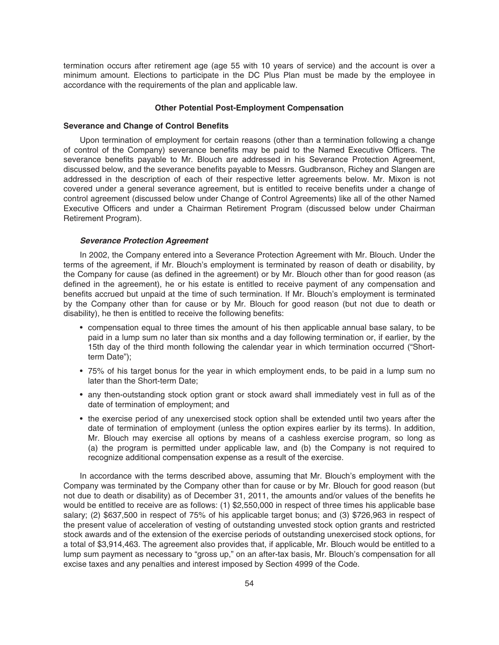termination occurs after retirement age (age 55 with 10 years of service) and the account is over a minimum amount. Elections to participate in the DC Plus Plan must be made by the employee in accordance with the requirements of the plan and applicable law.

#### **Other Potential Post-Employment Compensation**

### **Severance and Change of Control Benefits**

Upon termination of employment for certain reasons (other than a termination following a change of control of the Company) severance benefits may be paid to the Named Executive Officers. The severance benefits payable to Mr. Blouch are addressed in his Severance Protection Agreement, discussed below, and the severance benefits payable to Messrs. Gudbranson, Richey and Slangen are addressed in the description of each of their respective letter agreements below. Mr. Mixon is not covered under a general severance agreement, but is entitled to receive benefits under a change of control agreement (discussed below under Change of Control Agreements) like all of the other Named Executive Officers and under a Chairman Retirement Program (discussed below under Chairman Retirement Program).

### *Severance Protection Agreement*

In 2002, the Company entered into a Severance Protection Agreement with Mr. Blouch. Under the terms of the agreement, if Mr. Blouch's employment is terminated by reason of death or disability, by the Company for cause (as defined in the agreement) or by Mr. Blouch other than for good reason (as defined in the agreement), he or his estate is entitled to receive payment of any compensation and benefits accrued but unpaid at the time of such termination. If Mr. Blouch's employment is terminated by the Company other than for cause or by Mr. Blouch for good reason (but not due to death or disability), he then is entitled to receive the following benefits:

- compensation equal to three times the amount of his then applicable annual base salary, to be paid in a lump sum no later than six months and a day following termination or, if earlier, by the 15th day of the third month following the calendar year in which termination occurred ("Shortterm Date");
- 75% of his target bonus for the year in which employment ends, to be paid in a lump sum no later than the Short-term Date;
- any then-outstanding stock option grant or stock award shall immediately vest in full as of the date of termination of employment; and
- the exercise period of any unexercised stock option shall be extended until two years after the date of termination of employment (unless the option expires earlier by its terms). In addition, Mr. Blouch may exercise all options by means of a cashless exercise program, so long as (a) the program is permitted under applicable law, and (b) the Company is not required to recognize additional compensation expense as a result of the exercise.

In accordance with the terms described above, assuming that Mr. Blouch's employment with the Company was terminated by the Company other than for cause or by Mr. Blouch for good reason (but not due to death or disability) as of December 31, 2011, the amounts and/or values of the benefits he would be entitled to receive are as follows: (1) \$2,550,000 in respect of three times his applicable base salary; (2) \$637,500 in respect of 75% of his applicable target bonus; and (3) \$726,963 in respect of the present value of acceleration of vesting of outstanding unvested stock option grants and restricted stock awards and of the extension of the exercise periods of outstanding unexercised stock options, for a total of \$3,914,463. The agreement also provides that, if applicable, Mr. Blouch would be entitled to a lump sum payment as necessary to "gross up," on an after-tax basis, Mr. Blouch's compensation for all excise taxes and any penalties and interest imposed by Section 4999 of the Code.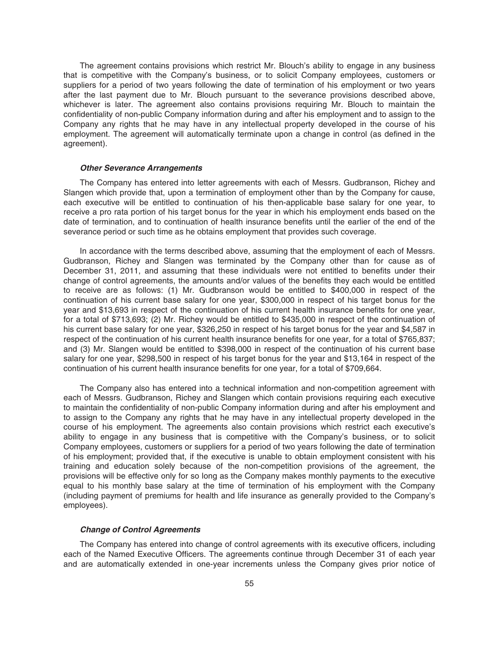The agreement contains provisions which restrict Mr. Blouch's ability to engage in any business that is competitive with the Company's business, or to solicit Company employees, customers or suppliers for a period of two years following the date of termination of his employment or two years after the last payment due to Mr. Blouch pursuant to the severance provisions described above, whichever is later. The agreement also contains provisions requiring Mr. Blouch to maintain the confidentiality of non-public Company information during and after his employment and to assign to the Company any rights that he may have in any intellectual property developed in the course of his employment. The agreement will automatically terminate upon a change in control (as defined in the agreement).

#### *Other Severance Arrangements*

The Company has entered into letter agreements with each of Messrs. Gudbranson, Richey and Slangen which provide that, upon a termination of employment other than by the Company for cause, each executive will be entitled to continuation of his then-applicable base salary for one year, to receive a pro rata portion of his target bonus for the year in which his employment ends based on the date of termination, and to continuation of health insurance benefits until the earlier of the end of the severance period or such time as he obtains employment that provides such coverage.

In accordance with the terms described above, assuming that the employment of each of Messrs. Gudbranson, Richey and Slangen was terminated by the Company other than for cause as of December 31, 2011, and assuming that these individuals were not entitled to benefits under their change of control agreements, the amounts and/or values of the benefits they each would be entitled to receive are as follows: (1) Mr. Gudbranson would be entitled to \$400,000 in respect of the continuation of his current base salary for one year, \$300,000 in respect of his target bonus for the year and \$13,693 in respect of the continuation of his current health insurance benefits for one year, for a total of \$713,693; (2) Mr. Richey would be entitled to \$435,000 in respect of the continuation of his current base salary for one year, \$326,250 in respect of his target bonus for the year and \$4,587 in respect of the continuation of his current health insurance benefits for one year, for a total of \$765,837; and (3) Mr. Slangen would be entitled to \$398,000 in respect of the continuation of his current base salary for one year, \$298,500 in respect of his target bonus for the year and \$13,164 in respect of the continuation of his current health insurance benefits for one year, for a total of \$709,664.

The Company also has entered into a technical information and non-competition agreement with each of Messrs. Gudbranson, Richey and Slangen which contain provisions requiring each executive to maintain the confidentiality of non-public Company information during and after his employment and to assign to the Company any rights that he may have in any intellectual property developed in the course of his employment. The agreements also contain provisions which restrict each executive's ability to engage in any business that is competitive with the Company's business, or to solicit Company employees, customers or suppliers for a period of two years following the date of termination of his employment; provided that, if the executive is unable to obtain employment consistent with his training and education solely because of the non-competition provisions of the agreement, the provisions will be effective only for so long as the Company makes monthly payments to the executive equal to his monthly base salary at the time of termination of his employment with the Company (including payment of premiums for health and life insurance as generally provided to the Company's employees).

### *Change of Control Agreements*

The Company has entered into change of control agreements with its executive officers, including each of the Named Executive Officers. The agreements continue through December 31 of each year and are automatically extended in one-year increments unless the Company gives prior notice of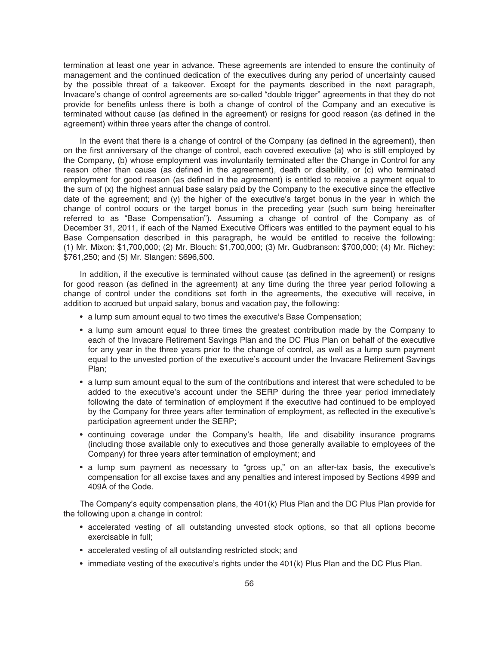termination at least one year in advance. These agreements are intended to ensure the continuity of management and the continued dedication of the executives during any period of uncertainty caused by the possible threat of a takeover. Except for the payments described in the next paragraph, Invacare's change of control agreements are so-called "double trigger" agreements in that they do not provide for benefits unless there is both a change of control of the Company and an executive is terminated without cause (as defined in the agreement) or resigns for good reason (as defined in the agreement) within three years after the change of control.

In the event that there is a change of control of the Company (as defined in the agreement), then on the first anniversary of the change of control, each covered executive (a) who is still employed by the Company, (b) whose employment was involuntarily terminated after the Change in Control for any reason other than cause (as defined in the agreement), death or disability, or (c) who terminated employment for good reason (as defined in the agreement) is entitled to receive a payment equal to the sum of (x) the highest annual base salary paid by the Company to the executive since the effective date of the agreement; and (y) the higher of the executive's target bonus in the year in which the change of control occurs or the target bonus in the preceding year (such sum being hereinafter referred to as "Base Compensation"). Assuming a change of control of the Company as of December 31, 2011, if each of the Named Executive Officers was entitled to the payment equal to his Base Compensation described in this paragraph, he would be entitled to receive the following: (1) Mr. Mixon: \$1,700,000; (2) Mr. Blouch: \$1,700,000; (3) Mr. Gudbranson: \$700,000; (4) Mr. Richey: \$761,250; and (5) Mr. Slangen: \$696,500.

In addition, if the executive is terminated without cause (as defined in the agreement) or resigns for good reason (as defined in the agreement) at any time during the three year period following a change of control under the conditions set forth in the agreements, the executive will receive, in addition to accrued but unpaid salary, bonus and vacation pay, the following:

- a lump sum amount equal to two times the executive's Base Compensation;
- a lump sum amount equal to three times the greatest contribution made by the Company to each of the Invacare Retirement Savings Plan and the DC Plus Plan on behalf of the executive for any year in the three years prior to the change of control, as well as a lump sum payment equal to the unvested portion of the executive's account under the Invacare Retirement Savings Plan;
- a lump sum amount equal to the sum of the contributions and interest that were scheduled to be added to the executive's account under the SERP during the three year period immediately following the date of termination of employment if the executive had continued to be employed by the Company for three years after termination of employment, as reflected in the executive's participation agreement under the SERP;
- continuing coverage under the Company's health, life and disability insurance programs (including those available only to executives and those generally available to employees of the Company) for three years after termination of employment; and
- a lump sum payment as necessary to "gross up," on an after-tax basis, the executive's compensation for all excise taxes and any penalties and interest imposed by Sections 4999 and 409A of the Code.

The Company's equity compensation plans, the 401(k) Plus Plan and the DC Plus Plan provide for the following upon a change in control:

- accelerated vesting of all outstanding unvested stock options, so that all options become exercisable in full;
- accelerated vesting of all outstanding restricted stock; and
- immediate vesting of the executive's rights under the 401(k) Plus Plan and the DC Plus Plan.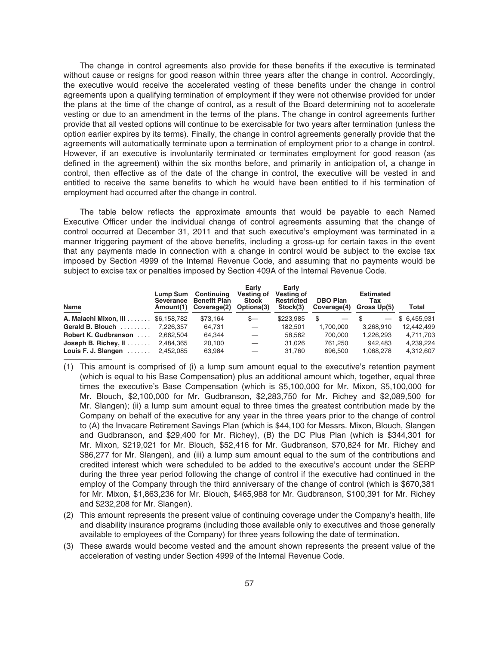The change in control agreements also provide for these benefits if the executive is terminated without cause or resigns for good reason within three years after the change in control. Accordingly, the executive would receive the accelerated vesting of these benefits under the change in control agreements upon a qualifying termination of employment if they were not otherwise provided for under the plans at the time of the change of control, as a result of the Board determining not to accelerate vesting or due to an amendment in the terms of the plans. The change in control agreements further provide that all vested options will continue to be exercisable for two years after termination (unless the option earlier expires by its terms). Finally, the change in control agreements generally provide that the agreements will automatically terminate upon a termination of employment prior to a change in control. However, if an executive is involuntarily terminated or terminates employment for good reason (as defined in the agreement) within the six months before, and primarily in anticipation of, a change in control, then effective as of the date of the change in control, the executive will be vested in and entitled to receive the same benefits to which he would have been entitled to if his termination of employment had occurred after the change in control.

The table below reflects the approximate amounts that would be payable to each Named Executive Officer under the individual change of control agreements assuming that the change of control occurred at December 31, 2011 and that such executive's employment was terminated in a manner triggering payment of the above benefits, including a gross-up for certain taxes in the event that any payments made in connection with a change in control would be subject to the excise tax imposed by Section 4999 of the Internal Revenue Code, and assuming that no payments would be subject to excise tax or penalties imposed by Section 409A of the Internal Revenue Code.

| <b>Name</b>                       | Lump Sum<br>Severance<br>Amount(1) | Continuing<br><b>Benefit Plan</b><br>Coverage(2) | Early<br>Vesting of<br><b>Stock</b><br>Options(3) | Early<br>Vesting of<br><b>Restricted</b><br>Stock(3) | <b>DBO Plan</b><br>Coverage(4) | <b>Estimated</b><br>Tax<br>Gross Up(5) | Total        |
|-----------------------------------|------------------------------------|--------------------------------------------------|---------------------------------------------------|------------------------------------------------------|--------------------------------|----------------------------------------|--------------|
| A. Malachi Mixon, III \$6,158,782 |                                    | \$73.164                                         | $s-$                                              | \$223,985                                            | $\overline{\phantom{0}}$       |                                        | \$ 6.455.931 |
| Gerald B. Blouch                  | 7.226.357                          | 64,731                                           |                                                   | 182.501                                              | 1,700,000                      | 3.268.910                              | 12,442,499   |
| <b>Robert K. Gudbranson</b>       | 2.662.504                          | 64,344                                           |                                                   | 58.562                                               | 700.000                        | 1.226.293                              | 4,711,703    |
| Joseph B. Richey, $\mathbf{II}$   | 2.484.365                          | 20.100                                           |                                                   | 31.026                                               | 761.250                        | 942.483                                | 4.239.224    |
| Louis F. J. Slangen $\ldots$      | 2.452.085                          | 63,984                                           |                                                   | 31.760                                               | 696,500                        | 1,068,278                              | 4,312,607    |

- (1) This amount is comprised of (i) a lump sum amount equal to the executive's retention payment (which is equal to his Base Compensation) plus an additional amount which, together, equal three times the executive's Base Compensation (which is \$5,100,000 for Mr. Mixon, \$5,100,000 for Mr. Blouch, \$2,100,000 for Mr. Gudbranson, \$2,283,750 for Mr. Richey and \$2,089,500 for Mr. Slangen); (ii) a lump sum amount equal to three times the greatest contribution made by the Company on behalf of the executive for any year in the three years prior to the change of control to (A) the Invacare Retirement Savings Plan (which is \$44,100 for Messrs. Mixon, Blouch, Slangen and Gudbranson, and \$29,400 for Mr. Richey), (B) the DC Plus Plan (which is \$344,301 for Mr. Mixon, \$219,021 for Mr. Blouch, \$52,416 for Mr. Gudbranson, \$70,824 for Mr. Richey and \$86,277 for Mr. Slangen), and (iii) a lump sum amount equal to the sum of the contributions and credited interest which were scheduled to be added to the executive's account under the SERP during the three year period following the change of control if the executive had continued in the employ of the Company through the third anniversary of the change of control (which is \$670,381 for Mr. Mixon, \$1,863,236 for Mr. Blouch, \$465,988 for Mr. Gudbranson, \$100,391 for Mr. Richey and \$232,208 for Mr. Slangen).
- (2) This amount represents the present value of continuing coverage under the Company's health, life and disability insurance programs (including those available only to executives and those generally available to employees of the Company) for three years following the date of termination.
- (3) These awards would become vested and the amount shown represents the present value of the acceleration of vesting under Section 4999 of the Internal Revenue Code.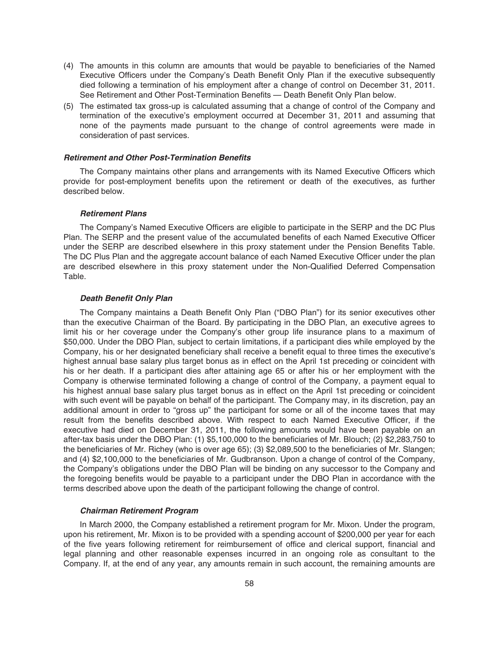- (4) The amounts in this column are amounts that would be payable to beneficiaries of the Named Executive Officers under the Company's Death Benefit Only Plan if the executive subsequently died following a termination of his employment after a change of control on December 31, 2011. See Retirement and Other Post-Termination Benefits — Death Benefit Only Plan below.
- (5) The estimated tax gross-up is calculated assuming that a change of control of the Company and termination of the executive's employment occurred at December 31, 2011 and assuming that none of the payments made pursuant to the change of control agreements were made in consideration of past services.

#### *Retirement and Other Post-Termination Benefits*

The Company maintains other plans and arrangements with its Named Executive Officers which provide for post-employment benefits upon the retirement or death of the executives, as further described below.

#### *Retirement Plans*

The Company's Named Executive Officers are eligible to participate in the SERP and the DC Plus Plan. The SERP and the present value of the accumulated benefits of each Named Executive Officer under the SERP are described elsewhere in this proxy statement under the Pension Benefits Table. The DC Plus Plan and the aggregate account balance of each Named Executive Officer under the plan are described elsewhere in this proxy statement under the Non-Qualified Deferred Compensation Table.

#### *Death Benefit Only Plan*

The Company maintains a Death Benefit Only Plan ("DBO Plan") for its senior executives other than the executive Chairman of the Board. By participating in the DBO Plan, an executive agrees to limit his or her coverage under the Company's other group life insurance plans to a maximum of \$50,000. Under the DBO Plan, subject to certain limitations, if a participant dies while employed by the Company, his or her designated beneficiary shall receive a benefit equal to three times the executive's highest annual base salary plus target bonus as in effect on the April 1st preceding or coincident with his or her death. If a participant dies after attaining age 65 or after his or her employment with the Company is otherwise terminated following a change of control of the Company, a payment equal to his highest annual base salary plus target bonus as in effect on the April 1st preceding or coincident with such event will be payable on behalf of the participant. The Company may, in its discretion, pay an additional amount in order to "gross up" the participant for some or all of the income taxes that may result from the benefits described above. With respect to each Named Executive Officer, if the executive had died on December 31, 2011, the following amounts would have been payable on an after-tax basis under the DBO Plan: (1) \$5,100,000 to the beneficiaries of Mr. Blouch; (2) \$2,283,750 to the beneficiaries of Mr. Richey (who is over age 65); (3) \$2,089,500 to the beneficiaries of Mr. Slangen; and (4) \$2,100,000 to the beneficiaries of Mr. Gudbranson. Upon a change of control of the Company, the Company's obligations under the DBO Plan will be binding on any successor to the Company and the foregoing benefits would be payable to a participant under the DBO Plan in accordance with the terms described above upon the death of the participant following the change of control.

#### *Chairman Retirement Program*

In March 2000, the Company established a retirement program for Mr. Mixon. Under the program, upon his retirement, Mr. Mixon is to be provided with a spending account of \$200,000 per year for each of the five years following retirement for reimbursement of office and clerical support, financial and legal planning and other reasonable expenses incurred in an ongoing role as consultant to the Company. If, at the end of any year, any amounts remain in such account, the remaining amounts are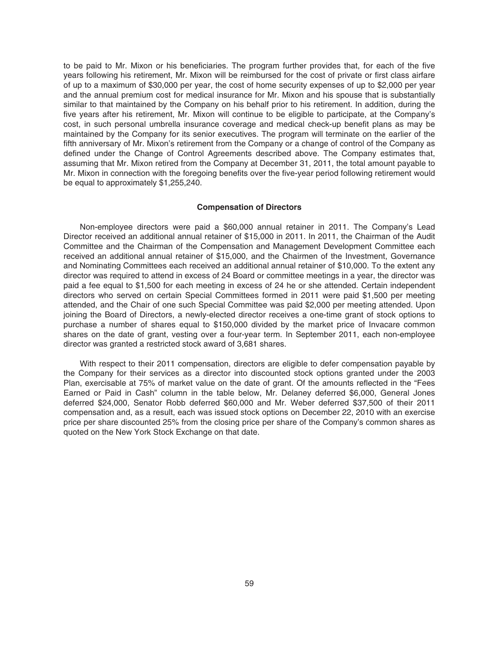to be paid to Mr. Mixon or his beneficiaries. The program further provides that, for each of the five years following his retirement, Mr. Mixon will be reimbursed for the cost of private or first class airfare of up to a maximum of \$30,000 per year, the cost of home security expenses of up to \$2,000 per year and the annual premium cost for medical insurance for Mr. Mixon and his spouse that is substantially similar to that maintained by the Company on his behalf prior to his retirement. In addition, during the five years after his retirement, Mr. Mixon will continue to be eligible to participate, at the Company's cost, in such personal umbrella insurance coverage and medical check-up benefit plans as may be maintained by the Company for its senior executives. The program will terminate on the earlier of the fifth anniversary of Mr. Mixon's retirement from the Company or a change of control of the Company as defined under the Change of Control Agreements described above. The Company estimates that, assuming that Mr. Mixon retired from the Company at December 31, 2011, the total amount payable to Mr. Mixon in connection with the foregoing benefits over the five-year period following retirement would be equal to approximately \$1,255,240.

#### **Compensation of Directors**

Non-employee directors were paid a \$60,000 annual retainer in 2011. The Company's Lead Director received an additional annual retainer of \$15,000 in 2011. In 2011, the Chairman of the Audit Committee and the Chairman of the Compensation and Management Development Committee each received an additional annual retainer of \$15,000, and the Chairmen of the Investment, Governance and Nominating Committees each received an additional annual retainer of \$10,000. To the extent any director was required to attend in excess of 24 Board or committee meetings in a year, the director was paid a fee equal to \$1,500 for each meeting in excess of 24 he or she attended. Certain independent directors who served on certain Special Committees formed in 2011 were paid \$1,500 per meeting attended, and the Chair of one such Special Committee was paid \$2,000 per meeting attended. Upon joining the Board of Directors, a newly-elected director receives a one-time grant of stock options to purchase a number of shares equal to \$150,000 divided by the market price of Invacare common shares on the date of grant, vesting over a four-year term. In September 2011, each non-employee director was granted a restricted stock award of 3,681 shares.

With respect to their 2011 compensation, directors are eligible to defer compensation payable by the Company for their services as a director into discounted stock options granted under the 2003 Plan, exercisable at 75% of market value on the date of grant. Of the amounts reflected in the "Fees Earned or Paid in Cash" column in the table below, Mr. Delaney deferred \$6,000, General Jones deferred \$24,000, Senator Robb deferred \$60,000 and Mr. Weber deferred \$37,500 of their 2011 compensation and, as a result, each was issued stock options on December 22, 2010 with an exercise price per share discounted 25% from the closing price per share of the Company's common shares as quoted on the New York Stock Exchange on that date.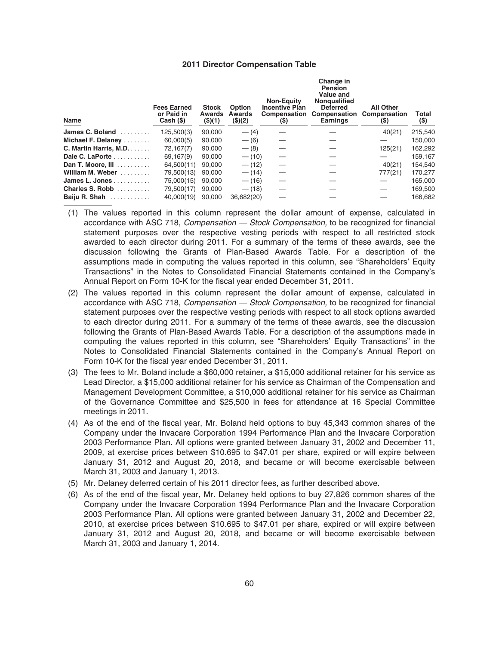#### **2011 Director Compensation Table**

| <b>Name</b>               | <b>Fees Earned</b><br>or Paid in<br>Cash (\$) | <b>Stock</b><br><b>Awards</b><br>(\$)(1) | <b>Option</b><br><b>Awards</b><br>(\$)(2) | <b>Non-Equity</b><br><b>Incentive Plan</b><br>Compensation<br>(S) | Change in<br>Pension<br><b>Value and</b><br>Nongualified<br><b>Deferred</b><br>Compensation<br><b>Earnings</b> | <b>All Other</b><br>Compensation<br>$(\$)$ | Total<br>$($)$ |
|---------------------------|-----------------------------------------------|------------------------------------------|-------------------------------------------|-------------------------------------------------------------------|----------------------------------------------------------------------------------------------------------------|--------------------------------------------|----------------|
| James C. Boland<br>.      | 125,500(3)                                    | 90.000                                   | $- (4)$                                   |                                                                   |                                                                                                                | 40(21)                                     | 215,540        |
| Michael F. Delaney        | 60,000(5)                                     | 90.000                                   | $- (6)$                                   |                                                                   |                                                                                                                |                                            | 150.000        |
| C. Martin Harris, M.D.    | 72,167(7)                                     | 90.000                                   | $- (8)$                                   |                                                                   |                                                                                                                | 125(21)                                    | 162,292        |
| Dale C. LaPorte           | 69.167(9)                                     | 90.000                                   | $- (10)$                                  |                                                                   |                                                                                                                |                                            | 159.167        |
| Dan T. Moore, III         | 64,500(11)                                    | 90.000                                   | $- (12)$                                  |                                                                   |                                                                                                                | 40(21)                                     | 154,540        |
| William M. Weber          | 79,500(13)                                    | 90.000                                   | $- (14)$                                  |                                                                   |                                                                                                                | 777(21)                                    | 170,277        |
| James L. Jones $\ldots$ , | 75,000(15)                                    | 90.000                                   | $- (16)$                                  |                                                                   |                                                                                                                |                                            | 165,000        |
| Charles S. Robb           | 79,500(17)                                    | 90.000                                   | $- (18)$                                  |                                                                   |                                                                                                                |                                            | 169,500        |
| Baiju R. Shah             | 40.000(19)                                    | 90.000                                   | 36,682(20)                                |                                                                   |                                                                                                                |                                            | 166,682        |

- (1) The values reported in this column represent the dollar amount of expense, calculated in accordance with ASC 718, Compensation — Stock Compensation, to be recognized for financial statement purposes over the respective vesting periods with respect to all restricted stock awarded to each director during 2011. For a summary of the terms of these awards, see the discussion following the Grants of Plan-Based Awards Table. For a description of the assumptions made in computing the values reported in this column, see "Shareholders' Equity Transactions" in the Notes to Consolidated Financial Statements contained in the Company's Annual Report on Form 10-K for the fiscal year ended December 31, 2011.
- (2) The values reported in this column represent the dollar amount of expense, calculated in accordance with ASC 718, Compensation — Stock Compensation, to be recognized for financial statement purposes over the respective vesting periods with respect to all stock options awarded to each director during 2011. For a summary of the terms of these awards, see the discussion following the Grants of Plan-Based Awards Table. For a description of the assumptions made in computing the values reported in this column, see "Shareholders' Equity Transactions" in the Notes to Consolidated Financial Statements contained in the Company's Annual Report on Form 10-K for the fiscal year ended December 31, 2011.
- (3) The fees to Mr. Boland include a \$60,000 retainer, a \$15,000 additional retainer for his service as Lead Director, a \$15,000 additional retainer for his service as Chairman of the Compensation and Management Development Committee, a \$10,000 additional retainer for his service as Chairman of the Governance Committee and \$25,500 in fees for attendance at 16 Special Committee meetings in 2011.
- (4) As of the end of the fiscal year, Mr. Boland held options to buy 45,343 common shares of the Company under the Invacare Corporation 1994 Performance Plan and the Invacare Corporation 2003 Performance Plan. All options were granted between January 31, 2002 and December 11, 2009, at exercise prices between \$10.695 to \$47.01 per share, expired or will expire between January 31, 2012 and August 20, 2018, and became or will become exercisable between March 31, 2003 and January 1, 2013.
- (5) Mr. Delaney deferred certain of his 2011 director fees, as further described above.
- (6) As of the end of the fiscal year, Mr. Delaney held options to buy 27,826 common shares of the Company under the Invacare Corporation 1994 Performance Plan and the Invacare Corporation 2003 Performance Plan. All options were granted between January 31, 2002 and December 22, 2010, at exercise prices between \$10.695 to \$47.01 per share, expired or will expire between January 31, 2012 and August 20, 2018, and became or will become exercisable between March 31, 2003 and January 1, 2014.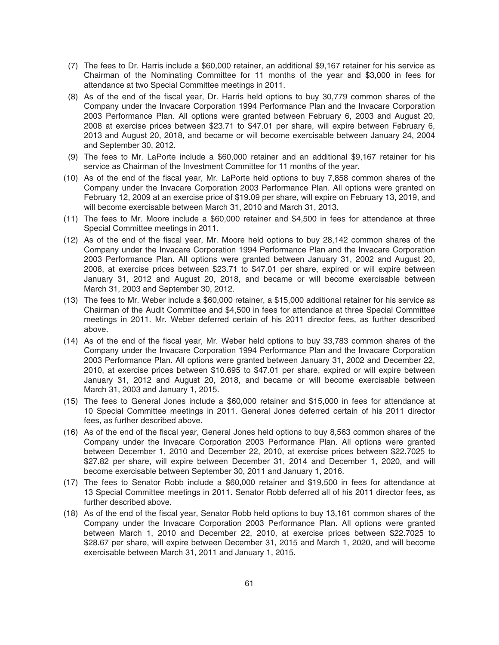- (7) The fees to Dr. Harris include a \$60,000 retainer, an additional \$9,167 retainer for his service as Chairman of the Nominating Committee for 11 months of the year and \$3,000 in fees for attendance at two Special Committee meetings in 2011.
- (8) As of the end of the fiscal year, Dr. Harris held options to buy 30,779 common shares of the Company under the Invacare Corporation 1994 Performance Plan and the Invacare Corporation 2003 Performance Plan. All options were granted between February 6, 2003 and August 20, 2008 at exercise prices between \$23.71 to \$47.01 per share, will expire between February 6, 2013 and August 20, 2018, and became or will become exercisable between January 24, 2004 and September 30, 2012.
- (9) The fees to Mr. LaPorte include a \$60,000 retainer and an additional \$9,167 retainer for his service as Chairman of the Investment Committee for 11 months of the year.
- (10) As of the end of the fiscal year, Mr. LaPorte held options to buy 7,858 common shares of the Company under the Invacare Corporation 2003 Performance Plan. All options were granted on February 12, 2009 at an exercise price of \$19.09 per share, will expire on February 13, 2019, and will become exercisable between March 31, 2010 and March 31, 2013.
- (11) The fees to Mr. Moore include a \$60,000 retainer and \$4,500 in fees for attendance at three Special Committee meetings in 2011.
- (12) As of the end of the fiscal year, Mr. Moore held options to buy 28,142 common shares of the Company under the Invacare Corporation 1994 Performance Plan and the Invacare Corporation 2003 Performance Plan. All options were granted between January 31, 2002 and August 20, 2008, at exercise prices between \$23.71 to \$47.01 per share, expired or will expire between January 31, 2012 and August 20, 2018, and became or will become exercisable between March 31, 2003 and September 30, 2012.
- (13) The fees to Mr. Weber include a \$60,000 retainer, a \$15,000 additional retainer for his service as Chairman of the Audit Committee and \$4,500 in fees for attendance at three Special Committee meetings in 2011. Mr. Weber deferred certain of his 2011 director fees, as further described above.
- (14) As of the end of the fiscal year, Mr. Weber held options to buy 33,783 common shares of the Company under the Invacare Corporation 1994 Performance Plan and the Invacare Corporation 2003 Performance Plan. All options were granted between January 31, 2002 and December 22, 2010, at exercise prices between \$10.695 to \$47.01 per share, expired or will expire between January 31, 2012 and August 20, 2018, and became or will become exercisable between March 31, 2003 and January 1, 2015.
- (15) The fees to General Jones include a \$60,000 retainer and \$15,000 in fees for attendance at 10 Special Committee meetings in 2011. General Jones deferred certain of his 2011 director fees, as further described above.
- (16) As of the end of the fiscal year, General Jones held options to buy 8,563 common shares of the Company under the Invacare Corporation 2003 Performance Plan. All options were granted between December 1, 2010 and December 22, 2010, at exercise prices between \$22.7025 to \$27.82 per share, will expire between December 31, 2014 and December 1, 2020, and will become exercisable between September 30, 2011 and January 1, 2016.
- (17) The fees to Senator Robb include a \$60,000 retainer and \$19,500 in fees for attendance at 13 Special Committee meetings in 2011. Senator Robb deferred all of his 2011 director fees, as further described above.
- (18) As of the end of the fiscal year, Senator Robb held options to buy 13,161 common shares of the Company under the Invacare Corporation 2003 Performance Plan. All options were granted between March 1, 2010 and December 22, 2010, at exercise prices between \$22.7025 to \$28.67 per share, will expire between December 31, 2015 and March 1, 2020, and will become exercisable between March 31, 2011 and January 1, 2015.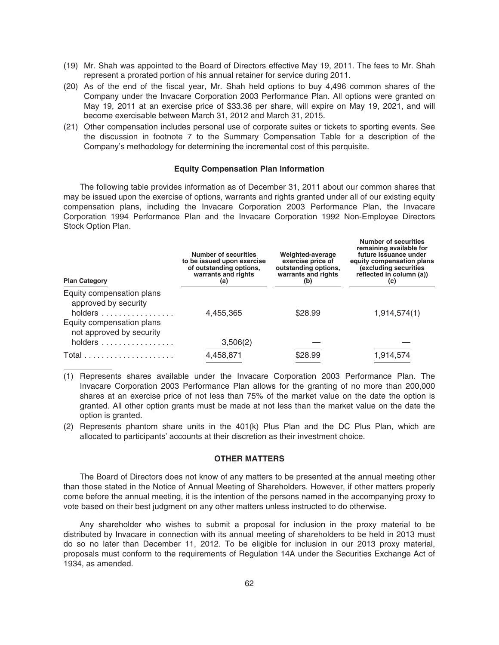- (19) Mr. Shah was appointed to the Board of Directors effective May 19, 2011. The fees to Mr. Shah represent a prorated portion of his annual retainer for service during 2011.
- (20) As of the end of the fiscal year, Mr. Shah held options to buy 4,496 common shares of the Company under the Invacare Corporation 2003 Performance Plan. All options were granted on May 19, 2011 at an exercise price of \$33.36 per share, will expire on May 19, 2021, and will become exercisable between March 31, 2012 and March 31, 2015.
- (21) Other compensation includes personal use of corporate suites or tickets to sporting events. See the discussion in footnote 7 to the Summary Compensation Table for a description of the Company's methodology for determining the incremental cost of this perquisite.

#### **Equity Compensation Plan Information**

The following table provides information as of December 31, 2011 about our common shares that may be issued upon the exercise of options, warrants and rights granted under all of our existing equity compensation plans, including the Invacare Corporation 2003 Performance Plan, the Invacare Corporation 1994 Performance Plan and the Invacare Corporation 1992 Non-Employee Directors Stock Option Plan.

**Number of securities**

| <b>Plan Category</b>                                         | <b>Number of securities</b><br>to be issued upon exercise<br>of outstanding options,<br>warrants and rights<br>(a) | Weighted-average<br>exercise price of<br>outstanding options,<br>warrants and rights<br>(b) | remaining available for<br>future issuance under<br>equity compensation plans<br>(excluding securities<br>reflected in column (a))<br>(C) |  |
|--------------------------------------------------------------|--------------------------------------------------------------------------------------------------------------------|---------------------------------------------------------------------------------------------|-------------------------------------------------------------------------------------------------------------------------------------------|--|
| Equity compensation plans<br>approved by security<br>holders | 4,455,365                                                                                                          | \$28.99                                                                                     | 1,914,574(1)                                                                                                                              |  |
| Equity compensation plans<br>not approved by security        |                                                                                                                    |                                                                                             |                                                                                                                                           |  |
| holders                                                      | 3,506(2)                                                                                                           |                                                                                             |                                                                                                                                           |  |
|                                                              | 4,458,871                                                                                                          | \$28.99                                                                                     | 1,914,574                                                                                                                                 |  |

- (1) Represents shares available under the Invacare Corporation 2003 Performance Plan. The Invacare Corporation 2003 Performance Plan allows for the granting of no more than 200,000 shares at an exercise price of not less than 75% of the market value on the date the option is granted. All other option grants must be made at not less than the market value on the date the option is granted.
- (2) Represents phantom share units in the 401(k) Plus Plan and the DC Plus Plan, which are allocated to participants' accounts at their discretion as their investment choice.

### **OTHER MATTERS**

The Board of Directors does not know of any matters to be presented at the annual meeting other than those stated in the Notice of Annual Meeting of Shareholders. However, if other matters properly come before the annual meeting, it is the intention of the persons named in the accompanying proxy to vote based on their best judgment on any other matters unless instructed to do otherwise.

Any shareholder who wishes to submit a proposal for inclusion in the proxy material to be distributed by Invacare in connection with its annual meeting of shareholders to be held in 2013 must do so no later than December 11, 2012. To be eligible for inclusion in our 2013 proxy material, proposals must conform to the requirements of Regulation 14A under the Securities Exchange Act of 1934, as amended.